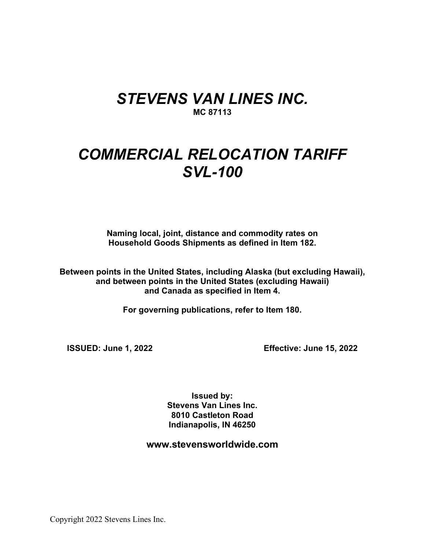# *STEVENS VAN LINES INC.* **MC 87113**

# *COMMERCIAL RELOCATION TARIFF SVL-100*

**Naming local, joint, distance and commodity rates on Household Goods Shipments as defined in Item 182.**

**Between points in the United States, including Alaska (but excluding Hawaii), and between points in the United States (excluding Hawaii) and Canada as specified in Item 4.**

**For governing publications, refer to Item 180.**

**ISSUED: June 1, 2022 Effective: June 15, 2022**

**Issued by: Stevens Van Lines Inc. 8010 Castleton Road Indianapolis, IN 46250**

### **www.stevensworldwide.com**

Copyright 2022 Stevens Lines Inc.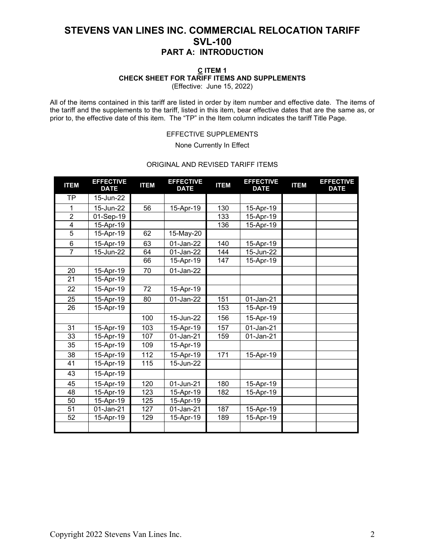### **C ITEM 1 CHECK SHEET FOR TARIFF ITEMS AND SUPPLEMENTS**

(Effective: June 15, 2022)

All of the items contained in this tariff are listed in order by item number and effective date. The items of the tariff and the supplements to the tariff, listed in this item, bear effective dates that are the same as, or prior to, the effective date of this item. The "TP" in the Item column indicates the tariff Title Page.

### EFFECTIVE SUPPLEMENTS

None Currently In Effect

### ORIGINAL AND REVISED TARIFF ITEMS

| <b>ITEM</b>             | <b>EFFECTIVE</b><br><b>DATE</b> | <b>ITEM</b> | <b>EFFECTIVE</b><br><b>DATE</b> | <b>ITEM</b> | <b>EFFECTIVE</b><br><b>DATE</b> | <b>ITEM</b> | <b>EFFECTIVE</b><br><b>DATE</b> |
|-------------------------|---------------------------------|-------------|---------------------------------|-------------|---------------------------------|-------------|---------------------------------|
| <b>TP</b>               | 15-Jun-22                       |             |                                 |             |                                 |             |                                 |
| 1                       | 15-Jun-22                       | 56          | 15-Apr-19                       | 130         | 15-Apr-19                       |             |                                 |
| $\overline{2}$          | 01-Sep-19                       |             |                                 | 133         | 15-Apr-19                       |             |                                 |
| $\overline{\mathbf{4}}$ | 15-Apr-19                       |             |                                 | 136         | 15-Apr-19                       |             |                                 |
| 5                       | 15-Apr-19                       | 62          | 15-May-20                       |             |                                 |             |                                 |
| 6                       | 15-Apr-19                       | 63          | 01-Jan-22                       | 140         | 15-Apr-19                       |             |                                 |
| $\overline{7}$          | 15-Jun-22                       | 64          | 01-Jan-22                       | 144         | 15-Jun-22                       |             |                                 |
|                         |                                 | 66          | 15-Apr-19                       | 147         | 15-Apr-19                       |             |                                 |
| 20                      | 15-Apr-19                       | 70          | 01-Jan-22                       |             |                                 |             |                                 |
| 21                      | 15-Apr-19                       |             |                                 |             |                                 |             |                                 |
| 22                      | 15-Apr-19                       | 72          | 15-Apr-19                       |             |                                 |             |                                 |
| 25                      | 15-Apr-19                       | 80          | 01-Jan-22                       | 151         | 01-Jan-21                       |             |                                 |
| 26                      | 15-Apr-19                       |             |                                 | 153         | 15-Apr-19                       |             |                                 |
|                         |                                 | 100         | 15-Jun-22                       | 156         | 15-Apr-19                       |             |                                 |
| 31                      | 15-Apr-19                       | 103         | 15-Apr-19                       | 157         | 01-Jan-21                       |             |                                 |
| 33                      | 15-Apr-19                       | 107         | 01-Jan-21                       | 159         | 01-Jan-21                       |             |                                 |
| 35                      | 15-Apr-19                       | 109         | 15-Apr-19                       |             |                                 |             |                                 |
| 38                      | 15-Apr-19                       | 112         | 15-Apr-19                       | 171         | 15-Apr-19                       |             |                                 |
| 41                      | 15-Apr-19                       | 115         | 15-Jun-22                       |             |                                 |             |                                 |
| 43                      | 15-Apr-19                       |             |                                 |             |                                 |             |                                 |
| 45                      | 15-Apr-19                       | 120         | 01-Jun-21                       | 180         | 15-Apr-19                       |             |                                 |
| 48                      | 15-Apr-19                       | 123         | 15-Apr-19                       | 182         | 15-Apr-19                       |             |                                 |
| 50                      | 15-Apr-19                       | 125         | 15-Apr-19                       |             |                                 |             |                                 |
| 51                      | 01-Jan-21                       | 127         | 01-Jan-21                       | 187         | 15-Apr-19                       |             |                                 |
| 52                      | 15-Apr-19                       | 129         | 15-Apr-19                       | 189         | 15-Apr-19                       |             |                                 |
|                         |                                 |             |                                 |             |                                 |             |                                 |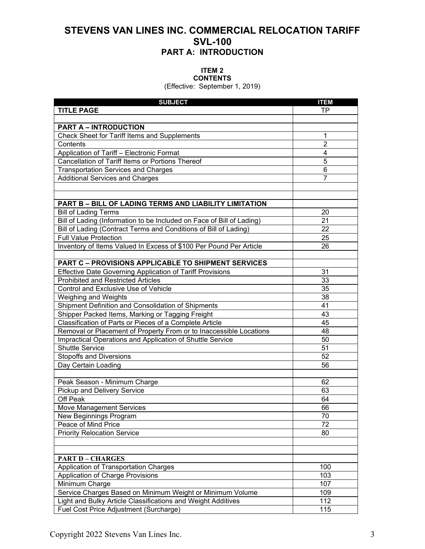#### **ITEM 2 CONTENTS**

(Effective: September 1, 2019)

| <b>SUBJECT</b>                                                        | <b>ITEM</b>    |
|-----------------------------------------------------------------------|----------------|
| <b>TITLE PAGE</b>                                                     | TP.            |
|                                                                       |                |
| <b>PART A - INTRODUCTION</b>                                          |                |
| Check Sheet for Tariff Items and Supplements                          | 1              |
| Contents                                                              | $\overline{2}$ |
| Application of Tariff - Electronic Format                             | 4              |
| Cancellation of Tariff Items or Portions Thereof                      | 5              |
| <b>Transportation Services and Charges</b>                            | 6              |
| <b>Additional Services and Charges</b>                                | $\overline{7}$ |
|                                                                       |                |
|                                                                       |                |
| <b>PART B - BILL OF LADING TERMS AND LIABILITY LIMITATION</b>         |                |
| <b>Bill of Lading Terms</b>                                           | 20             |
| Bill of Lading (Information to be Included on Face of Bill of Lading) | 21             |
| Bill of Lading (Contract Terms and Conditions of Bill of Lading)      | 22             |
| <b>Full Value Protection</b>                                          | 25             |
| Inventory of Items Valued In Excess of \$100 Per Pound Per Article    | 26             |
|                                                                       |                |
| <b>PART C - PROVISIONS APPLICABLE TO SHIPMENT SERVICES</b>            |                |
| <b>Effective Date Governing Application of Tariff Provisions</b>      | 31             |
| <b>Prohibited and Restricted Articles</b>                             | 33             |
| <b>Control and Exclusive Use of Vehicle</b>                           | 35             |
| Weighing and Weights                                                  | 38             |
| Shipment Definition and Consolidation of Shipments                    | 41             |
| Shipper Packed Items, Marking or Tagging Freight                      | 43             |
| Classification of Parts or Pieces of a Complete Article               | 45             |
| Removal or Placement of Property From or to Inaccessible Locations    | 48             |
| Impractical Operations and Application of Shuttle Service             | 50             |
| <b>Shuttle Service</b>                                                | 51             |
| <b>Stopoffs and Diversions</b>                                        | 52             |
| Day Certain Loading                                                   | 56             |
|                                                                       |                |
| Peak Season - Minimum Charge                                          | 62             |
| <b>Pickup and Delivery Service</b>                                    | 63             |
| Off Peak                                                              | 64             |
| Move Management Services                                              | 66             |
| New Beginnings Program                                                | 70             |
| Peace of Mind Price                                                   | 72             |
| <b>Priority Relocation Service</b>                                    | 80             |
|                                                                       |                |
|                                                                       |                |
| <b>PART D - CHARGES</b>                                               |                |
| Application of Transportation Charges                                 | 100            |
| Application of Charge Provisions                                      | 103            |
| Minimum Charge                                                        | 107            |
| Service Charges Based on Minimum Weight or Minimum Volume             | 109            |
| Light and Bulky Article Classifications and Weight Additives          | 112            |
| Fuel Cost Price Adjustment (Surcharge)                                | 115            |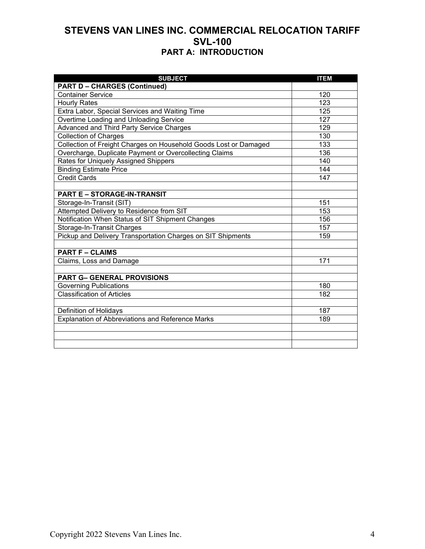| <b>SUBJECT</b>                                                   | <b>ITEM</b>      |
|------------------------------------------------------------------|------------------|
| <b>PART D - CHARGES (Continued)</b>                              |                  |
| <b>Container Service</b>                                         | 120              |
| <b>Hourly Rates</b>                                              | $\overline{1}23$ |
| Extra Labor, Special Services and Waiting Time                   | 125              |
| Overtime Loading and Unloading Service                           | 127              |
| <b>Advanced and Third Party Service Charges</b>                  | 129              |
| <b>Collection of Charges</b>                                     | 130              |
| Collection of Freight Charges on Household Goods Lost or Damaged | 133              |
| Overcharge, Duplicate Payment or Overcollecting Claims           | 136              |
| Rates for Uniquely Assigned Shippers                             | 140              |
| <b>Binding Estimate Price</b>                                    | 144              |
| <b>Credit Cards</b>                                              | 147              |
|                                                                  |                  |
| <b>PART E - STORAGE-IN-TRANSIT</b>                               |                  |
| Storage-In-Transit (SIT)                                         | 151              |
| Attempted Delivery to Residence from SIT                         | 153              |
| Notification When Status of SIT Shipment Changes                 | 156              |
| <b>Storage-In-Transit Charges</b>                                | 157              |
| Pickup and Delivery Transportation Charges on SIT Shipments      | 159              |
|                                                                  |                  |
| <b>PART F - CLAIMS</b>                                           |                  |
| Claims, Loss and Damage                                          | 171              |
|                                                                  |                  |
| <b>PART G- GENERAL PROVISIONS</b>                                |                  |
| <b>Governing Publications</b>                                    | 180              |
| <b>Classification of Articles</b>                                | 182              |
|                                                                  |                  |
| Definition of Holidays                                           | 187              |
| <b>Explanation of Abbreviations and Reference Marks</b>          | 189              |
|                                                                  |                  |
|                                                                  |                  |
|                                                                  |                  |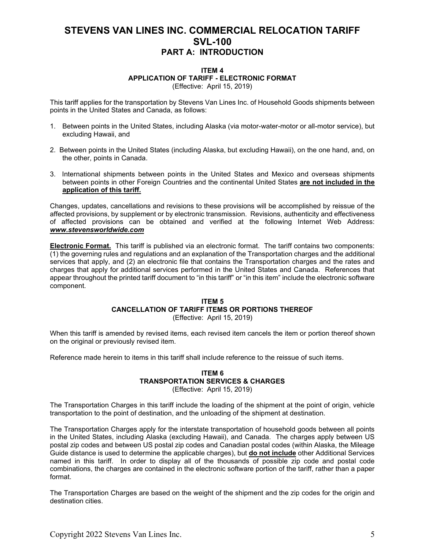#### **ITEM 4 APPLICATION OF TARIFF - ELECTRONIC FORMAT** (Effective: April 15, 2019)

This tariff applies for the transportation by Stevens Van Lines Inc. of Household Goods shipments between points in the United States and Canada, as follows:

- 1. Between points in the United States, including Alaska (via motor-water-motor or all-motor service), but excluding Hawaii, and
- 2. Between points in the United States (including Alaska, but excluding Hawaii), on the one hand, and, on the other, points in Canada.
- 3. International shipments between points in the United States and Mexico and overseas shipments between points in other Foreign Countries and the continental United States **are not included in the application of this tariff.**

Changes, updates, cancellations and revisions to these provisions will be accomplished by reissue of the affected provisions, by supplement or by electronic transmission. Revisions, authenticity and effectiveness of affected provisions can be obtained and verified at the following Internet Web Address: *www.stevensworldwide.com* 

**Electronic Format.** This tariff is published via an electronic format. The tariff contains two components: (1) the governing rules and regulations and an explanation of the Transportation charges and the additional services that apply, and (2) an electronic file that contains the Transportation charges and the rates and charges that apply for additional services performed in the United States and Canada. References that appear throughout the printed tariff document to "in this tariff" or "in this item" include the electronic software component.

# **ITEM 5 CANCELLATION OF TARIFF ITEMS OR PORTIONS THEREOF**

(Effective: April 15, 2019)

When this tariff is amended by revised items, each revised item cancels the item or portion thereof shown on the original or previously revised item.

Reference made herein to items in this tariff shall include reference to the reissue of such items.

### **ITEM 6 TRANSPORTATION SERVICES & CHARGES**

(Effective: April 15, 2019)

The Transportation Charges in this tariff include the loading of the shipment at the point of origin, vehicle transportation to the point of destination, and the unloading of the shipment at destination.

The Transportation Charges apply for the interstate transportation of household goods between all points in the United States, including Alaska (excluding Hawaii), and Canada. The charges apply between US postal zip codes and between US postal zip codes and Canadian postal codes (within Alaska, the Mileage Guide distance is used to determine the applicable charges), but **do not include** other Additional Services named in this tariff. In order to display all of the thousands of possible zip code and postal code combinations, the charges are contained in the electronic software portion of the tariff, rather than a paper format.

The Transportation Charges are based on the weight of the shipment and the zip codes for the origin and destination cities.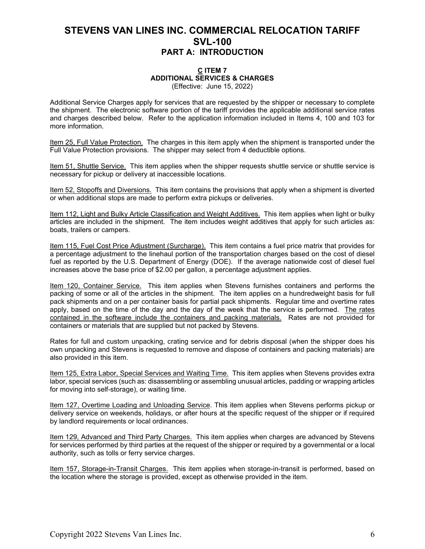#### **C ITEM 7 ADDITIONAL SERVICES & CHARGES** (Effective: June 15, 2022)

Additional Service Charges apply for services that are requested by the shipper or necessary to complete the shipment. The electronic software portion of the tariff provides the applicable additional service rates and charges described below. Refer to the application information included in Items 4, 100 and 103 for more information.

Item 25, Full Value Protection. The charges in this item apply when the shipment is transported under the Full Value Protection provisions. The shipper may select from 4 deductible options.

Item 51, Shuttle Service. This item applies when the shipper requests shuttle service or shuttle service is necessary for pickup or delivery at inaccessible locations.

Item 52, Stopoffs and Diversions. This item contains the provisions that apply when a shipment is diverted or when additional stops are made to perform extra pickups or deliveries.

Item 112, Light and Bulky Article Classification and Weight Additives. This item applies when light or bulky articles are included in the shipment. The item includes weight additives that apply for such articles as: boats, trailers or campers.

Item 115, Fuel Cost Price Adjustment (Surcharge). This item contains a fuel price matrix that provides for a percentage adjustment to the linehaul portion of the transportation charges based on the cost of diesel fuel as reported by the U.S. Department of Energy (DOE). If the average nationwide cost of diesel fuel increases above the base price of \$2.00 per gallon, a percentage adjustment applies.

Item 120, Container Service. This item applies when Stevens furnishes containers and performs the packing of some or all of the articles in the shipment. The item applies on a hundredweight basis for full pack shipments and on a per container basis for partial pack shipments. Regular time and overtime rates apply, based on the time of the day and the day of the week that the service is performed. The rates contained in the software include the containers and packing materials. Rates are not provided for containers or materials that are supplied but not packed by Stevens.

Rates for full and custom unpacking, crating service and for debris disposal (when the shipper does his own unpacking and Stevens is requested to remove and dispose of containers and packing materials) are also provided in this item.

Item 125, Extra Labor, Special Services and Waiting Time. This item applies when Stevens provides extra labor, special services (such as: disassembling or assembling unusual articles, padding or wrapping articles for moving into self-storage), or waiting time.

Item 127, Overtime Loading and Unloading Service. This item applies when Stevens performs pickup or delivery service on weekends, holidays, or after hours at the specific request of the shipper or if required by landlord requirements or local ordinances.

Item 129, Advanced and Third Party Charges. This item applies when charges are advanced by Stevens for services performed by third parties at the request of the shipper or required by a governmental or a local authority, such as tolls or ferry service charges.

Item 157, Storage-in-Transit Charges. This item applies when storage-in-transit is performed, based on the location where the storage is provided, except as otherwise provided in the item.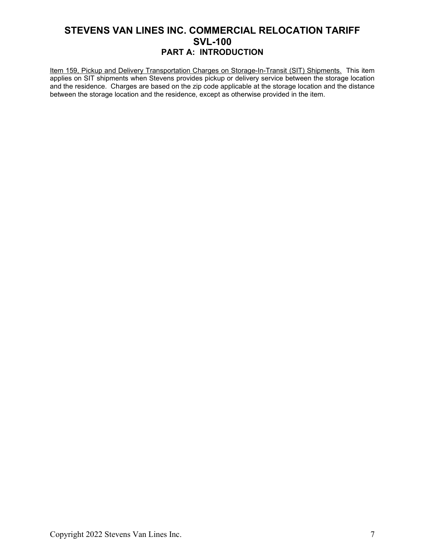Item 159, Pickup and Delivery Transportation Charges on Storage-In-Transit (SIT) Shipments. This item applies on SIT shipments when Stevens provides pickup or delivery service between the storage location and the residence. Charges are based on the zip code applicable at the storage location and the distance between the storage location and the residence, except as otherwise provided in the item.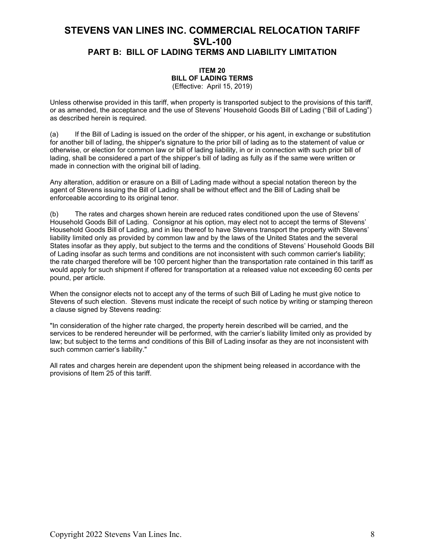#### **ITEM 20 BILL OF LADING TERMS**  (Effective: April 15, 2019)

Unless otherwise provided in this tariff, when property is transported subject to the provisions of this tariff, or as amended, the acceptance and the use of Stevens' Household Goods Bill of Lading ("Bill of Lading") as described herein is required.

(a) If the Bill of Lading is issued on the order of the shipper, or his agent, in exchange or substitution for another bill of lading, the shipper's signature to the prior bill of lading as to the statement of value or otherwise, or election for common law or bill of lading liability, in or in connection with such prior bill of lading, shall be considered a part of the shipper's bill of lading as fully as if the same were written or made in connection with the original bill of lading.

Any alteration, addition or erasure on a Bill of Lading made without a special notation thereon by the agent of Stevens issuing the Bill of Lading shall be without effect and the Bill of Lading shall be enforceable according to its original tenor.

(b) The rates and charges shown herein are reduced rates conditioned upon the use of Stevens' Household Goods Bill of Lading. Consignor at his option, may elect not to accept the terms of Stevens' Household Goods Bill of Lading, and in lieu thereof to have Stevens transport the property with Stevens' liability limited only as provided by common law and by the laws of the United States and the several States insofar as they apply, but subject to the terms and the conditions of Stevens' Household Goods Bill of Lading insofar as such terms and conditions are not inconsistent with such common carrier's liability; the rate charged therefore will be 100 percent higher than the transportation rate contained in this tariff as would apply for such shipment if offered for transportation at a released value not exceeding 60 cents per pound, per article.

When the consignor elects not to accept any of the terms of such Bill of Lading he must give notice to Stevens of such election. Stevens must indicate the receipt of such notice by writing or stamping thereon a clause signed by Stevens reading:

"In consideration of the higher rate charged, the property herein described will be carried, and the services to be rendered hereunder will be performed, with the carrier's liability limited only as provided by law; but subject to the terms and conditions of this Bill of Lading insofar as they are not inconsistent with such common carrier's liability."

All rates and charges herein are dependent upon the shipment being released in accordance with the provisions of Item 25 of this tariff.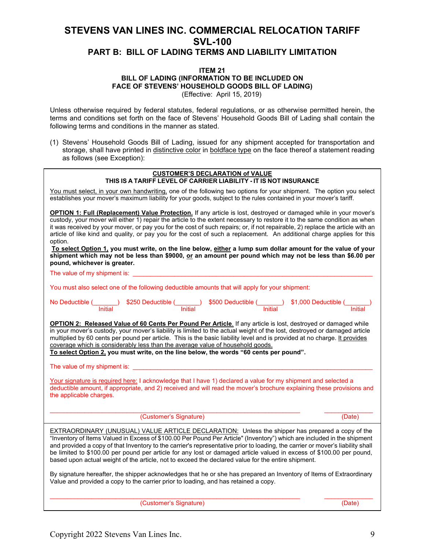#### **ITEM 21 BILL OF LADING (INFORMATION TO BE INCLUDED ON FACE OF STEVENS' HOUSEHOLD GOODS BILL OF LADING)** (Effective: April 15, 2019)

Unless otherwise required by federal statutes, federal regulations, or as otherwise permitted herein, the terms and conditions set forth on the face of Stevens' Household Goods Bill of Lading shall contain the following terms and conditions in the manner as stated.

(1) Stevens' Household Goods Bill of Lading, issued for any shipment accepted for transportation and storage, shall have printed in distinctive color in boldface type on the face thereof a statement reading as follows (see Exception):

| <b>CUSTOMER'S DECLARATION of VALUE</b><br>THIS IS A TARIFF LEVEL OF CARRIER LIABILITY - IT IS NOT INSURANCE                                                                                                                                                                                                                                                                                                                                                                                                                                                                                                                                                                                                                                             |  |  |  |  |  |
|---------------------------------------------------------------------------------------------------------------------------------------------------------------------------------------------------------------------------------------------------------------------------------------------------------------------------------------------------------------------------------------------------------------------------------------------------------------------------------------------------------------------------------------------------------------------------------------------------------------------------------------------------------------------------------------------------------------------------------------------------------|--|--|--|--|--|
| You must select, in your own handwriting, one of the following two options for your shipment. The option you select<br>establishes your mover's maximum liability for your goods, subject to the rules contained in your mover's tariff.                                                                                                                                                                                                                                                                                                                                                                                                                                                                                                                |  |  |  |  |  |
| <b>OPTION 1: Full (Replacement) Value Protection.</b> If any article is lost, destroyed or damaged while in your mover's<br>custody, your mover will either 1) repair the article to the extent necessary to restore it to the same condition as when<br>it was received by your mover, or pay you for the cost of such repairs; or, if not repairable, 2) replace the article with an<br>article of like kind and quality, or pay you for the cost of such a replacement. An additional charge applies for this<br>option.<br>To select Option 1, you must write, on the line below, either a lump sum dollar amount for the value of your<br>shipment which may not be less than \$9000, or an amount per pound which may not be less than \$6.00 per |  |  |  |  |  |
| pound, whichever is greater.<br>The value of my shipment is:                                                                                                                                                                                                                                                                                                                                                                                                                                                                                                                                                                                                                                                                                            |  |  |  |  |  |
| You must also select one of the following deductible amounts that will apply for your shipment:                                                                                                                                                                                                                                                                                                                                                                                                                                                                                                                                                                                                                                                         |  |  |  |  |  |
| No Deductible (September 1994) 1995 (No Deductible (September 2014) 1997) 1998 (No Deductible (September 2014<br>Thitial 1999) 1999 (No Deductible 1999) 1999 (No Deductible 1999) 1999 (No Deductible 1999) 1999 (No Deductible<br>                                                                                                                                                                                                                                                                                                                                                                                                                                                                                                                    |  |  |  |  |  |
| OPTION 2: Released Value of 60 Cents Per Pound Per Article. If any article is lost, destroyed or damaged while<br>in your mover's custody, your mover's liability is limited to the actual weight of the lost, destroyed or damaged article<br>multiplied by 60 cents per pound per article. This is the basic liability level and is provided at no charge. It provides<br>coverage which is considerably less than the average value of household goods.<br>To select Option 2, you must write, on the line below, the words "60 cents per pound".                                                                                                                                                                                                    |  |  |  |  |  |
| The value of my shipment is:                                                                                                                                                                                                                                                                                                                                                                                                                                                                                                                                                                                                                                                                                                                            |  |  |  |  |  |
| Your signature is required here: I acknowledge that I have 1) declared a value for my shipment and selected a<br>deductible amount, if appropriate, and 2) received and will read the mover's brochure explaining these provisions and<br>the applicable charges.                                                                                                                                                                                                                                                                                                                                                                                                                                                                                       |  |  |  |  |  |
| (Customer's Signature)<br>(Date)                                                                                                                                                                                                                                                                                                                                                                                                                                                                                                                                                                                                                                                                                                                        |  |  |  |  |  |
| EXTRAORDINARY (UNUSUAL) VALUE ARTICLE DECLARATION: Unless the shipper has prepared a copy of the<br>"Inventory of Items Valued in Excess of \$100.00 Per Pound Per Article" (Inventory") which are included in the shipment<br>and provided a copy of that Inventory to the carrier's representative prior to loading, the carrier or mover's liability shall<br>be limited to \$100.00 per pound per article for any lost or damaged article valued in excess of \$100.00 per pound,<br>based upon actual weight of the article, not to exceed the declared value for the entire shipment.                                                                                                                                                             |  |  |  |  |  |
| By signature hereafter, the shipper acknowledges that he or she has prepared an Inventory of Items of Extraordinary<br>Value and provided a copy to the carrier prior to loading, and has retained a copy.                                                                                                                                                                                                                                                                                                                                                                                                                                                                                                                                              |  |  |  |  |  |

(Customer's Signature) (Date)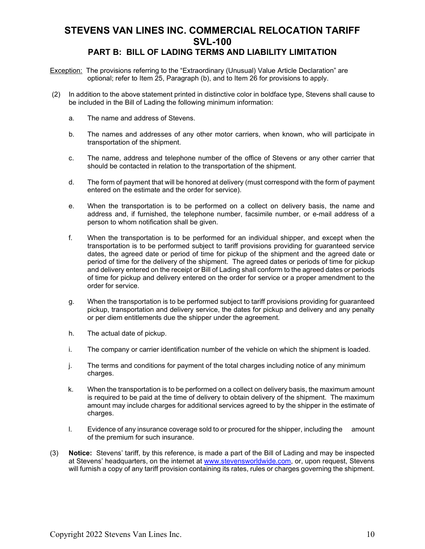- **Exception:** The provisions referring to the "Extraordinary (Unusual) Value Article Declaration" are optional; refer to Item 25, Paragraph (b), and to Item 26 for provisions to apply.
- (2) In addition to the above statement printed in distinctive color in boldface type, Stevens shall cause to be included in the Bill of Lading the following minimum information:
	- a. The name and address of Stevens.
	- b. The names and addresses of any other motor carriers, when known, who will participate in transportation of the shipment.
	- c. The name, address and telephone number of the office of Stevens or any other carrier that should be contacted in relation to the transportation of the shipment.
	- d. The form of payment that will be honored at delivery (must correspond with the form of payment entered on the estimate and the order for service).
	- e. When the transportation is to be performed on a collect on delivery basis, the name and address and, if furnished, the telephone number, facsimile number, or e-mail address of a person to whom notification shall be given.
	- f. When the transportation is to be performed for an individual shipper, and except when the transportation is to be performed subject to tariff provisions providing for guaranteed service dates, the agreed date or period of time for pickup of the shipment and the agreed date or period of time for the delivery of the shipment. The agreed dates or periods of time for pickup and delivery entered on the receipt or Bill of Lading shall conform to the agreed dates or periods of time for pickup and delivery entered on the order for service or a proper amendment to the order for service.
	- g. When the transportation is to be performed subject to tariff provisions providing for guaranteed pickup, transportation and delivery service, the dates for pickup and delivery and any penalty or per diem entitlements due the shipper under the agreement.
	- h. The actual date of pickup.
	- i. The company or carrier identification number of the vehicle on which the shipment is loaded.
	- j. The terms and conditions for payment of the total charges including notice of any minimum charges.
	- k. When the transportation is to be performed on a collect on delivery basis, the maximum amount is required to be paid at the time of delivery to obtain delivery of the shipment. The maximum amount may include charges for additional services agreed to by the shipper in the estimate of charges.
	- l. Evidence of any insurance coverage sold to or procured for the shipper, including the amount of the premium for such insurance.
- (3) **Notice:** Stevens' tariff, by this reference, is made a part of the Bill of Lading and may be inspected at Stevens' headquarters, on the internet at [www.stevensworldwide.com,](http://www.stevensworldwide.com/) or, upon request, Stevens will furnish a copy of any tariff provision containing its rates, rules or charges governing the shipment.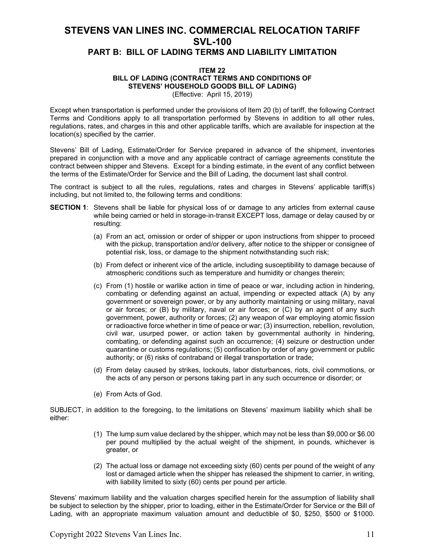#### **ITEM 22 BILL OF LADING (CONTRACT TERMS AND CONDITIONS OF STEVENS' HOUSEHOLD GOODS BILL OF LADING)** (Effective: April 15, 2019)

Except when transportation is performed under the provisions of Item 20 (b) of tariff, the following Contract Terms and Conditions apply to all transportation performed by Stevens in addition to all other rules, regulations, rates, and charges in this and other applicable tariffs, which are available for inspection at the location(s) specified by the carrier.

Stevens' Bill of Lading, Estimate/Order for Service prepared in advance of the shipment, inventories prepared in conjunction with a move and any applicable contract of carriage agreements constitute the contract between shipper and Stevens. Except for a binding estimate, in the event of any conflict between the terms of the Estimate/Order for Service and the Bill of Lading, the document last shall control.

The contract is subject to all the rules, regulations, rates and charges in Stevens' applicable tariff(s) including, but not limited to, the following terms and conditions:

- **SECTION 1**: Stevens shall be liable for physical loss of or damage to any articles from external cause while being carried or held in storage-in-transit EXCEPT loss, damage or delay caused by or resulting:
	- (a) From an act, omission or order of shipper or upon instructions from shipper to proceed with the pickup, transportation and/or delivery, after notice to the shipper or consignee of potential risk, loss, or damage to the shipment notwithstanding such risk;
	- (b) From defect or inherent vice of the article, including susceptibility to damage because of atmospheric conditions such as temperature and humidity or changes therein;
	- (c) From (1) hostile or warlike action in time of peace or war, including action in hindering, combating or defending against an actual, impending or expected attack (A) by any government or sovereign power, or by any authority maintaining or using military, naval or air forces; or (B) by military, naval or air forces; or (C) by an agent of any such government, power, authority or forces; (2) any weapon of war employing atomic fission or radioactive force whether in time of peace or war; (3) insurrection, rebellion, revolution, civil war, usurped power, or action taken by governmental authority in hindering, combating, or defending against such an occurrence; (4) seizure or destruction under quarantine or customs regulations; (5) confiscation by order of any government or public authority; or (6) risks of contraband or illegal transportation or trade;
	- (d) From delay caused by strikes, lockouts, labor disturbances, riots, civil commotions, or the acts of any person or persons taking part in any such occurrence or disorder; or
	- (e) From Acts of God.

SUBJECT, in addition to the foregoing, to the limitations on Stevens' maximum liability which shall be either:

- (1) The lump sum value declared by the shipper, which may not be less than \$9,000 or \$6.00 per pound multiplied by the actual weight of the shipment, in pounds, whichever is greater, or
- (2) The actual loss or damage not exceeding sixty (60) cents per pound of the weight of any lost or damaged article when the shipper has released the shipment to carrier, in writing, with liability limited to sixty (60) cents per pound per article.

Stevens' maximum liability and the valuation charges specified herein for the assumption of liability shall be subject to selection by the shipper, prior to loading, either in the Estimate/Order for Service or the Bill of Lading, with an appropriate maximum valuation amount and deductible of \$0, \$250, \$500 or \$1000.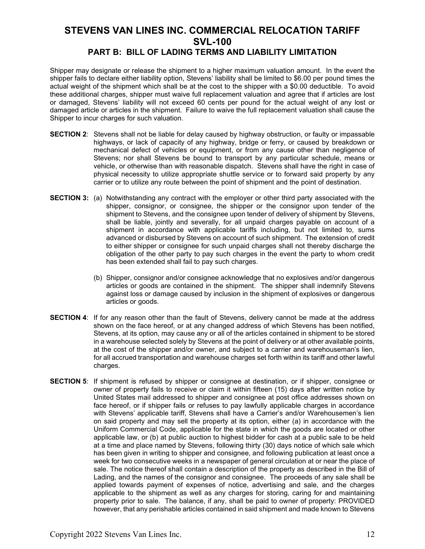# **PART B: BILL OF LADING TERMS AND LIABILITY LIMITATION**

Shipper may designate or release the shipment to a higher maximum valuation amount. In the event the shipper fails to declare either liability option, Stevens' liability shall be limited to \$6.00 per pound times the actual weight of the shipment which shall be at the cost to the shipper with a \$0.00 deductible. To avoid these additional charges, shipper must waive full replacement valuation and agree that if articles are lost or damaged, Stevens' liability will not exceed 60 cents per pound for the actual weight of any lost or damaged article or articles in the shipment. Failure to waive the full replacement valuation shall cause the Shipper to incur charges for such valuation.

- **SECTION 2**: Stevens shall not be liable for delay caused by highway obstruction, or faulty or impassable highways, or lack of capacity of any highway, bridge or ferry, or caused by breakdown or mechanical defect of vehicles or equipment, or from any cause other than negligence of Stevens; nor shall Stevens be bound to transport by any particular schedule, means or vehicle, or otherwise than with reasonable dispatch. Stevens shall have the right in case of physical necessity to utilize appropriate shuttle service or to forward said property by any carrier or to utilize any route between the point of shipment and the point of destination.
- **SECTION 3:** (a) Notwithstanding any contract with the employer or other third party associated with the shipper, consignor, or consignee, the shipper or the consignor upon tender of the shipment to Stevens, and the consignee upon tender of delivery of shipment by Stevens, shall be liable, jointly and severally, for all unpaid charges payable on account of a shipment in accordance with applicable tariffs including, but not limited to, sums advanced or disbursed by Stevens on account of such shipment. The extension of credit to either shipper or consignee for such unpaid charges shall not thereby discharge the obligation of the other party to pay such charges in the event the party to whom credit has been extended shall fail to pay such charges.
	- (b) Shipper, consignor and/or consignee acknowledge that no explosives and/or dangerous articles or goods are contained in the shipment. The shipper shall indemnify Stevens against loss or damage caused by inclusion in the shipment of explosives or dangerous articles or goods.
- **SECTION 4**: If for any reason other than the fault of Stevens, delivery cannot be made at the address shown on the face hereof, or at any changed address of which Stevens has been notified, Stevens, at its option, may cause any or all of the articles contained in shipment to be stored in a warehouse selected solely by Stevens at the point of delivery or at other available points, at the cost of the shipper and/or owner, and subject to a carrier and warehouseman's lien, for all accrued transportation and warehouse charges set forth within its tariff and other lawful charges.
- **SECTION 5**: If shipment is refused by shipper or consignee at destination, or if shipper, consignee or owner of property fails to receive or claim it within fifteen (15) days after written notice by United States mail addressed to shipper and consignee at post office addresses shown on face hereof, or if shipper fails or refuses to pay lawfully applicable charges in accordance with Stevens' applicable tariff, Stevens shall have a Carrier's and/or Warehousemen's lien on said property and may sell the property at its option, either (a) in accordance with the Uniform Commercial Code, applicable for the state in which the goods are located or other applicable law, or (b) at public auction to highest bidder for cash at a public sale to be held at a time and place named by Stevens, following thirty (30) days notice of which sale which has been given in writing to shipper and consignee, and following publication at least once a week for two consecutive weeks in a newspaper of general circulation at or near the place of sale. The notice thereof shall contain a description of the property as described in the Bill of Lading, and the names of the consignor and consignee. The proceeds of any sale shall be applied towards payment of expenses of notice, advertising and sale, and the charges applicable to the shipment as well as any charges for storing, caring for and maintaining property prior to sale. The balance, if any, shall be paid to owner of property: PROVIDED however, that any perishable articles contained in said shipment and made known to Stevens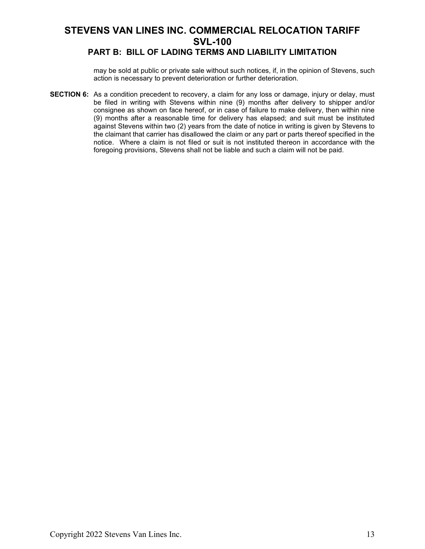may be sold at public or private sale without such notices, if, in the opinion of Stevens, such action is necessary to prevent deterioration or further deterioration.

**SECTION 6:** As a condition precedent to recovery, a claim for any loss or damage, injury or delay, must be filed in writing with Stevens within nine (9) months after delivery to shipper and/or consignee as shown on face hereof, or in case of failure to make delivery, then within nine (9) months after a reasonable time for delivery has elapsed; and suit must be instituted against Stevens within two (2) years from the date of notice in writing is given by Stevens to the claimant that carrier has disallowed the claim or any part or parts thereof specified in the notice. Where a claim is not filed or suit is not instituted thereon in accordance with the foregoing provisions, Stevens shall not be liable and such a claim will not be paid.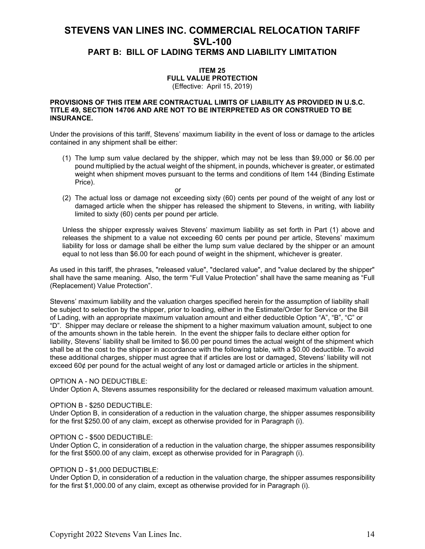# **ITEM 25 FULL VALUE PROTECTION**

### (Effective: April 15, 2019)

### **PROVISIONS OF THIS ITEM ARE CONTRACTUAL LIMITS OF LIABILITY AS PROVIDED IN U.S.C. TITLE 49, SECTION 14706 AND ARE NOT TO BE INTERPRETED AS OR CONSTRUED TO BE INSURANCE.**

Under the provisions of this tariff, Stevens' maximum liability in the event of loss or damage to the articles contained in any shipment shall be either:

- (1) The lump sum value declared by the shipper, which may not be less than \$9,000 or \$6.00 per pound multiplied by the actual weight of the shipment, in pounds, whichever is greater, or estimated weight when shipment moves pursuant to the terms and conditions of Item 144 (Binding Estimate Price).
- (2) The actual loss or damage not exceeding sixty (60) cents per pound of the weight of any lost or damaged article when the shipper has released the shipment to Stevens, in writing, with liability limited to sixty (60) cents per pound per article.

or

Unless the shipper expressly waives Stevens' maximum liability as set forth in Part (1) above and releases the shipment to a value not exceeding 60 cents per pound per article, Stevens' maximum liability for loss or damage shall be either the lump sum value declared by the shipper or an amount equal to not less than \$6.00 for each pound of weight in the shipment, whichever is greater.

As used in this tariff, the phrases, "released value", "declared value", and "value declared by the shipper" shall have the same meaning. Also, the term "Full Value Protection" shall have the same meaning as "Full (Replacement) Value Protection".

Stevens' maximum liability and the valuation charges specified herein for the assumption of liability shall be subject to selection by the shipper, prior to loading, either in the Estimate/Order for Service or the Bill of Lading, with an appropriate maximum valuation amount and either deductible Option "A", "B", "C" or "D". Shipper may declare or release the shipment to a higher maximum valuation amount, subject to one of the amounts shown in the table herein. In the event the shipper fails to declare either option for liability, Stevens' liability shall be limited to \$6.00 per pound times the actual weight of the shipment which shall be at the cost to the shipper in accordance with the following table, with a \$0.00 deductible. To avoid these additional charges, shipper must agree that if articles are lost or damaged, Stevens' liability will not exceed 60¢ per pound for the actual weight of any lost or damaged article or articles in the shipment.

### OPTION A - NO DEDUCTIBLE:

Under Option A, Stevens assumes responsibility for the declared or released maximum valuation amount.

### OPTION B - \$250 DEDUCTIBLE:

Under Option B, in consideration of a reduction in the valuation charge, the shipper assumes responsibility for the first \$250.00 of any claim, except as otherwise provided for in Paragraph (i).

### OPTION C - \$500 DEDUCTIBLE:

Under Option C, in consideration of a reduction in the valuation charge, the shipper assumes responsibility for the first \$500.00 of any claim, except as otherwise provided for in Paragraph (i).

### OPTION D - \$1,000 DEDUCTIBLE:

Under Option D, in consideration of a reduction in the valuation charge, the shipper assumes responsibility for the first \$1,000.00 of any claim, except as otherwise provided for in Paragraph (i).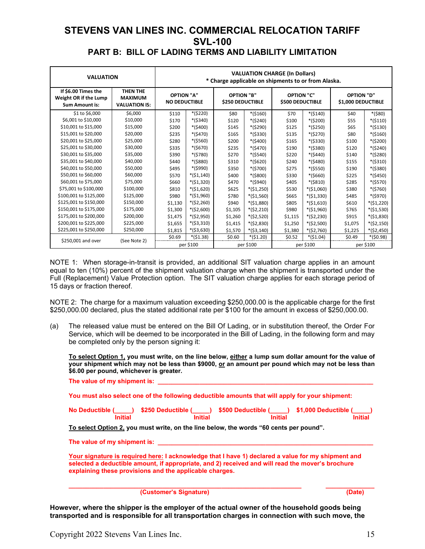| <b>VALUATION</b>                                                      | <b>VALUATION CHARGE (In Dollars)</b><br>* Charge applicable on shipments to or from Alaska. |                                           |             |                                                                                              |             |                                         |             |         |             |
|-----------------------------------------------------------------------|---------------------------------------------------------------------------------------------|-------------------------------------------|-------------|----------------------------------------------------------------------------------------------|-------------|-----------------------------------------|-------------|---------|-------------|
| If \$6.00 Times the<br>Weight OR if the Lump<br><b>Sum Amount is:</b> | THEN THE<br><b>MAXIMUM</b><br><b>VALUATION IS:</b>                                          | <b>OPTION "A"</b><br><b>NO DEDUCTIBLE</b> |             | <b>OPTION "B"</b><br><b>OPTION "C"</b><br><b>\$250 DEDUCTIBLE</b><br><b>\$500 DEDUCTIBLE</b> |             | <b>OPTION "D"</b><br>\$1,000 DEDUCTIBLE |             |         |             |
| \$1 to \$6,000                                                        | \$6,000                                                                                     | \$110                                     | $*($220)$   | \$80                                                                                         | $*($160)$   | \$70                                    | $*($140)$   | \$40    | $*($80)$    |
| \$6,001 to \$10,000                                                   | \$10,000                                                                                    | \$170                                     | $*($340)$   | \$120                                                                                        | *(\$240)    | \$100                                   | *(\$200)    | \$55    | $*($110)$   |
| \$10,001 to \$15,000                                                  | \$15,000                                                                                    | \$200                                     | $*($400)$   | \$145                                                                                        | *(\$290)    | \$125                                   | $*($250)$   | \$65    | $*($130)$   |
| \$15,001 to \$20,000                                                  | \$20,000                                                                                    | \$235                                     | $*(5470)$   | \$165                                                                                        | *(\$330)    | \$135                                   | *(\$270)    | \$80    | $*($160)$   |
| \$20,001 to \$25,000                                                  | \$25,000                                                                                    | \$280                                     | $*($560)$   | \$200                                                                                        | $*($400)$   | \$165                                   | *(\$330)    | \$100   | $*($200)$   |
| \$25,001 to \$30,000                                                  | \$30,000                                                                                    | \$335                                     | $*($670)$   | \$235                                                                                        | *(\$470)    | \$190                                   | *(\$380)    | \$120   | $*($240)$   |
| \$30,001 to \$35,000                                                  | \$35,000                                                                                    | \$390                                     | $*($780)$   | \$270                                                                                        | $*($540)$   | \$220                                   | $*(5440)$   | \$140   | $*($280)$   |
| \$35,001 to \$40,000                                                  | \$40,000                                                                                    | \$440                                     | *(\$880)    | \$310                                                                                        | *(\$620)    | \$240                                   | *(\$480)    | \$155   | $*($310)$   |
| \$40,001 to \$50,000                                                  | \$50,000                                                                                    | \$495                                     | *(\$990)    | \$350                                                                                        | *(\$700)    | \$275                                   | *(\$550)    | \$190   | *(\$380)    |
| \$50,001 to \$60,000                                                  | \$60,000                                                                                    | \$570                                     | $*($1,140)$ | \$400                                                                                        | *(\$800)    | \$330                                   | $*($660)$   | \$225   | $*($450)$   |
| \$60,001 to \$75,000                                                  | \$75,000                                                                                    | \$660                                     | $*($1,320)$ | \$470                                                                                        | *(\$940)    | \$405                                   | $*($810)$   | \$285   | $*($570)$   |
| \$75,001 to \$100,000                                                 | \$100,000                                                                                   | \$810                                     | $*($1,620)$ | \$625                                                                                        | $*($1,250)$ | \$530                                   | $*($1,060)$ | \$380   | $*($760)$   |
| \$100,001 to \$125,000                                                | \$125,000                                                                                   | \$980                                     | $*($1,960)$ | \$780                                                                                        | $*($1,560)$ | \$665                                   | $*($1,330)$ | \$485   | *(\$970)    |
| \$125,001 to \$150,000                                                | \$150,000                                                                                   | \$1,130                                   | $*($2,260)$ | \$940                                                                                        | $*($1,880)$ | \$805                                   | $*($1,610)$ | \$610   | $*($1,220)$ |
| \$150,001 to \$175,000                                                | \$175,000                                                                                   | \$1,300                                   | $*($2,600)$ | \$1,105                                                                                      | $*($2,210)$ | \$980                                   | $*($1,960)$ | \$765   | $*($1,530)$ |
| \$175,001 to \$200,000                                                | \$200,000                                                                                   | \$1,475                                   | $*($2,950)$ | \$1,260                                                                                      | $*($2,520)$ | \$1,115                                 | $*($2,230)$ | \$915   | $*($1,830)$ |
| \$200,001 to \$225,000                                                | \$225,000                                                                                   | \$1,655                                   | $*($3,310)$ | \$1,415                                                                                      | $*($2,830)$ | \$1,250                                 | $*($2,500)$ | \$1,075 | $*($2,150)$ |
| \$225,001 to \$250,000                                                | \$250,000                                                                                   | \$1,815                                   | $*($3,630)$ | \$1,570                                                                                      | $*($3,140)$ | \$1,380                                 | $*($2,760)$ | \$1,225 | *(\$2,450)  |
| \$250,001 and over                                                    | (See Note 2)                                                                                | \$0.69                                    | $*($1.38)$  | \$0.60                                                                                       | $*($1.20)$  | \$0.52                                  | $*($1.04)$  | \$0.49  | $*(50.98)$  |
|                                                                       |                                                                                             |                                           | per \$100   |                                                                                              | per \$100   |                                         | per \$100   |         | per \$100   |

NOTE 1: When storage-in-transit is provided, an additional SIT valuation charge applies in an amount equal to ten (10%) percent of the shipment valuation charge when the shipment is transported under the Full (Replacement) Value Protection option. The SIT valuation charge applies for each storage period of 15 days or fraction thereof.

NOTE 2: The charge for a maximum valuation exceeding \$250,000.00 is the applicable charge for the first \$250,000.00 declared, plus the stated additional rate per \$100 for the amount in excess of \$250,000.00.

(a) The released value must be entered on the Bill Of Lading, or in substitution thereof, the Order For Service, which will be deemed to be incorporated in the Bill of Lading, in the following form and may be completed only by the person signing it:

**To select Option 1, you must write, on the line below, either a lump sum dollar amount for the value of your shipment which may not be less than \$9000, or an amount per pound which may not be less than \$6.00 per pound, whichever is greater.**

| The value of my shipment is: |  |
|------------------------------|--|
|                              |  |

**You must also select one of the following deductible amounts that will apply for your shipment:**

| No Deductible ( | ) \$250 Deductible ( | ) \$500 Deductible ( | ) \$1,000 Deductible ( |
|-----------------|----------------------|----------------------|------------------------|
| Initial         | <b>Initial</b>       | Initial              | Initial                |

**To select Option 2, you must write, on the line below, the words "60 cents per pound".**

The value of my shipment is: **We array** 

**Your signature is required here: I acknowledge that I have 1) declared a value for my shipment and selected a deductible amount, if appropriate, and 2) received and will read the mover's brochure explaining these provisions and the applicable charges.**

**\_\_\_\_\_\_\_\_\_\_\_\_\_\_\_\_\_\_\_\_\_\_\_\_\_\_\_\_\_\_\_\_\_\_\_\_\_\_\_\_\_\_\_\_\_\_\_\_\_\_\_\_\_\_\_\_\_\_\_\_\_\_\_\_\_\_\_ \_\_\_\_\_\_\_\_\_\_\_\_\_\_ (Customer's Signature) (Date)**

**However, where the shipper is the employer of the actual owner of the household goods being transported and is responsible for all transportation charges in connection with such move, the**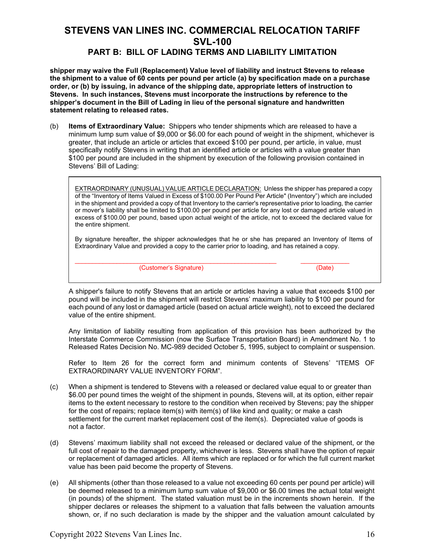### **PART B: BILL OF LADING TERMS AND LIABILITY LIMITATION**

**shipper may waive the Full (Replacement) Value level of liability and instruct Stevens to release the shipment to a value of 60 cents per pound per article (a) by specification made on a purchase order, or (b) by issuing, in advance of the shipping date, appropriate letters of instruction to Stevens. In such instances, Stevens must incorporate the instructions by reference to the shipper's document in the Bill of Lading in lieu of the personal signature and handwritten statement relating to released rates.**

(b) **Items of Extraordinary Value:** Shippers who tender shipments which are released to have a minimum lump sum value of \$9,000 or \$6.00 for each pound of weight in the shipment, whichever is greater, that include an article or articles that exceed \$100 per pound, per article, in value, must specifically notify Stevens in writing that an identified article or articles with a value greater than \$100 per pound are included in the shipment by execution of the following provision contained in Stevens' Bill of Lading:

EXTRAORDINARY (UNUSUAL) VALUE ARTICLE DECLARATION: Unless the shipper has prepared a copy of the "Inventory of Items Valued in Excess of \$100.00 Per Pound Per Article" (Inventory") which are included in the shipment and provided a copy of that Inventory to the carrier's representative prior to loading, the carrier or mover's liability shall be limited to \$100.00 per pound per article for any lost or damaged article valued in excess of \$100.00 per pound, based upon actual weight of the article, not to exceed the declared value for the entire shipment.

By signature hereafter, the shipper acknowledges that he or she has prepared an Inventory of Items of Extraordinary Value and provided a copy to the carrier prior to loading, and has retained a copy.

\_\_\_\_\_\_\_\_\_\_\_\_\_\_\_\_\_\_\_\_\_\_\_\_\_\_\_\_\_\_\_\_\_\_\_\_\_\_\_\_\_\_\_\_\_\_\_\_\_\_\_\_\_\_\_\_\_\_ \_\_\_\_\_\_\_\_\_\_\_\_\_\_ (Customer's Signature) (Date)

A shipper's failure to notify Stevens that an article or articles having a value that exceeds \$100 per pound will be included in the shipment will restrict Stevens' maximum liability to \$100 per pound for each pound of any lost or damaged article (based on actual article weight), not to exceed the declared value of the entire shipment.

Any limitation of liability resulting from application of this provision has been authorized by the Interstate Commerce Commission (now the Surface Transportation Board) in Amendment No. 1 to Released Rates Decision No. MC-989 decided October 5, 1995, subject to complaint or suspension.

Refer to Item 26 for the correct form and minimum contents of Stevens' "ITEMS OF EXTRAORDINARY VALUE INVENTORY FORM".

- (c) When a shipment is tendered to Stevens with a released or declared value equal to or greater than \$6.00 per pound times the weight of the shipment in pounds, Stevens will, at its option, either repair items to the extent necessary to restore to the condition when received by Stevens; pay the shipper for the cost of repairs; replace item(s) with item(s) of like kind and quality; or make a cash settlement for the current market replacement cost of the item(s). Depreciated value of goods is not a factor.
- (d) Stevens' maximum liability shall not exceed the released or declared value of the shipment, or the full cost of repair to the damaged property, whichever is less. Stevens shall have the option of repair or replacement of damaged articles. All items which are replaced or for which the full current market value has been paid become the property of Stevens.
- (e) All shipments (other than those released to a value not exceeding 60 cents per pound per article) will be deemed released to a minimum lump sum value of \$9,000 or \$6.00 times the actual total weight (in pounds) of the shipment. The stated valuation must be in the increments shown herein. If the shipper declares or releases the shipment to a valuation that falls between the valuation amounts shown, or, if no such declaration is made by the shipper and the valuation amount calculated by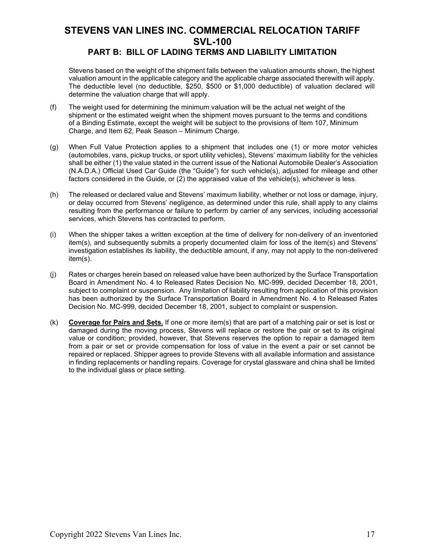### Stevens based on the weight of the shipment falls between the valuation amounts shown, the highest valuation amount in the applicable category and the applicable charge associated therewith will apply. The deductible level (no deductible, \$250, \$500 or \$1,000 deductible) of valuation declared will determine the valuation charge that will apply.

- (f) The weight used for determining the minimum valuation will be the actual net weight of the shipment or the estimated weight when the shipment moves pursuant to the terms and conditions of a Binding Estimate, except the weight will be subject to the provisions of Item 107, Minimum Charge, and Item 62, Peak Season – Minimum Charge.
- (g) When Full Value Protection applies to a shipment that includes one (1) or more motor vehicles (automobiles, vans, pickup trucks, or sport utility vehicles), Stevens' maximum liability for the vehicles shall be either (1) the value stated in the current issue of the National Automobile Dealer's Association (N.A.D.A.) Official Used Car Guide (the "Guide") for such vehicle(s), adjusted for mileage and other factors considered in the Guide, or (2) the appraised value of the vehicle(s), whichever is less.
- (h) The released or declared value and Stevens' maximum liability, whether or not loss or damage, injury, or delay occurred from Stevens' negligence, as determined under this rule, shall apply to any claims resulting from the performance or failure to perform by carrier of any services, including accessorial services, which Stevens has contracted to perform.
- (i) When the shipper takes a written exception at the time of delivery for non-delivery of an inventoried item(s), and subsequently submits a properly documented claim for loss of the item(s) and Stevens' investigation establishes its liability, the deductible amount, if any, may not apply to the non-delivered item(s).
- (j) Rates or charges herein based on released value have been authorized by the Surface Transportation Board in Amendment No. 4 to Released Rates Decision No. MC-999, decided December 18, 2001, subject to complaint or suspension. Any limitation of liability resulting from application of this provision has been authorized by the Surface Transportation Board in Amendment No. 4 to Released Rates Decision No. MC-999, decided December 18, 2001, subject to complaint or suspension.
- (k) **Coverage for Pairs and Sets.** If one or more item(s) that are part of a matching pair or set is lost or damaged during the moving process, Stevens will replace or restore the pair or set to its original value or condition; provided, however, that Stevens reserves the option to repair a damaged item from a pair or set or provide compensation for loss of value in the event a pair or set cannot be repaired or replaced. Shipper agrees to provide Stevens with all available information and assistance in finding replacements or handling repairs. Coverage for crystal glassware and china shall be limited to the individual glass or place setting.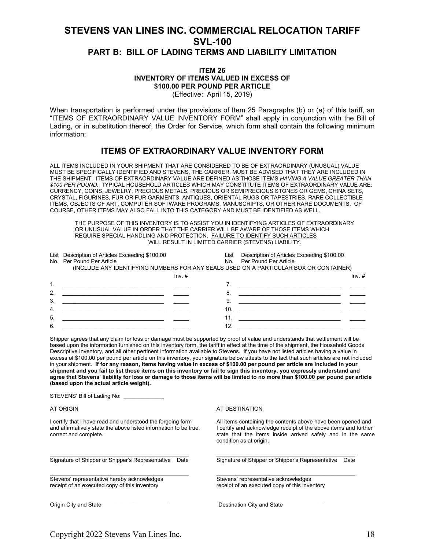#### **ITEM 26 INVENTORY OF ITEMS VALUED IN EXCESS OF \$100.00 PER POUND PER ARTICLE** (Effective: April 15, 2019)

When transportation is performed under the provisions of Item 25 Paragraphs (b) or (e) of this tariff, an "ITEMS OF EXTRAORDINARY VALUE INVENTORY FORM" shall apply in conjunction with the Bill of Lading, or in substitution thereof, the Order for Service, which form shall contain the following minimum information:

### **ITEMS OF EXTRAORDINARY VALUE INVENTORY FORM**

ALL ITEMS INCLUDED IN YOUR SHIPMENT THAT ARE CONSIDERED TO BE OF EXTRAORDINARY (UNUSUAL) VALUE MUST BE SPECIFICALLY IDENTIFIED AND STEVENS, THE CARRIER, MUST BE ADVISED THAT THEY ARE INCLUDED IN THE SHIPMENT. ITEMS OF EXTRAORDINARY VALUE ARE DEFINED AS THOSE ITEMS *HAVING A VALUE GREATER THAN \$100 PER POUND*. TYPICAL HOUSEHOLD ARTICLES WHICH MAY CONSTITUTE ITEMS OF EXTRAORDINARY VALUE ARE: CURRENCY, COINS, JEWELRY, PRECIOUS METALS, PRECIOUS OR SEMIPRECIOUS STONES OR GEMS, CHINA SETS, CRYSTAL, FIGURINES, FUR OR FUR GARMENTS, ANTIQUES, ORIENTAL RUGS OR TAPESTRIES, RARE COLLECTIBLE ITEMS, OBJECTS OF ART, COMPUTER SOFTWARE PROGRAMS, MANUSCRIPTS, OR OTHER RARE DOCUMENTS. OF COURSE, OTHER ITEMS MAY ALSO FALL INTO THIS CATEGORY AND MUST BE IDENTIFIED AS WELL.

THE PURPOSE OF THIS INVENTORY IS TO ASSIST YOU IN IDENTIFYING ARTICLES OF EXTRAORDINARY OR UNUSUAL VALUE IN ORDER THAT THE CARRIER WILL BE AWARE OF THOSE ITEMS WHICH REQUIRE SPECIAL HANDLING AND PROTECTION. FAILURE TO IDENTIFY SUCH ARTICLES WILL RESULT IN LIMITED CARRIER (STEVENS) LIABILITY.

|    | List Description of Articles Exceeding \$100.00<br>No. Per Pound Per Article          | List | Description of Articles Exceeding \$100.00<br>No. Per Pound Per Article |          |
|----|---------------------------------------------------------------------------------------|------|-------------------------------------------------------------------------|----------|
|    |                                                                                       |      |                                                                         |          |
|    | (INCLUDE ANY IDENTIFYING NUMBERS FOR ANY SEALS USED ON A PARTICULAR BOX OR CONTAINER) |      |                                                                         |          |
|    | $Inv.$ #                                                                              |      |                                                                         | $Inv.$ # |
|    |                                                                                       |      |                                                                         |          |
| 2. |                                                                                       | 8.   |                                                                         |          |
| 3. |                                                                                       | 9.   |                                                                         |          |
| 4. |                                                                                       | 10.  |                                                                         |          |
| 5. |                                                                                       | 11.  |                                                                         |          |
| 6. |                                                                                       | 12.  |                                                                         |          |

Shipper agrees that any claim for loss or damage must be supported by proof of value and understands that settlement will be based upon the information furnished on this inventory form, the tariff in effect at the time of the shipment, the Household Goods Descriptive Inventory, and all other pertinent information available to Stevens. If you have not listed articles having a value in excess of \$100.00 per pound per article on this inventory, your signature below attests to the fact that such articles are not included in your shipment. **If for any reason, items having value in excess of \$100.00 per pound per article are included in your shipment and you fail to list those items on this inventory or fail to sign this inventory, you expressly understand and agree that Stevens' liability for loss or damage to those items will be limited to no more than \$100.00 per pound per article (based upon the actual article weight).**

 $\frac{1}{2}$  ,  $\frac{1}{2}$  ,  $\frac{1}{2}$  ,  $\frac{1}{2}$  ,  $\frac{1}{2}$  ,  $\frac{1}{2}$  ,  $\frac{1}{2}$  ,  $\frac{1}{2}$  ,  $\frac{1}{2}$  ,  $\frac{1}{2}$  ,  $\frac{1}{2}$  ,  $\frac{1}{2}$  ,  $\frac{1}{2}$  ,  $\frac{1}{2}$  ,  $\frac{1}{2}$  ,  $\frac{1}{2}$  ,  $\frac{1}{2}$  ,  $\frac{1}{2}$  ,  $\frac{1$ 

STEVENS' Bill of Lading No: \_

Stevens' representative hereby acknowledges<br>
Federal Stevens' representative acknowledges<br>
Stevens' representative acknowledges<br>
Teceipt of an executed copy of this inventory<br>
Stevens' representative acknowledges receipt of an executed copy of this inventory

\_\_\_\_\_\_\_\_\_\_\_\_\_\_\_\_\_\_\_\_\_\_\_\_\_\_\_\_\_\_\_\_\_\_\_\_\_\_ \_\_\_\_\_\_\_\_\_\_\_\_\_\_\_\_\_\_\_\_\_\_\_\_\_\_\_\_\_\_\_\_\_\_

#### AT ORIGIN AT OUTSELL THE STREET WAS ALSO ANDESTINATION

I certify that I have read and understood the forgoing form All items containing the contents above have been opened and and affirmatively state the above listed information to be true, I certify and acknowledge receipt of and affirmatively state the above listed information to be true, I certify and acknowledge receipt of the above items and further correct and complete.<br>
state that the items inside arrived safely and in the same state that the items inside arrived safely and in the same condition as at origin.

\_\_\_\_\_\_\_\_\_\_\_\_\_\_\_\_\_\_\_\_\_\_\_\_\_\_\_\_\_\_\_\_\_\_\_\_\_\_\_\_\_\_\_\_\_ \_\_\_\_\_\_\_\_\_\_\_\_\_\_\_\_\_\_\_\_\_\_\_\_\_\_\_\_\_\_\_\_\_\_\_\_\_\_\_\_\_\_\_\_\_ Signature of Shipper or Shipper's Representative Date Signature of Shipper or Shipper's Representative Date

Origin City and State Destination City and State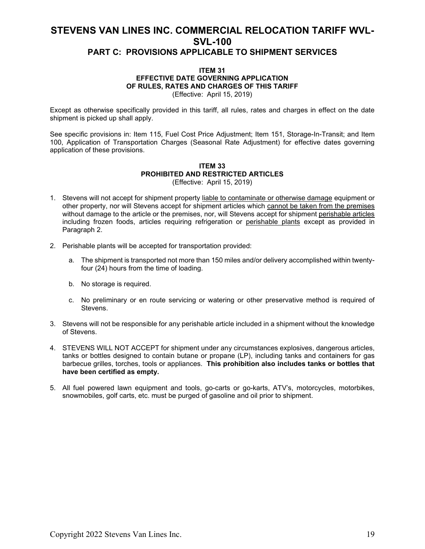#### **ITEM 31 EFFECTIVE DATE GOVERNING APPLICATION OF RULES, RATES AND CHARGES OF THIS TARIFF** (Effective: April 15, 2019)

Except as otherwise specifically provided in this tariff, all rules, rates and charges in effect on the date shipment is picked up shall apply.

See specific provisions in: Item 115, Fuel Cost Price Adjustment; Item 151, Storage-In-Transit; and Item 100, Application of Transportation Charges (Seasonal Rate Adjustment) for effective dates governing application of these provisions.

#### **ITEM 33 PROHIBITED AND RESTRICTED ARTICLES** (Effective: April 15, 2019)

- 1. Stevens will not accept for shipment property liable to contaminate or otherwise damage equipment or other property, nor will Stevens accept for shipment articles which cannot be taken from the premises without damage to the article or the premises, nor, will Stevens accept for shipment perishable articles including frozen foods, articles requiring refrigeration or perishable plants except as provided in Paragraph 2.
- 2. Perishable plants will be accepted for transportation provided:
	- a. The shipment is transported not more than 150 miles and/or delivery accomplished within twentyfour (24) hours from the time of loading.
	- b. No storage is required.
	- c. No preliminary or en route servicing or watering or other preservative method is required of Stevens.
- 3. Stevens will not be responsible for any perishable article included in a shipment without the knowledge of Stevens.
- 4. STEVENS WILL NOT ACCEPT for shipment under any circumstances explosives, dangerous articles, tanks or bottles designed to contain butane or propane (LP), including tanks and containers for gas barbecue grilles, torches, tools or appliances. **This prohibition also includes tanks or bottles that have been certified as empty.**
- 5. All fuel powered lawn equipment and tools, go-carts or go-karts, ATV's, motorcycles, motorbikes, snowmobiles, golf carts, etc. must be purged of gasoline and oil prior to shipment.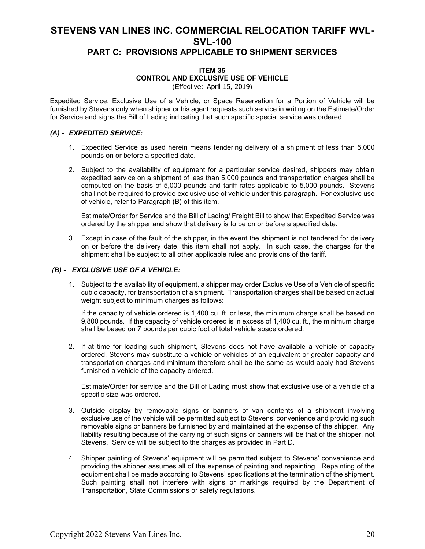#### **ITEM 35 CONTROL AND EXCLUSIVE USE OF VEHICLE** (Effective: April 15, 2019)

Expedited Service, Exclusive Use of a Vehicle, or Space Reservation for a Portion of Vehicle will be furnished by Stevens only when shipper or his agent requests such service in writing on the Estimate/Order for Service and signs the Bill of Lading indicating that such specific special service was ordered.

### *(A) - EXPEDITED SERVICE:*

- 1. Expedited Service as used herein means tendering delivery of a shipment of less than 5,000 pounds on or before a specified date.
- 2. Subject to the availability of equipment for a particular service desired, shippers may obtain expedited service on a shipment of less than 5,000 pounds and transportation charges shall be computed on the basis of 5,000 pounds and tariff rates applicable to 5,000 pounds. Stevens shall not be required to provide exclusive use of vehicle under this paragraph. For exclusive use of vehicle, refer to Paragraph (B) of this item.

Estimate/Order for Service and the Bill of Lading/ Freight Bill to show that Expedited Service was ordered by the shipper and show that delivery is to be on or before a specified date.

3. Except in case of the fault of the shipper, in the event the shipment is not tendered for delivery on or before the delivery date, this item shall not apply. In such case, the charges for the shipment shall be subject to all other applicable rules and provisions of the tariff.

### *(B) - EXCLUSIVE USE OF A VEHICLE:*

1. Subject to the availability of equipment, a shipper may order Exclusive Use of a Vehicle of specific cubic capacity, for transportation of a shipment. Transportation charges shall be based on actual weight subject to minimum charges as follows:

If the capacity of vehicle ordered is 1,400 cu. ft. or less, the minimum charge shall be based on 9,800 pounds. If the capacity of vehicle ordered is in excess of 1,400 cu. ft., the minimum charge shall be based on 7 pounds per cubic foot of total vehicle space ordered.

2. If at time for loading such shipment, Stevens does not have available a vehicle of capacity ordered, Stevens may substitute a vehicle or vehicles of an equivalent or greater capacity and transportation charges and minimum therefore shall be the same as would apply had Stevens furnished a vehicle of the capacity ordered.

Estimate/Order for service and the Bill of Lading must show that exclusive use of a vehicle of a specific size was ordered.

- 3. Outside display by removable signs or banners of van contents of a shipment involving exclusive use of the vehicle will be permitted subject to Stevens' convenience and providing such removable signs or banners be furnished by and maintained at the expense of the shipper. Any liability resulting because of the carrying of such signs or banners will be that of the shipper, not Stevens. Service will be subject to the charges as provided in Part D.
- 4. Shipper painting of Stevens' equipment will be permitted subject to Stevens' convenience and providing the shipper assumes all of the expense of painting and repainting. Repainting of the equipment shall be made according to Stevens' specifications at the termination of the shipment. Such painting shall not interfere with signs or markings required by the Department of Transportation, State Commissions or safety regulations.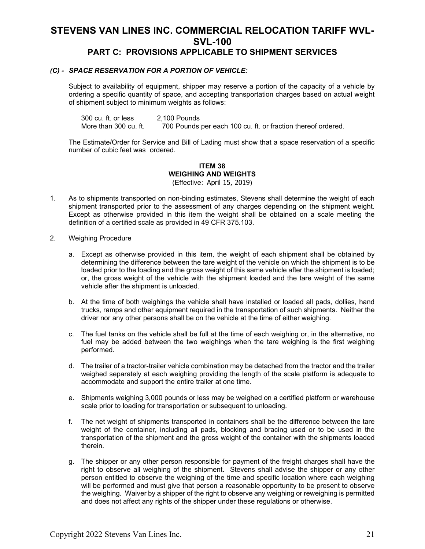### **PART C: PROVISIONS APPLICABLE TO SHIPMENT SERVICES**

### *(C) - SPACE RESERVATION FOR A PORTION OF VEHICLE:*

Subject to availability of equipment, shipper may reserve a portion of the capacity of a vehicle by ordering a specific quantity of space, and accepting transportation charges based on actual weight of shipment subject to minimum weights as follows:

300 cu. ft. or less 2,100 Pounds More than 300 cu. ft. 700 Pounds per each 100 cu. ft. or fraction thereof ordered.

The Estimate/Order for Service and Bill of Lading must show that a space reservation of a specific number of cubic feet was ordered.

### **ITEM 38 WEIGHING AND WEIGHTS** (Effective: April 15, 2019)

- 1. As to shipments transported on non-binding estimates, Stevens shall determine the weight of each shipment transported prior to the assessment of any charges depending on the shipment weight. Except as otherwise provided in this item the weight shall be obtained on a scale meeting the definition of a certified scale as provided in 49 CFR 375.103.
- 2. Weighing Procedure
	- a. Except as otherwise provided in this item, the weight of each shipment shall be obtained by determining the difference between the tare weight of the vehicle on which the shipment is to be loaded prior to the loading and the gross weight of this same vehicle after the shipment is loaded; or, the gross weight of the vehicle with the shipment loaded and the tare weight of the same vehicle after the shipment is unloaded.
	- b. At the time of both weighings the vehicle shall have installed or loaded all pads, dollies, hand trucks, ramps and other equipment required in the transportation of such shipments. Neither the driver nor any other persons shall be on the vehicle at the time of either weighing.
	- c. The fuel tanks on the vehicle shall be full at the time of each weighing or, in the alternative, no fuel may be added between the two weighings when the tare weighing is the first weighing performed.
	- d. The trailer of a tractor-trailer vehicle combination may be detached from the tractor and the trailer weighed separately at each weighing providing the length of the scale platform is adequate to accommodate and support the entire trailer at one time.
	- e. Shipments weighing 3,000 pounds or less may be weighed on a certified platform or warehouse scale prior to loading for transportation or subsequent to unloading.
	- f. The net weight of shipments transported in containers shall be the difference between the tare weight of the container, including all pads, blocking and bracing used or to be used in the transportation of the shipment and the gross weight of the container with the shipments loaded therein.
	- g. The shipper or any other person responsible for payment of the freight charges shall have the right to observe all weighing of the shipment. Stevens shall advise the shipper or any other person entitled to observe the weighing of the time and specific location where each weighing will be performed and must give that person a reasonable opportunity to be present to observe the weighing. Waiver by a shipper of the right to observe any weighing or reweighing is permitted and does not affect any rights of the shipper under these regulations or otherwise.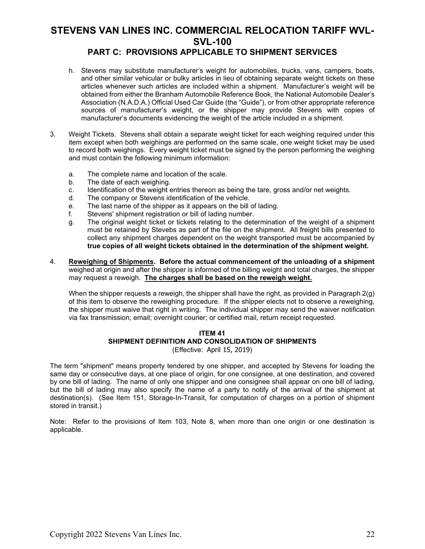# **PART C: PROVISIONS APPLICABLE TO SHIPMENT SERVICES**

- h. Stevens may substitute manufacturer's weight for automobiles, trucks, vans, campers, boats, and other similar vehicular or bulky articles in lieu of obtaining separate weight tickets on these articles whenever such articles are included within a shipment. Manufacturer's weight will be obtained from either the Branham Automobile Reference Book, the National Automobile Dealer's Association (N.A.D.A.) Official Used Car Guide (the "Guide"), or from other appropriate reference sources of manufacturer's weight, or the shipper may provide Stevens with copies of manufacturer's documents evidencing the weight of the article included in a shipment.
- 3. Weight Tickets. Stevens shall obtain a separate weight ticket for each weighing required under this item except when both weighings are performed on the same scale, one weight ticket may be used to record both weighings. Every weight ticket must be signed by the person performing the weighing and must contain the following minimum information:
	- a. The complete name and location of the scale.
	- b. The date of each weighing.
	- c. Identification of the weight entries thereon as being the tare, gross and/or net weights.
	- d. The company or Stevens identification of the vehicle.
	- e. The last name of the shipper as it appears on the bill of lading.
	- f. Stevens' shipment registration or bill of lading number.
	- g. The original weight ticket or tickets relating to the determination of the weight of a shipment must be retained by Stevebs as part of the file on the shipment. All freight bills presented to collect any shipment charges dependent on the weight transported must be accompanied by **true copies of all weight tickets obtained in the determination of the shipment weight.**
- 4. **Reweighing of Shipments. Before the actual commencement of the unloading of a shipment** weighed at origin and after the shipper is informed of the billing weight and total charges, the shipper may request a reweigh. **The charges shall be based on the reweigh weight.**

When the shipper requests a reweigh, the shipper shall have the right, as provided in Paragraph 2(g) of this item to observe the reweighing procedure. If the shipper elects not to observe a reweighing, the shipper must waive that right in writing. The individual shipper may send the waiver notification via fax transmission; email; overnight courier; or certified mail, return receipt requested.

#### **ITEM 41 SHIPMENT DEFINITION AND CONSOLIDATION OF SHIPMENTS** (Effective: April 15, 2019)

The term "shipment" means property tendered by one shipper, and accepted by Stevens for loading the same day or consecutive days, at one place of origin, for one consignee, at one destination, and covered by one bill of lading. The name of only one shipper and one consignee shall appear on one bill of lading, but the bill of lading may also specify the name of a party to notify of the arrival of the shipment at destination(s). (See Item 151, Storage-In-Transit, for computation of charges on a portion of shipment stored in transit.)

Note: Refer to the provisions of Item 103, Note 8, when more than one origin or one destination is applicable.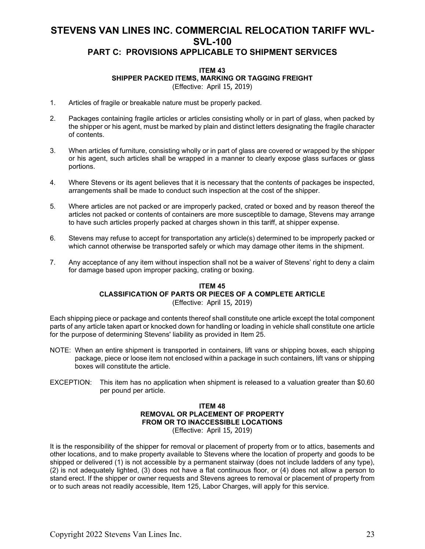#### **ITEM 43 SHIPPER PACKED ITEMS, MARKING OR TAGGING FREIGHT** (Effective: April 15, 2019)

1. Articles of fragile or breakable nature must be properly packed.

- 2. Packages containing fragile articles or articles consisting wholly or in part of glass, when packed by the shipper or his agent, must be marked by plain and distinct letters designating the fragile character of contents.
- 3. When articles of furniture, consisting wholly or in part of glass are covered or wrapped by the shipper or his agent, such articles shall be wrapped in a manner to clearly expose glass surfaces or glass portions.
- 4. Where Stevens or its agent believes that it is necessary that the contents of packages be inspected, arrangements shall be made to conduct such inspection at the cost of the shipper.
- 5. Where articles are not packed or are improperly packed, crated or boxed and by reason thereof the articles not packed or contents of containers are more susceptible to damage, Stevens may arrange to have such articles properly packed at charges shown in this tariff, at shipper expense.
- 6. Stevens may refuse to accept for transportation any article(s) determined to be improperly packed or which cannot otherwise be transported safely or which may damage other items in the shipment.
- 7. Any acceptance of any item without inspection shall not be a waiver of Stevens' right to deny a claim for damage based upon improper packing, crating or boxing.

### **ITEM 45 CLASSIFICATION OF PARTS OR PIECES OF A COMPLETE ARTICLE** (Effective: April 15, 2019)

Each shipping piece or package and contents thereof shall constitute one article except the total component parts of any article taken apart or knocked down for handling or loading in vehicle shall constitute one article for the purpose of determining Stevens' liability as provided in Item 25.

- NOTE: When an entire shipment is transported in containers, lift vans or shipping boxes, each shipping package, piece or loose item not enclosed within a package in such containers, lift vans or shipping boxes will constitute the article.
- EXCEPTION: This item has no application when shipment is released to a valuation greater than \$0.60 per pound per article.

### **ITEM 48 REMOVAL OR PLACEMENT OF PROPERTY FROM OR TO INACCESSIBLE LOCATIONS** (Effective: April 15, 2019)

It is the responsibility of the shipper for removal or placement of property from or to attics, basements and other locations, and to make property available to Stevens where the location of property and goods to be shipped or delivered (1) is not accessible by a permanent stairway (does not include ladders of any type), (2) is not adequately lighted, (3) does not have a flat continuous floor, or (4) does not allow a person to stand erect. If the shipper or owner requests and Stevens agrees to removal or placement of property from or to such areas not readily accessible, Item 125, Labor Charges, will apply for this service.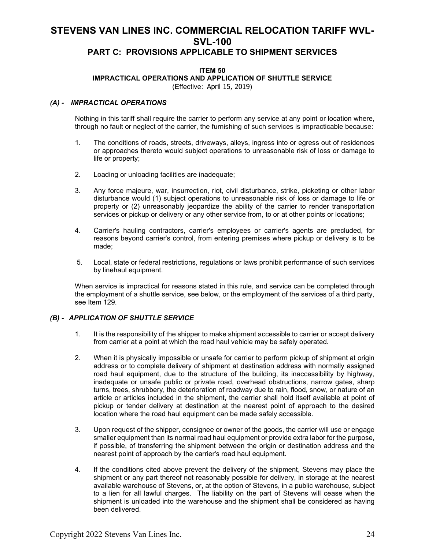### **PART C: PROVISIONS APPLICABLE TO SHIPMENT SERVICES**

#### **ITEM 50 IMPRACTICAL OPERATIONS AND APPLICATION OF SHUTTLE SERVICE** (Effective: April 15, 2019)

### *(A) - IMPRACTICAL OPERATIONS*

Nothing in this tariff shall require the carrier to perform any service at any point or location where, through no fault or neglect of the carrier, the furnishing of such services is impracticable because:

- 1. The conditions of roads, streets, driveways, alleys, ingress into or egress out of residences or approaches thereto would subject operations to unreasonable risk of loss or damage to life or property;
- 2. Loading or unloading facilities are inadequate;
- 3. Any force majeure, war, insurrection, riot, civil disturbance, strike, picketing or other labor disturbance would (1) subject operations to unreasonable risk of loss or damage to life or property or (2) unreasonably jeopardize the ability of the carrier to render transportation services or pickup or delivery or any other service from, to or at other points or locations;
- 4. Carrier's hauling contractors, carrier's employees or carrier's agents are precluded, for reasons beyond carrier's control, from entering premises where pickup or delivery is to be made;
- 5. Local, state or federal restrictions, regulations or laws prohibit performance of such services by linehaul equipment.

When service is impractical for reasons stated in this rule, and service can be completed through the employment of a shuttle service, see below, or the employment of the services of a third party, see Item 129.

### *(B) - APPLICATION OF SHUTTLE SERVICE*

- 1. It is the responsibility of the shipper to make shipment accessible to carrier or accept delivery from carrier at a point at which the road haul vehicle may be safely operated.
- 2. When it is physically impossible or unsafe for carrier to perform pickup of shipment at origin address or to complete delivery of shipment at destination address with normally assigned road haul equipment, due to the structure of the building, its inaccessibility by highway, inadequate or unsafe public or private road, overhead obstructions, narrow gates, sharp turns, trees, shrubbery, the deterioration of roadway due to rain, flood, snow, or nature of an article or articles included in the shipment, the carrier shall hold itself available at point of pickup or tender delivery at destination at the nearest point of approach to the desired location where the road haul equipment can be made safely accessible.
- 3. Upon request of the shipper, consignee or owner of the goods, the carrier will use or engage smaller equipment than its normal road haul equipment or provide extra labor for the purpose, if possible, of transferring the shipment between the origin or destination address and the nearest point of approach by the carrier's road haul equipment.
- 4. If the conditions cited above prevent the delivery of the shipment, Stevens may place the shipment or any part thereof not reasonably possible for delivery, in storage at the nearest available warehouse of Stevens, or, at the option of Stevens, in a public warehouse, subject to a lien for all lawful charges. The liability on the part of Stevens will cease when the shipment is unloaded into the warehouse and the shipment shall be considered as having been delivered.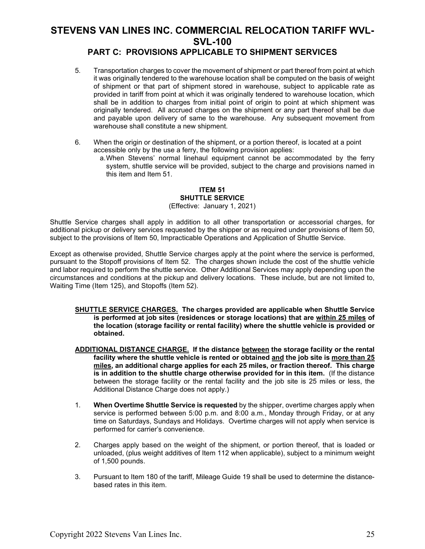### **PART C: PROVISIONS APPLICABLE TO SHIPMENT SERVICES**

- 5. Transportation charges to cover the movement of shipment or part thereof from point at which it was originally tendered to the warehouse location shall be computed on the basis of weight of shipment or that part of shipment stored in warehouse, subject to applicable rate as provided in tariff from point at which it was originally tendered to warehouse location, which shall be in addition to charges from initial point of origin to point at which shipment was originally tendered. All accrued charges on the shipment or any part thereof shall be due and payable upon delivery of same to the warehouse. Any subsequent movement from warehouse shall constitute a new shipment.
- 6. When the origin or destination of the shipment, or a portion thereof, is located at a point accessible only by the use a ferry, the following provision applies:
	- a.When Stevens' normal linehaul equipment cannot be accommodated by the ferry system, shuttle service will be provided, subject to the charge and provisions named in this item and Item 51.

#### **ITEM 51 SHUTTLE SERVICE** (Effective: January 1, 2021)

Shuttle Service charges shall apply in addition to all other transportation or accessorial charges, for additional pickup or delivery services requested by the shipper or as required under provisions of Item 50, subject to the provisions of Item 50, Impracticable Operations and Application of Shuttle Service.

Except as otherwise provided, Shuttle Service charges apply at the point where the service is performed, pursuant to the Stopoff provisions of Item 52. The charges shown include the cost of the shuttle vehicle and labor required to perform the shuttle service. Other Additional Services may apply depending upon the circumstances and conditions at the pickup and delivery locations. These include, but are not limited to, Waiting Time (Item 125), and Stopoffs (Item 52).

- **SHUTTLE SERVICE CHARGES. The charges provided are applicable when Shuttle Service is performed at job sites (residences or storage locations) that are within 25 miles of the location (storage facility or rental facility) where the shuttle vehicle is provided or obtained.**
- **ADDITIONAL DISTANCE CHARGE. If the distance between the storage facility or the rental facility where the shuttle vehicle is rented or obtained and the job site is more than 25 miles, an additional charge applies for each 25 miles, or fraction thereof. This charge is in addition to the shuttle charge otherwise provided for in this item.** (If the distance between the storage facility or the rental facility and the job site is 25 miles or less, the Additional Distance Charge does not apply.)
- 1. **When Overtime Shuttle Service is requested** by the shipper, overtime charges apply when service is performed between 5:00 p.m. and 8:00 a.m., Monday through Friday, or at any time on Saturdays, Sundays and Holidays. Overtime charges will not apply when service is performed for carrier's convenience.
- 2. Charges apply based on the weight of the shipment, or portion thereof, that is loaded or unloaded, (plus weight additives of Item 112 when applicable), subject to a minimum weight of 1,500 pounds.
- 3. Pursuant to Item 180 of the tariff, Mileage Guide 19 shall be used to determine the distancebased rates in this item.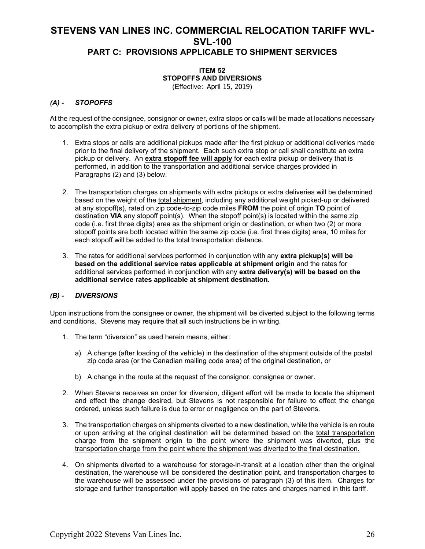#### **ITEM 52 STOPOFFS AND DIVERSIONS** (Effective: April 15, 2019)

### *(A) - STOPOFFS*

At the request of the consignee, consignor or owner, extra stops or calls will be made at locations necessary to accomplish the extra pickup or extra delivery of portions of the shipment.

- 1. Extra stops or calls are additional pickups made after the first pickup or additional deliveries made prior to the final delivery of the shipment. Each such extra stop or call shall constitute an extra pickup or delivery. An **extra stopoff fee will apply** for each extra pickup or delivery that is performed, in addition to the transportation and additional service charges provided in Paragraphs (2) and (3) below.
- 2. The transportation charges on shipments with extra pickups or extra deliveries will be determined based on the weight of the total shipment, including any additional weight picked-up or delivered at any stopoff(s), rated on zip code-to-zip code miles **FROM** the point of origin **TO** point of destination **VIA** any stopoff point(s). When the stopoff point(s) is located within the same zip code (i.e. first three digits) area as the shipment origin or destination, or when two (2) or more stopoff points are both located within the same zip code (i.e. first three digits) area, 10 miles for each stopoff will be added to the total transportation distance.
- 3. The rates for additional services performed in conjunction with any **extra pickup(s) will be based on the additional service rates applicable at shipment origin** and the rates for additional services performed in conjunction with any **extra delivery(s) will be based on the additional service rates applicable at shipment destination.**

### *(B) - DIVERSIONS*

Upon instructions from the consignee or owner, the shipment will be diverted subject to the following terms and conditions. Stevens may require that all such instructions be in writing.

- 1. The term "diversion" as used herein means, either:
	- a) A change (after loading of the vehicle) in the destination of the shipment outside of the postal zip code area (or the Canadian mailing code area) of the original destination, or
	- b) A change in the route at the request of the consignor, consignee or owner.
- 2. When Stevens receives an order for diversion, diligent effort will be made to locate the shipment and effect the change desired, but Stevens is not responsible for failure to effect the change ordered, unless such failure is due to error or negligence on the part of Stevens.
- 3. The transportation charges on shipments diverted to a new destination, while the vehicle is en route or upon arriving at the original destination will be determined based on the total transportation charge from the shipment origin to the point where the shipment was diverted, plus the transportation charge from the point where the shipment was diverted to the final destination.
- 4. On shipments diverted to a warehouse for storage-in-transit at a location other than the original destination, the warehouse will be considered the destination point, and transportation charges to the warehouse will be assessed under the provisions of paragraph (3) of this item. Charges for storage and further transportation will apply based on the rates and charges named in this tariff.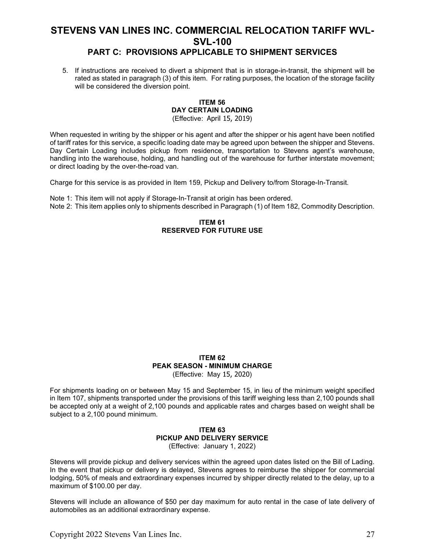### **PART C: PROVISIONS APPLICABLE TO SHIPMENT SERVICES**

5. If instructions are received to divert a shipment that is in storage-in-transit, the shipment will be rated as stated in paragraph (3) of this item. For rating purposes, the location of the storage facility will be considered the diversion point.

#### **ITEM 56 DAY CERTAIN LOADING** (Effective: April 15, 2019)

When requested in writing by the shipper or his agent and after the shipper or his agent have been notified of tariff rates for this service, a specific loading date may be agreed upon between the shipper and Stevens. Day Certain Loading includes pickup from residence, transportation to Stevens agent's warehouse, handling into the warehouse, holding, and handling out of the warehouse for further interstate movement; or direct loading by the over-the-road van.

Charge for this service is as provided in Item 159, Pickup and Delivery to/from Storage-In-Transit.

Note 1: This item will not apply if Storage-In-Transit at origin has been ordered. Note 2: This item applies only to shipments described in Paragraph (1) of Item 182, Commodity Description.

> **ITEM 61 RESERVED FOR FUTURE USE**

# **ITEM 62 PEAK SEASON - MINIMUM CHARGE**

(Effective: May 15, 2020)

For shipments loading on or between May 15 and September 15, in lieu of the minimum weight specified in Item 107, shipments transported under the provisions of this tariff weighing less than 2,100 pounds shall be accepted only at a weight of 2,100 pounds and applicable rates and charges based on weight shall be subject to a 2,100 pound minimum.

### **ITEM 63 PICKUP AND DELIVERY SERVICE**

(Effective: January 1, 2022)

Stevens will provide pickup and delivery services within the agreed upon dates listed on the Bill of Lading. In the event that pickup or delivery is delayed, Stevens agrees to reimburse the shipper for commercial lodging, 50% of meals and extraordinary expenses incurred by shipper directly related to the delay, up to a maximum of \$100.00 per day.

Stevens will include an allowance of \$50 per day maximum for auto rental in the case of late delivery of automobiles as an additional extraordinary expense.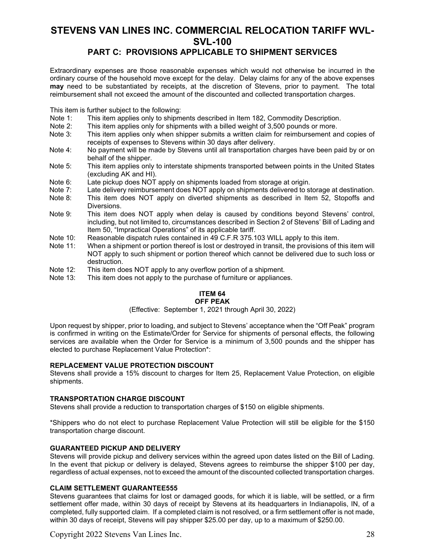### **PART C: PROVISIONS APPLICABLE TO SHIPMENT SERVICES**

Extraordinary expenses are those reasonable expenses which would not otherwise be incurred in the ordinary course of the household move except for the delay. Delay claims for any of the above expenses **may** need to be substantiated by receipts, at the discretion of Stevens, prior to payment. The total reimbursement shall not exceed the amount of the discounted and collected transportation charges.

This item is further subject to the following:

- Note 1: This item applies only to shipments described in Item 182, Commodity Description.<br>Note 2: This item applies only for shipments with a billed weight of 3,500 pounds or more.
- Note 2: This item applies only for shipments with a billed weight of 3,500 pounds or more.<br>Note 3: This item applies only when shipper submits a written claim for reimbursement an
- This item applies only when shipper submits a written claim for reimbursement and copies of receipts of expenses to Stevens within 30 days after delivery.
- Note 4: No payment will be made by Stevens until all transportation charges have been paid by or on behalf of the shipper.
- Note 5: This item applies only to interstate shipments transported between points in the United States (excluding AK and HI).
- Note 6: Late pickup does NOT apply on shipments loaded from storage at origin.<br>Note 7: Late delivery reimbursement does NOT apply on shipments delivered to st
- Note 7: Late delivery reimbursement does NOT apply on shipments delivered to storage at destination.<br>Note 8: This item does NOT apply on diverted shipments as described in Item 52. Stopoffs and
- This item does NOT apply on diverted shipments as described in Item 52, Stopoffs and Diversions.
- Note 9: This item does NOT apply when delay is caused by conditions beyond Stevens' control, including, but not limited to, circumstances described in Section 2 of Stevens' Bill of Lading and Item 50, "Impractical Operations" of its applicable tariff.
- Note 10: Reasonable dispatch rules contained in 49 C.F.R 375.103 WILL apply to this item.
- Note 11: When a shipment or portion thereof is lost or destroyed in transit, the provisions of this item will NOT apply to such shipment or portion thereof which cannot be delivered due to such loss or destruction.
- Note 12: This item does NOT apply to any overflow portion of a shipment.
- Note 13: This item does not apply to the purchase of furniture or appliances.

#### **ITEM 64 OFF PEAK**

### (Effective: September 1, 2021 through April 30, 2022)

Upon request by shipper, prior to loading, and subject to Stevens' acceptance when the "Off Peak" program is confirmed in writing on the Estimate/Order for Service for shipments of personal effects, the following services are available when the Order for Service is a minimum of 3,500 pounds and the shipper has elected to purchase Replacement Value Protection\*:

### **REPLACEMENT VALUE PROTECTION DISCOUNT**

Stevens shall provide a 15% discount to charges for Item 25, Replacement Value Protection, on eligible shipments.

### **TRANSPORTATION CHARGE DISCOUNT**

Stevens shall provide a reduction to transportation charges of \$150 on eligible shipments.

\*Shippers who do not elect to purchase Replacement Value Protection will still be eligible for the \$150 transportation charge discount.

### **GUARANTEED PICKUP AND DELIVERY**

Stevens will provide pickup and delivery services within the agreed upon dates listed on the Bill of Lading. In the event that pickup or delivery is delayed, Stevens agrees to reimburse the shipper \$100 per day, regardless of actual expenses, not to exceed the amount of the discounted collected transportation charges.

### **CLAIM SETTLEMENT GUARANTEE555**

Stevens guarantees that claims for lost or damaged goods, for which it is liable, will be settled, or a firm settlement offer made, within 30 days of receipt by Stevens at its headquarters in Indianapolis, IN, of a completed, fully supported claim. If a completed claim is not resolved, or a firm settlement offer is not made, within 30 days of receipt, Stevens will pay shipper \$25.00 per day, up to a maximum of \$250.00.

Copyright 2022 Stevens Van Lines Inc. 28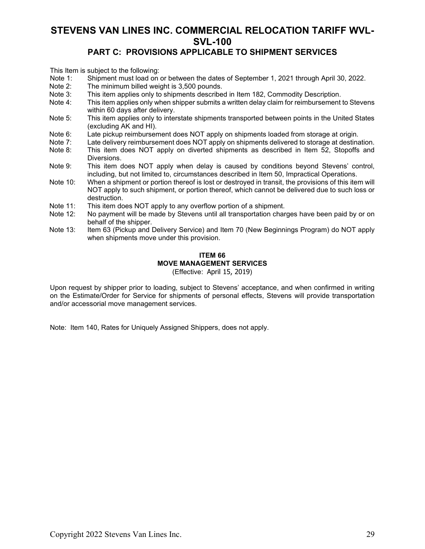### **PART C: PROVISIONS APPLICABLE TO SHIPMENT SERVICES**

This Item is subject to the following:

- Note 1: Shipment must load on or between the dates of September 1, 2021 through April 30, 2022.
- Note 2: The minimum billed weight is 3,500 pounds.<br>Note 3: This item applies only to shipments describe
- Note 3: This item applies only to shipments described in Item 182, Commodity Description.<br>Note 4: This item applies only when shipper submits a written delay claim for reimbursement in
- This item applies only when shipper submits a written delay claim for reimbursement to Stevens within 60 days after delivery.
- Note 5: This item applies only to interstate shipments transported between points in the United States (excluding AK and HI).
- Note 6: Late pickup reimbursement does NOT apply on shipments loaded from storage at origin.<br>Note 7: Late delivery reimbursement does NOT apply on shipments delivered to storage at destina
- Note 7: Late delivery reimbursement does NOT apply on shipments delivered to storage at destination.<br>Note 8: This item does NOT apply on diverted shipments as described in Item 52. Stopoffs and
- This item does NOT apply on diverted shipments as described in Item 52. Stopoffs and Diversions.
- Note 9: This item does NOT apply when delay is caused by conditions beyond Stevens' control, including, but not limited to, circumstances described in Item 50, Impractical Operations.
- Note 10: When a shipment or portion thereof is lost or destroyed in transit, the provisions of this item will NOT apply to such shipment, or portion thereof, which cannot be delivered due to such loss or destruction.
- Note 11: This item does NOT apply to any overflow portion of a shipment.<br>Note 12: No payment will be made by Stevens until all transportation chare
- No payment will be made by Stevens until all transportation charges have been paid by or on behalf of the shipper.
- Note 13: Item 63 (Pickup and Delivery Service) and Item 70 (New Beginnings Program) do NOT apply when shipments move under this provision.

#### **ITEM 66 MOVE MANAGEMENT SERVICES** (Effective: April 15, 2019)

Upon request by shipper prior to loading, subject to Stevens' acceptance, and when confirmed in writing on the Estimate/Order for Service for shipments of personal effects, Stevens will provide transportation and/or accessorial move management services.

Note: Item 140, Rates for Uniquely Assigned Shippers, does not apply.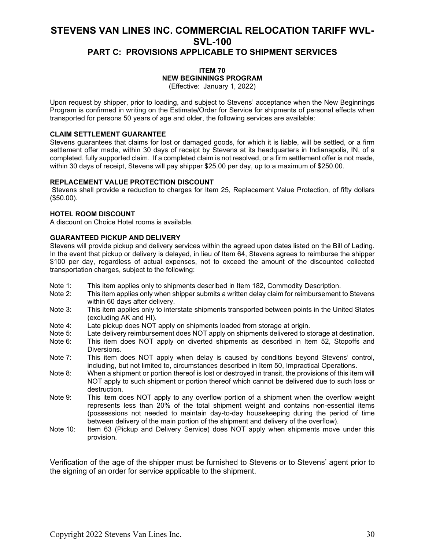### **ITEM 70 NEW BEGINNINGS PROGRAM**

(Effective: January 1, 2022)

Upon request by shipper, prior to loading, and subject to Stevens' acceptance when the New Beginnings Program is confirmed in writing on the Estimate/Order for Service for shipments of personal effects when transported for persons 50 years of age and older, the following services are available:

### **CLAIM SETTLEMENT GUARANTEE**

Stevens guarantees that claims for lost or damaged goods, for which it is liable, will be settled, or a firm settlement offer made, within 30 days of receipt by Stevens at its headquarters in Indianapolis, IN, of a completed, fully supported claim. If a completed claim is not resolved, or a firm settlement offer is not made, within 30 days of receipt, Stevens will pay shipper \$25.00 per day, up to a maximum of \$250.00.

### **REPLACEMENT VALUE PROTECTION DISCOUNT**

Stevens shall provide a reduction to charges for Item 25, Replacement Value Protection, of fifty dollars (\$50.00).

### **HOTEL ROOM DISCOUNT**

A discount on Choice Hotel rooms is available.

### **GUARANTEED PICKUP AND DELIVERY**

Stevens will provide pickup and delivery services within the agreed upon dates listed on the Bill of Lading. In the event that pickup or delivery is delayed, in lieu of Item 64, Stevens agrees to reimburse the shipper \$100 per day, regardless of actual expenses, not to exceed the amount of the discounted collected transportation charges, subject to the following:

- Note 1: This item applies only to shipments described in Item 182, Commodity Description.<br>Note 2: This item applies only when shipper submits a written delay claim for reimbursement
- This item applies only when shipper submits a written delay claim for reimbursement to Stevens within 60 days after delivery.
- Note 3: This item applies only to interstate shipments transported between points in the United States (excluding AK and HI).
- Note 4: Late pickup does NOT apply on shipments loaded from storage at origin.<br>Note 5: Late delivery reimbursement does NOT apply on shipments delivered to st
- Note 5: Late delivery reimbursement does NOT apply on shipments delivered to storage at destination.<br>Note 6: This item does NOT apply on diverted shipments as described in Item 52. Stopoffs and
- This item does NOT apply on diverted shipments as described in Item 52, Stopoffs and Diversions.
- Note 7: This item does NOT apply when delay is caused by conditions beyond Stevens' control, including, but not limited to, circumstances described in Item 50, Impractical Operations.
- Note 8: When a shipment or portion thereof is lost or destroyed in transit, the provisions of this item will NOT apply to such shipment or portion thereof which cannot be delivered due to such loss or destruction.
- Note 9: This item does NOT apply to any overflow portion of a shipment when the overflow weight represents less than 20% of the total shipment weight and contains non-essential items (possessions not needed to maintain day-to-day housekeeping during the period of time between delivery of the main portion of the shipment and delivery of the overflow).
- Note 10: Item 63 (Pickup and Delivery Service) does NOT apply when shipments move under this provision.

Verification of the age of the shipper must be furnished to Stevens or to Stevens' agent prior to the signing of an order for service applicable to the shipment.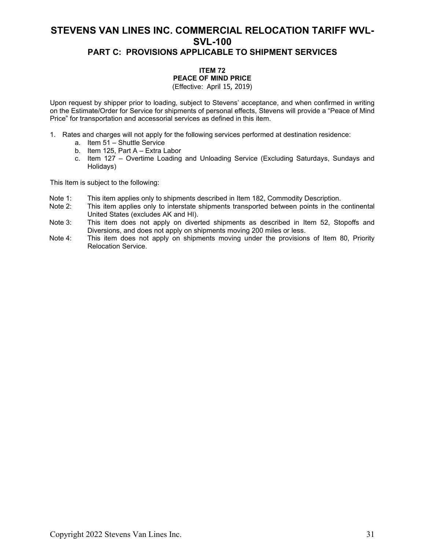# **ITEM 72 PEACE OF MIND PRICE**

(Effective: April 15, 2019)

Upon request by shipper prior to loading, subject to Stevens' acceptance, and when confirmed in writing on the Estimate/Order for Service for shipments of personal effects, Stevens will provide a "Peace of Mind Price" for transportation and accessorial services as defined in this item.

- 1. Rates and charges will not apply for the following services performed at destination residence:
	- a. Item 51 Shuttle Service
	- b. Item 125, Part A Extra Labor
	- c. Item 127 Overtime Loading and Unloading Service (Excluding Saturdays, Sundays and Holidays)

This Item is subject to the following:

- Note 1: This item applies only to shipments described in Item 182, Commodity Description.<br>Note 2: This item applies only to interstate shipments transported between points in the o
- This item applies only to interstate shipments transported between points in the continental United States (excludes AK and HI).
- Note 3: This item does not apply on diverted shipments as described in Item 52, Stopoffs and Diversions, and does not apply on shipments moving 200 miles or less.
- Note 4: This item does not apply on shipments moving under the provisions of Item 80, Priority Relocation Service.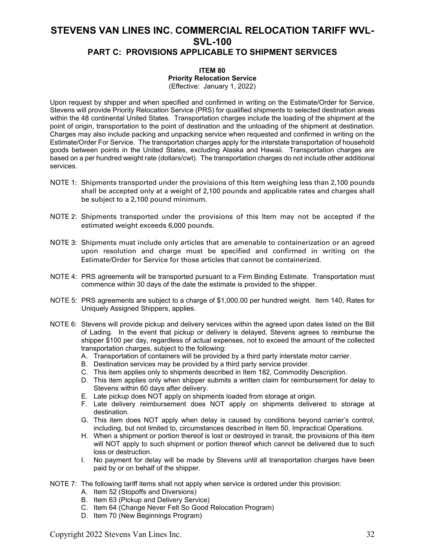# **ITEM 80 Priority Relocation Service**

(Effective: January 1, 2022)

Upon request by shipper and when specified and confirmed in writing on the Estimate/Order for Service, Stevens will provide Priority Relocation Service (PRS) for qualified shipments to selected destination areas within the 48 continental United States. Transportation charges include the loading of the shipment at the point of origin, transportation to the point of destination and the unloading of the shipment at destination. Charges may also include packing and unpacking service when requested and confirmed in writing on the Estimate/Order For Service. The transportation charges apply for the interstate transportation of household goods between points in the United States, excluding Alaska and Hawaii. Transportation charges are based on a per hundred weight rate (dollars/cwt). The transportation charges do not include other additional services.

- NOTE 1: Shipments transported under the provisions of this Item weighing less than 2,100 pounds shall be accepted only at a weight of 2,100 pounds and applicable rates and charges shall be subject to a 2,100 pound minimum.
- NOTE 2: Shipments transported under the provisions of this Item may not be accepted if the estimated weight exceeds 6,000 pounds.
- NOTE 3: Shipments must include only articles that are amenable to containerization or an agreed upon resolution and charge must be specified and confirmed in writing on the Estimate/Order for Service for those articles that cannot be containerized.
- NOTE 4: PRS agreements will be transported pursuant to a Firm Binding Estimate. Transportation must commence within 30 days of the date the estimate is provided to the shipper.
- NOTE 5: PRS agreements are subject to a charge of \$1,000.00 per hundred weight. Item 140, Rates for Uniquely Assigned Shippers, applies.
- NOTE 6: Stevens will provide pickup and delivery services within the agreed upon dates listed on the Bill of Lading. In the event that pickup or delivery is delayed, Stevens agrees to reimburse the shipper \$100 per day, regardless of actual expenses, not to exceed the amount of the collected transportation charges, subject to the following:
	- A. Transportation of containers will be provided by a third party interstate motor carrier.
	- B. Destination services may be provided by a third party service provider.
	- C. This item applies only to shipments described in Item 182, Commodity Description.
	- D. This item applies only when shipper submits a written claim for reimbursement for delay to Stevens within 60 days after delivery.
	- E. Late pickup does NOT apply on shipments loaded from storage at origin.
	- F. Late delivery reimbursement does NOT apply on shipments delivered to storage at destination.
	- G. This item does NOT apply when delay is caused by conditions beyond carrier's control, including, but not limited to, circumstances described in Item 50, Impractical Operations.
	- H. When a shipment or portion thereof is lost or destroyed in transit, the provisions of this item will NOT apply to such shipment or portion thereof which cannot be delivered due to such loss or destruction.
	- I. No payment for delay will be made by Stevens until all transportation charges have been paid by or on behalf of the shipper.
- NOTE 7: The following tariff items shall not apply when service is ordered under this provision:
	- A. Item 52 (Stopoffs and Diversions)
	- B. Item 63 (Pickup and Delivery Service)
	- C. Item 64 (Change Never Felt So Good Relocation Program)
	- D. Item 70 (New Beginnings Program)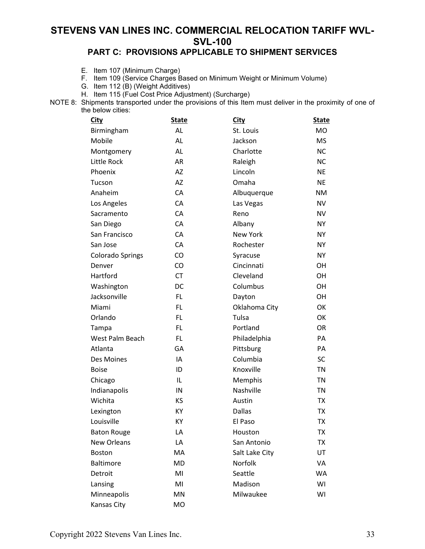# **PART C: PROVISIONS APPLICABLE TO SHIPMENT SERVICES**

- E. Item 107 (Minimum Charge)
- F. Item 109 (Service Charges Based on Minimum Weight or Minimum Volume)
- G. Item 112 (B) (Weight Additives)
- H. Item 115 (Fuel Cost Price Adjustment) (Surcharge)
- NOTE 8: Shipments transported under the provisions of this Item must deliver in the proximity of one of the below cities:

| City                    | <b>State</b> | City            | <b>State</b> |
|-------------------------|--------------|-----------------|--------------|
| Birmingham              | <b>AL</b>    | St. Louis       | <b>MO</b>    |
| Mobile                  | <b>AL</b>    | Jackson         | <b>MS</b>    |
| Montgomery              | AL           | Charlotte       | <b>NC</b>    |
| Little Rock             | <b>AR</b>    | Raleigh         | <b>NC</b>    |
| Phoenix                 | AZ           | Lincoln         | <b>NE</b>    |
| Tucson                  | <b>AZ</b>    | Omaha           | <b>NE</b>    |
| Anaheim                 | CA           | Albuquerque     | <b>NM</b>    |
| Los Angeles             | CA           | Las Vegas       | <b>NV</b>    |
| Sacramento              | CA           | Reno            | <b>NV</b>    |
| San Diego               | CA           | Albany          | <b>NY</b>    |
| San Francisco           | CA           | <b>New York</b> | <b>NY</b>    |
| San Jose                | CA           | Rochester       | <b>NY</b>    |
| <b>Colorado Springs</b> | CO           | Syracuse        | <b>NY</b>    |
| Denver                  | CO           | Cincinnati      | OH           |
| Hartford                | <b>CT</b>    | Cleveland       | OH           |
| Washington              | DC           | Columbus        | OH           |
| Jacksonville            | <b>FL</b>    | Dayton          | <b>OH</b>    |
| Miami                   | FL.          | Oklahoma City   | OK           |
| Orlando                 | <b>FL</b>    | Tulsa           | OK           |
| Tampa                   | FL           | Portland        | <b>OR</b>    |
| West Palm Beach         | <b>FL</b>    | Philadelphia    | PA           |
| Atlanta                 | GA           | Pittsburg       | PA           |
| Des Moines              | IA           | Columbia        | <b>SC</b>    |
| <b>Boise</b>            | ID           | Knoxville       | <b>TN</b>    |
| Chicago                 | IL           | Memphis         | <b>TN</b>    |
| Indianapolis            | IN           | Nashville       | <b>TN</b>    |
| Wichita                 | KS           | Austin          | <b>TX</b>    |
| Lexington               | KY           | <b>Dallas</b>   | <b>TX</b>    |
| Louisville              | KY           | El Paso         | <b>TX</b>    |
| <b>Baton Rouge</b>      | LA           | Houston         | ТX           |
| <b>New Orleans</b>      | LA           | San Antonio     | <b>TX</b>    |
| <b>Boston</b>           | MA           | Salt Lake City  | UT           |
| <b>Baltimore</b>        | <b>MD</b>    | Norfolk         | VA           |
| Detroit                 | MI           | Seattle         | WA           |
| Lansing                 | MI           | Madison         | WI           |
| Minneapolis             | MN           | Milwaukee       | WI           |
| Kansas City             | <b>MO</b>    |                 |              |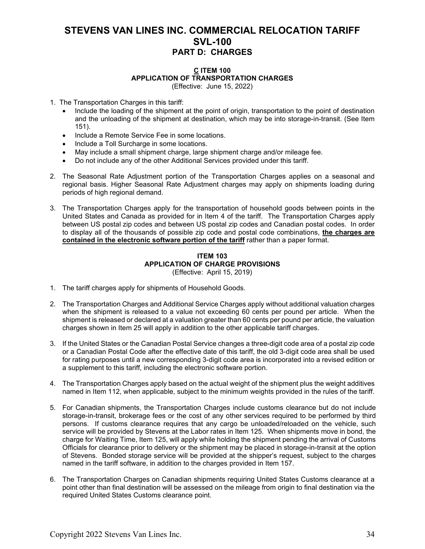# **C ITEM 100 APPLICATION OF TRANSPORTATION CHARGES**

(Effective: June 15, 2022)

- 1. The Transportation Charges in this tariff:
	- Include the loading of the shipment at the point of origin, transportation to the point of destination and the unloading of the shipment at destination, which may be into storage-in-transit. (See Item 151).
	- Include a Remote Service Fee in some locations.
	- Include a Toll Surcharge in some locations.
	- May include a small shipment charge, large shipment charge and/or mileage fee.
	- Do not include any of the other Additional Services provided under this tariff.
- 2. The Seasonal Rate Adjustment portion of the Transportation Charges applies on a seasonal and regional basis. Higher Seasonal Rate Adjustment charges may apply on shipments loading during periods of high regional demand.
- 3. The Transportation Charges apply for the transportation of household goods between points in the United States and Canada as provided for in Item 4 of the tariff. The Transportation Charges apply between US postal zip codes and between US postal zip codes and Canadian postal codes. In order to display all of the thousands of possible zip code and postal code combinations, **the charges are contained in the electronic software portion of the tariff** rather than a paper format.

#### **ITEM 103 APPLICATION OF CHARGE PROVISIONS** (Effective: April 15, 2019)

- 1. The tariff charges apply for shipments of Household Goods.
- 2. The Transportation Charges and Additional Service Charges apply without additional valuation charges when the shipment is released to a value not exceeding 60 cents per pound per article. When the shipment is released or declared at a valuation greater than 60 cents per pound per article, the valuation charges shown in Item 25 will apply in addition to the other applicable tariff charges.
- 3. If the United States or the Canadian Postal Service changes a three-digit code area of a postal zip code or a Canadian Postal Code after the effective date of this tariff, the old 3-digit code area shall be used for rating purposes until a new corresponding 3-digit code area is incorporated into a revised edition or a supplement to this tariff, including the electronic software portion.
- 4. The Transportation Charges apply based on the actual weight of the shipment plus the weight additives named in Item 112, when applicable, subject to the minimum weights provided in the rules of the tariff.
- 5. For Canadian shipments, the Transportation Charges include customs clearance but do not include storage-in-transit, brokerage fees or the cost of any other services required to be performed by third persons. If customs clearance requires that any cargo be unloaded/reloaded on the vehicle, such service will be provided by Stevens at the Labor rates in Item 125. When shipments move in bond, the charge for Waiting Time, Item 125, will apply while holding the shipment pending the arrival of Customs Officials for clearance prior to delivery or the shipment may be placed in storage-in-transit at the option of Stevens. Bonded storage service will be provided at the shipper's request, subject to the charges named in the tariff software, in addition to the charges provided in Item 157.
- 6. The Transportation Charges on Canadian shipments requiring United States Customs clearance at a point other than final destination will be assessed on the mileage from origin to final destination via the required United States Customs clearance point.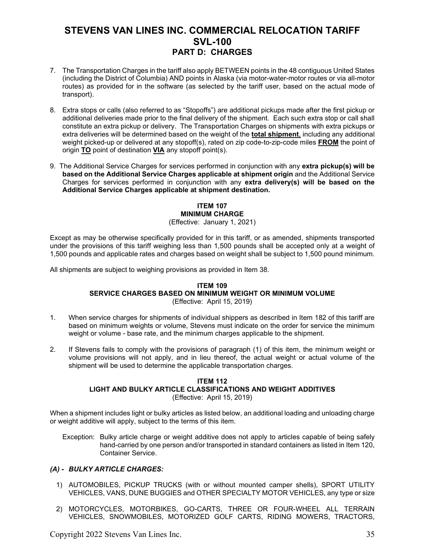- 7. The Transportation Charges in the tariff also apply BETWEEN points in the 48 contiguous United States (including the District of Columbia) AND points in Alaska (via motor-water-motor routes or via all-motor routes) as provided for in the software (as selected by the tariff user, based on the actual mode of transport).
- 8. Extra stops or calls (also referred to as "Stopoffs") are additional pickups made after the first pickup or additional deliveries made prior to the final delivery of the shipment. Each such extra stop or call shall constitute an extra pickup or delivery. The Transportation Charges on shipments with extra pickups or extra deliveries will be determined based on the weight of the **total shipment**, including any additional weight picked-up or delivered at any stopoff(s), rated on zip code-to-zip-code miles **FROM** the point of origin **TO** point of destination **VIA** any stopoff point(s).
- 9. The Additional Service Charges for services performed in conjunction with any **extra pickup(s) will be based on the Additional Service Charges applicable at shipment origin** and the Additional Service Charges for services performed in conjunction with any **extra delivery(s) will be based on the Additional Service Charges applicable at shipment destination.**

#### **ITEM 107 MINIMUM CHARGE** (Effective: January 1, 2021)

Except as may be otherwise specifically provided for in this tariff, or as amended, shipments transported under the provisions of this tariff weighing less than 1,500 pounds shall be accepted only at a weight of 1,500 pounds and applicable rates and charges based on weight shall be subject to 1,500 pound minimum.

All shipments are subject to weighing provisions as provided in Item 38.

#### **ITEM 109 SERVICE CHARGES BASED ON MINIMUM WEIGHT OR MINIMUM VOLUME** (Effective: April 15, 2019)

- 1. When service charges for shipments of individual shippers as described in Item 182 of this tariff are based on minimum weights or volume, Stevens must indicate on the order for service the minimum weight or volume - base rate, and the minimum charges applicable to the shipment.
- 2. If Stevens fails to comply with the provisions of paragraph (1) of this item, the minimum weight or volume provisions will not apply, and in lieu thereof, the actual weight or actual volume of the shipment will be used to determine the applicable transportation charges.

### **ITEM 112**

### **LIGHT AND BULKY ARTICLE CLASSIFICATIONS AND WEIGHT ADDITIVES**

(Effective: April 15, 2019)

When a shipment includes light or bulky articles as listed below, an additional loading and unloading charge or weight additive will apply, subject to the terms of this item.

Exception: Bulky article charge or weight additive does not apply to articles capable of being safely hand-carried by one person and/or transported in standard containers as listed in Item 120, Container Service.

### *(A) - BULKY ARTICLE CHARGES:*

- 1) AUTOMOBILES, PICKUP TRUCKS (with or without mounted camper shells), SPORT UTILITY VEHICLES, VANS, DUNE BUGGIES and OTHER SPECIALTY MOTOR VEHICLES, any type or size
- 2) MOTORCYCLES, MOTORBIKES, GO-CARTS, THREE OR FOUR-WHEEL ALL TERRAIN VEHICLES, SNOWMOBILES, MOTORIZED GOLF CARTS, RIDING MOWERS, TRACTORS,

Copyright 2022 Stevens Van Lines Inc. 35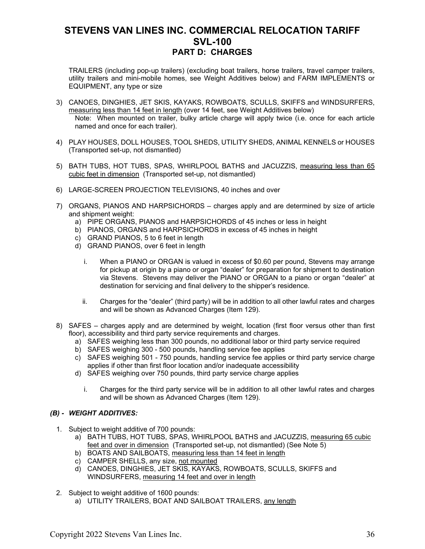TRAILERS (including pop-up trailers) (excluding boat trailers, horse trailers, travel camper trailers, utility trailers and mini-mobile homes, see Weight Additives below) and FARM IMPLEMENTS or EQUIPMENT, any type or size

- 3) CANOES, DINGHIES, JET SKIS, KAYAKS, ROWBOATS, SCULLS, SKIFFS and WINDSURFERS, measuring less than 14 feet in length (over 14 feet, see Weight Additives below) Note: When mounted on trailer, bulky article charge will apply twice (i.e. once for each article named and once for each trailer).
- 4) PLAY HOUSES, DOLL HOUSES, TOOL SHEDS, UTILITY SHEDS, ANIMAL KENNELS or HOUSES (Transported set-up, not dismantled)
- 5) BATH TUBS, HOT TUBS, SPAS, WHIRLPOOL BATHS and JACUZZIS, measuring less than 65 cubic feet in dimension (Transported set-up, not dismantled)
- 6) LARGE-SCREEN PROJECTION TELEVISIONS, 40 inches and over
- 7) ORGANS, PIANOS AND HARPSICHORDS charges apply and are determined by size of article and shipment weight:
	- a) PIPE ORGANS, PIANOS and HARPSICHORDS of 45 inches or less in height
	- b) PIANOS, ORGANS and HARPSICHORDS in excess of 45 inches in height
	- c) GRAND PIANOS, 5 to 6 feet in length
	- d) GRAND PIANOS, over 6 feet in length
		- i. When a PIANO or ORGAN is valued in excess of \$0.60 per pound, Stevens may arrange for pickup at origin by a piano or organ "dealer" for preparation for shipment to destination via Stevens. Stevens may deliver the PIANO or ORGAN to a piano or organ "dealer" at destination for servicing and final delivery to the shipper's residence.
		- ii. Charges for the "dealer" (third party) will be in addition to all other lawful rates and charges and will be shown as Advanced Charges (Item 129).
- 8) SAFES charges apply and are determined by weight, location (first floor versus other than first floor), accessibility and third party service requirements and charges.
	- a) SAFES weighing less than 300 pounds, no additional labor or third party service required
	- b) SAFES weighing 300 500 pounds, handling service fee applies
	- c) SAFES weighing 501 750 pounds, handling service fee applies or third party service charge applies if other than first floor location and/or inadequate accessibility
	- d) SAFES weighing over 750 pounds, third party service charge applies
		- i. Charges for the third party service will be in addition to all other lawful rates and charges and will be shown as Advanced Charges (Item 129).

### *(B) - WEIGHT ADDITIVES:*

- 1. Subject to weight additive of 700 pounds:
	- a) BATH TUBS, HOT TUBS, SPAS, WHIRLPOOL BATHS and JACUZZIS, measuring 65 cubic feet and over in dimension (Transported set-up, not dismantled) (See Note 5)
	- b) BOATS AND SAILBOATS, measuring less than 14 feet in length
	- c) CAMPER SHELLS, any size, not mounted
	- d) CANOES, DINGHIES, JET SKIS, KAYAKS, ROWBOATS, SCULLS, SKIFFS and WINDSURFERS, measuring 14 feet and over in length
- 2. Subject to weight additive of 1600 pounds:
	- a) UTILITY TRAILERS, BOAT AND SAILBOAT TRAILERS, any length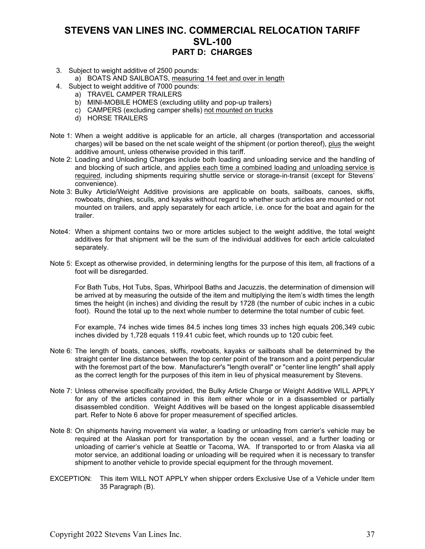3. Subject to weight additive of 2500 pounds:

a) BOATS AND SAILBOATS, measuring 14 feet and over in length

- 4. Subject to weight additive of 7000 pounds:
	- a) TRAVEL CAMPER TRAILERS
	- b) MINI-MOBILE HOMES (excluding utility and pop-up trailers)
	- c) CAMPERS (excluding camper shells) not mounted on trucks
	- d) HORSE TRAILERS
- Note 1: When a weight additive is applicable for an article, all charges (transportation and accessorial charges) will be based on the net scale weight of the shipment (or portion thereof), plus the weight additive amount, unless otherwise provided in this tariff.
- Note 2: Loading and Unloading Charges include both loading and unloading service and the handling of and blocking of such article, and applies each time a combined loading and unloading service is required, including shipments requiring shuttle service or storage-in-transit (except for Stevens' convenience).
- Note 3: Bulky Article/Weight Additive provisions are applicable on boats, sailboats, canoes, skiffs, rowboats, dinghies, sculls, and kayaks without regard to whether such articles are mounted or not mounted on trailers, and apply separately for each article, i.e. once for the boat and again for the trailer.
- Note4: When a shipment contains two or more articles subject to the weight additive, the total weight additives for that shipment will be the sum of the individual additives for each article calculated separately.
- Note 5: Except as otherwise provided, in determining lengths for the purpose of this item, all fractions of a foot will be disregarded.

For Bath Tubs, Hot Tubs, Spas, Whirlpool Baths and Jacuzzis, the determination of dimension will be arrived at by measuring the outside of the item and multiplying the item's width times the length times the height (in inches) and dividing the result by 1728 (the number of cubic inches in a cubic foot). Round the total up to the next whole number to determine the total number of cubic feet.

For example, 74 inches wide times 84.5 inches long times 33 inches high equals 206,349 cubic inches divided by 1,728 equals 119.41 cubic feet, which rounds up to 120 cubic feet.

- Note 6: The length of boats, canoes, skiffs, rowboats, kayaks or sailboats shall be determined by the straight center line distance between the top center point of the transom and a point perpendicular with the foremost part of the bow. Manufacturer's "length overall" or "center line length" shall apply as the correct length for the purposes of this item in lieu of physical measurement by Stevens.
- Note 7: Unless otherwise specifically provided, the Bulky Article Charge or Weight Additive WILL APPLY for any of the articles contained in this item either whole or in a disassembled or partially disassembled condition. Weight Additives will be based on the longest applicable disassembled part. Refer to Note 6 above for proper measurement of specified articles.
- Note 8: On shipments having movement via water, a loading or unloading from carrier's vehicle may be required at the Alaskan port for transportation by the ocean vessel, and a further loading or unloading of carrier's vehicle at Seattle or Tacoma, WA. If transported to or from Alaska via all motor service, an additional loading or unloading will be required when it is necessary to transfer shipment to another vehicle to provide special equipment for the through movement.
- EXCEPTION: This item WILL NOT APPLY when shipper orders Exclusive Use of a Vehicle under Item 35 Paragraph (B).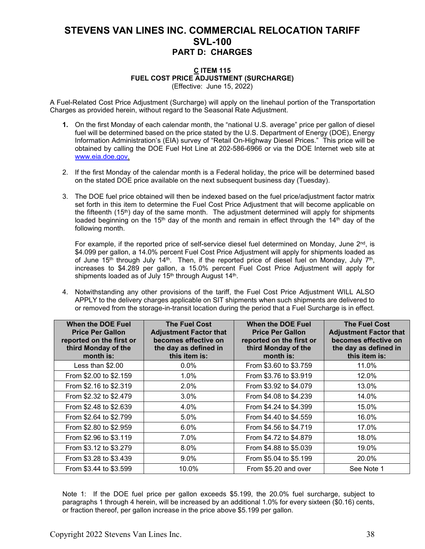#### **C ITEM 115 FUEL COST PRICE ADJUSTMENT (SURCHARGE)** (Effective: June 15, 2022)

A Fuel-Related Cost Price Adjustment (Surcharge) will apply on the linehaul portion of the Transportation Charges as provided herein, without regard to the Seasonal Rate Adjustment.

- **1.** On the first Monday of each calendar month, the "national U.S. average" price per gallon of diesel fuel will be determined based on the price stated by the U.S. Department of Energy (DOE), Energy Information Administration's (EIA) survey of "Retail On-Highway Diesel Prices." This price will be obtained by calling the DOE Fuel Hot Line at 202-586-6966 or via the DOE Internet web site at [www.eia.doe.gov.](http://www.eia.doe.gov/)
- 2. If the first Monday of the calendar month is a Federal holiday, the price will be determined based on the stated DOE price available on the next subsequent business day (Tuesday).
- 3. The DOE fuel price obtained will then be indexed based on the fuel price/adjustment factor matrix set forth in this item to determine the Fuel Cost Price Adjustment that will become applicable on the fifteenth (15<sup>th</sup>) day of the same month. The adjustment determined will apply for shipments loaded beginning on the 15<sup>th</sup> day of the month and remain in effect through the 14<sup>th</sup> day of the following month.

For example, if the reported price of self-service diesel fuel determined on Monday, June 2<sup>nd</sup>, is \$4.099 per gallon, a 14.0% percent Fuel Cost Price Adjustment will apply for shipments loaded as of June 15<sup>th</sup> through July 14<sup>th</sup>. Then, if the reported price of diesel fuel on Monday, July 7<sup>th</sup>, increases to \$4.289 per gallon, a 15.0% percent Fuel Cost Price Adjustment will apply for shipments loaded as of July 15<sup>th</sup> through August  $14<sup>th</sup>$ .

4. Notwithstanding any other provisions of the tariff, the Fuel Cost Price Adjustment WILL ALSO APPLY to the delivery charges applicable on SIT shipments when such shipments are delivered to or removed from the storage-in-transit location during the period that a Fuel Surcharge is in effect.

| When the DOE Fuel<br><b>Price Per Gallon</b><br>reported on the first or<br>third Monday of the<br>month is: | <b>The Fuel Cost</b><br><b>Adjustment Factor that</b><br>becomes effective on<br>the day as defined in<br>this item is: | When the DOE Fuel<br><b>Price Per Gallon</b><br>reported on the first or<br>third Monday of the<br>month is: | <b>The Fuel Cost</b><br><b>Adjustment Factor that</b><br>becomes effective on<br>the day as defined in<br>this item is: |
|--------------------------------------------------------------------------------------------------------------|-------------------------------------------------------------------------------------------------------------------------|--------------------------------------------------------------------------------------------------------------|-------------------------------------------------------------------------------------------------------------------------|
| Less than \$2.00                                                                                             | $0.0\%$                                                                                                                 | From \$3.60 to \$3.759                                                                                       | 11.0%                                                                                                                   |
| From \$2.00 to \$2.159                                                                                       | 1.0%                                                                                                                    | From \$3.76 to \$3.919                                                                                       | 12.0%                                                                                                                   |
| From \$2.16 to \$2.319                                                                                       | $2.0\%$                                                                                                                 | From \$3.92 to \$4.079                                                                                       | 13.0%                                                                                                                   |
| From \$2.32 to \$2.479                                                                                       | 3.0%                                                                                                                    | From \$4.08 to \$4.239                                                                                       | 14.0%                                                                                                                   |
| From \$2.48 to \$2.639                                                                                       | 4.0%                                                                                                                    | From \$4.24 to \$4.399                                                                                       | 15.0%                                                                                                                   |
| From \$2.64 to \$2.799                                                                                       | 5.0%                                                                                                                    | From \$4.40 to \$4.559                                                                                       | 16.0%                                                                                                                   |
| From \$2.80 to \$2.959                                                                                       | 6.0%                                                                                                                    | From \$4.56 to \$4.719                                                                                       | 17.0%                                                                                                                   |
| From \$2.96 to \$3.119                                                                                       | 7.0%                                                                                                                    | From \$4.72 to \$4.879                                                                                       | 18.0%                                                                                                                   |
| From \$3.12 to \$3.279                                                                                       | 8.0%                                                                                                                    | From \$4.88 to \$5.039                                                                                       | 19.0%                                                                                                                   |
| From \$3.28 to \$3.439                                                                                       | 9.0%                                                                                                                    | From \$5.04 to \$5.199                                                                                       | 20.0%                                                                                                                   |
| From \$3.44 to \$3.599                                                                                       | 10.0%                                                                                                                   | From \$5.20 and over                                                                                         | See Note 1                                                                                                              |

Note 1: If the DOE fuel price per gallon exceeds \$5.199, the 20.0% fuel surcharge, subject to paragraphs 1 through 4 herein, will be increased by an additional 1.0% for every sixteen (\$0.16) cents, or fraction thereof, per gallon increase in the price above \$5.199 per gallon.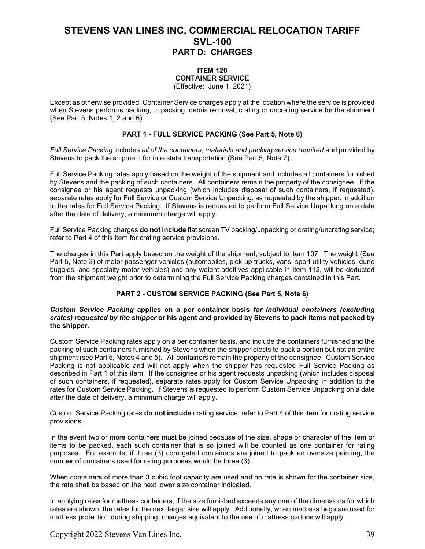### **ITEM 120 CONTAINER SERVICE**

(Effective: June 1, 2021)

Except as otherwise provided, Container Service charges apply at the location where the service is provided when Stevens performs packing, unpacking, debris removal, crating or uncrating service for the shipment (See Part 5, Notes 1, 2 and 6).

### **PART 1 - FULL SERVICE PACKING (See Part 5, Note 6)**

*Full Service Packing* includes *all of the containers, materials and packing service required* and provided by Stevens to pack the shipment for interstate transportation (See Part 5, Note 7).

Full Service Packing rates apply based on the weight of the shipment and includes all containers furnished by Stevens and the packing of such containers. All containers remain the property of the consignee. If the consignee or his agent requests unpacking (which includes disposal of such containers, if requested), separate rates apply for Full Service or Custom Service Unpacking, as requested by the shipper, in addition to the rates for Full Service Packing. If Stevens is requested to perform Full Service Unpacking on a date after the date of delivery, a minimum charge will apply.

Full Service Packing charges **do not include** flat screen TV packing/unpacking or crating/uncrating service; refer to Part 4 of this item for crating service provisions.

The charges in this Part apply based on the weight of the shipment, subject to Item 107. The weight (See Part 5, Note 3) of motor passenger vehicles (automobiles, pick-up trucks, vans, sport utility vehicles, dune buggies, and specialty motor vehicles) and any weight additives applicable in Item 112, will be deducted from the shipment weight prior to determining the Full Service Packing charges contained in this Part.

### **PART 2 - CUSTOM SERVICE PACKING (See Part 5, Note 6)**

### *Custom Service Packing* **applies on a per container basis** *for individual containers (excluding crates) requested by the shipper* **or his agent and provided by Stevens to pack items not packed by the shipper.**

Custom Service Packing rates apply on a per container basis, and include the containers furnished and the packing of such containers furnished by Stevens when the shipper elects to pack a portion but not an entire shipment (see Part 5, Notes 4 and 5). All containers remain the property of the consignee. Custom Service Packing is not applicable and will not apply when the shipper has requested Full Service Packing as described in Part 1 of this item. If the consignee or his agent requests unpacking (which includes disposal of such containers, if requested), separate rates apply for Custom Service Unpacking in addition to the rates for Custom Service Packing. If Stevens is requested to perform Custom Service Unpacking on a date after the date of delivery, a minimum charge will apply.

Custom Service Packing rates **do not include** crating service; refer to Part 4 of this item for crating service provisions.

In the event two or more containers must be joined because of the size, shape or character of the item or items to be packed, each such container that is so joined will be counted as one container for rating purposes. For example, if three (3) corrugated containers are joined to pack an oversize painting, the number of containers used for rating purposes would be three (3).

When containers of more than 3 cubic foot capacity are used and no rate is shown for the container size, the rate shall be based on the next lower size container indicated.

In applying rates for mattress containers, if the size furnished exceeds any one of the dimensions for which rates are shown, the rates for the next larger size will apply. Additionally, when mattress bags are used for mattress protection during shipping, charges equivalent to the use of mattress cartons will apply.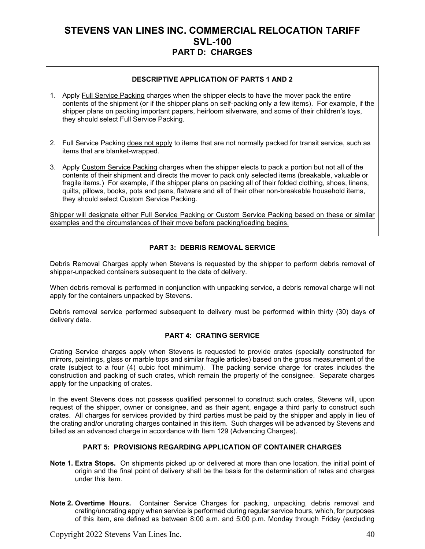### **DESCRIPTIVE APPLICATION OF PARTS 1 AND 2**

- 1. Apply Full Service Packing charges when the shipper elects to have the mover pack the entire contents of the shipment (or if the shipper plans on self-packing only a few items). For example, if the shipper plans on packing important papers, heirloom silverware, and some of their children's toys, they should select Full Service Packing.
- 2. Full Service Packing does not apply to items that are not normally packed for transit service, such as items that are blanket-wrapped.
- 3. Apply Custom Service Packing charges when the shipper elects to pack a portion but not all of the contents of their shipment and directs the mover to pack only selected items (breakable, valuable or fragile items.) For example, if the shipper plans on packing all of their folded clothing, shoes, linens, quilts, pillows, books, pots and pans, flatware and all of their other non-breakable household items, they should select Custom Service Packing.

Shipper will designate either Full Service Packing or Custom Service Packing based on these or similar examples and the circumstances of their move before packing/loading begins.

### **PART 3: DEBRIS REMOVAL SERVICE**

Debris Removal Charges apply when Stevens is requested by the shipper to perform debris removal of shipper-unpacked containers subsequent to the date of delivery.

When debris removal is performed in conjunction with unpacking service, a debris removal charge will not apply for the containers unpacked by Stevens.

Debris removal service performed subsequent to delivery must be performed within thirty (30) days of delivery date.

### **PART 4: CRATING SERVICE**

Crating Service charges apply when Stevens is requested to provide crates (specially constructed for mirrors, paintings, glass or marble tops and similar fragile articles) based on the gross measurement of the crate (subject to a four (4) cubic foot minimum). The packing service charge for crates includes the construction and packing of such crates, which remain the property of the consignee. Separate charges apply for the unpacking of crates.

In the event Stevens does not possess qualified personnel to construct such crates, Stevens will, upon request of the shipper, owner or consignee, and as their agent, engage a third party to construct such crates. All charges for services provided by third parties must be paid by the shipper and apply in lieu of the crating and/or uncrating charges contained in this item. Such charges will be advanced by Stevens and billed as an advanced charge in accordance with Item 129 (Advancing Charges).

### **PART 5: PROVISIONS REGARDING APPLICATION OF CONTAINER CHARGES**

- **Note 1. Extra Stops.** On shipments picked up or delivered at more than one location, the initial point of origin and the final point of delivery shall be the basis for the determination of rates and charges under this item.
- **Note 2. Overtime Hours.** Container Service Charges for packing, unpacking, debris removal and crating/uncrating apply when service is performed during regular service hours, which, for purposes of this item, are defined as between 8:00 a.m. and 5:00 p.m. Monday through Friday (excluding

Copyright 2022 Stevens Van Lines Inc. 40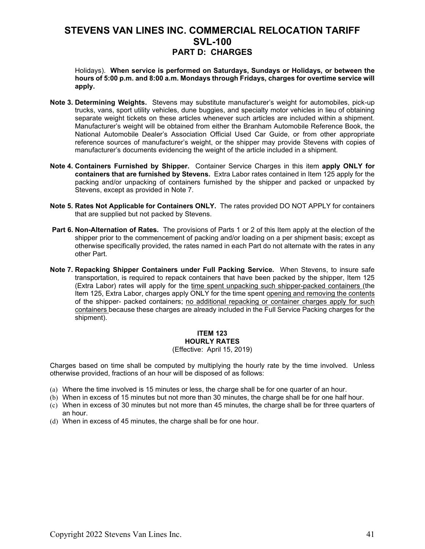Holidays). **When service is performed on Saturdays, Sundays or Holidays, or between the hours of 5:00 p.m. and 8:00 a.m. Mondays through Fridays, charges for overtime service will apply.** 

- **Note 3. Determining Weights.** Stevens may substitute manufacturer's weight for automobiles, pick-up trucks, vans, sport utility vehicles, dune buggies, and specialty motor vehicles in lieu of obtaining separate weight tickets on these articles whenever such articles are included within a shipment. Manufacturer's weight will be obtained from either the Branham Automobile Reference Book, the National Automobile Dealer's Association Official Used Car Guide, or from other appropriate reference sources of manufacturer's weight, or the shipper may provide Stevens with copies of manufacturer's documents evidencing the weight of the article included in a shipment.
- **Note 4. Containers Furnished by Shipper.** Container Service Charges in this item **apply ONLY for containers that are furnished by Stevens.** Extra Labor rates contained in Item 125 apply for the packing and/or unpacking of containers furnished by the shipper and packed or unpacked by Stevens, except as provided in Note 7.
- **Note 5. Rates Not Applicable for Containers ONLY.** The rates provided DO NOT APPLY for containers that are supplied but not packed by Stevens.
- **Part 6. Non-Alternation of Rates.** The provisions of Parts 1 or 2 of this Item apply at the election of the shipper prior to the commencement of packing and/or loading on a per shipment basis; except as otherwise specifically provided, the rates named in each Part do not alternate with the rates in any other Part.
- **Note 7. Repacking Shipper Containers under Full Packing Service.** When Stevens, to insure safe transportation, is required to repack containers that have been packed by the shipper, Item 125 (Extra Labor) rates will apply for the time spent unpacking such shipper-packed containers (the Item 125, Extra Labor, charges apply ONLY for the time spent opening and removing the contents of the shipper- packed containers; no additional repacking or container charges apply for such containers because these charges are already included in the Full Service Packing charges for the shipment).

### **ITEM 123 HOURLY RATES**

### (Effective: April 15, 2019)

Charges based on time shall be computed by multiplying the hourly rate by the time involved. Unless otherwise provided, fractions of an hour will be disposed of as follows:

- (a) Where the time involved is 15 minutes or less, the charge shall be for one quarter of an hour.
- (b) When in excess of 15 minutes but not more than 30 minutes, the charge shall be for one half hour.
- (c) When in excess of 30 minutes but not more than 45 minutes, the charge shall be for three quarters of an hour.
- (d) When in excess of 45 minutes, the charge shall be for one hour.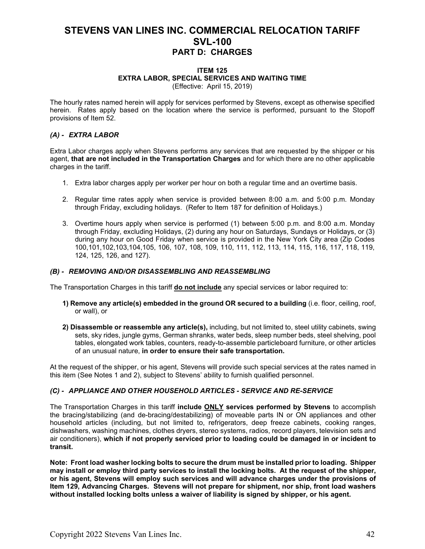#### **ITEM 125 EXTRA LABOR, SPECIAL SERVICES AND WAITING TIME** (Effective: April 15, 2019)

The hourly rates named herein will apply for services performed by Stevens, except as otherwise specified herein. Rates apply based on the location where the service is performed, pursuant to the Stopoff provisions of Item 52.

### *(A) - EXTRA LABOR*

Extra Labor charges apply when Stevens performs any services that are requested by the shipper or his agent, **that are not included in the Transportation Charges** and for which there are no other applicable charges in the tariff.

- 1. Extra labor charges apply per worker per hour on both a regular time and an overtime basis.
- 2. Regular time rates apply when service is provided between 8:00 a.m. and 5:00 p.m. Monday through Friday, excluding holidays. (Refer to Item 187 for definition of Holidays.)
- 3. Overtime hours apply when service is performed (1) between 5:00 p.m. and 8:00 a.m. Monday through Friday, excluding Holidays, (2) during any hour on Saturdays, Sundays or Holidays, or (3) during any hour on Good Friday when service is provided in the New York City area (Zip Codes 100,101,102,103,104,105, 106, 107, 108, 109, 110, 111, 112, 113, 114, 115, 116, 117, 118, 119, 124, 125, 126, and 127).

### *(B) - REMOVING AND/OR DISASSEMBLING AND REASSEMBLING*

The Transportation Charges in this tariff **do not include** any special services or labor required to:

- **1) Remove any article(s) embedded in the ground OR secured to a building** (i.e. floor, ceiling, roof, or wall), or
- **2) Disassemble or reassemble any article(s),** including, but not limited to, steel utility cabinets, swing sets, sky rides, jungle gyms, German shranks, water beds, sleep number beds, steel shelving, pool tables, elongated work tables, counters, ready-to-assemble particleboard furniture, or other articles of an unusual nature, **in order to ensure their safe transportation.**

At the request of the shipper, or his agent, Stevens will provide such special services at the rates named in this item (See Notes 1 and 2), subject to Stevens' ability to furnish qualified personnel.

### *(C) - APPLIANCE AND OTHER HOUSEHOLD ARTICLES - SERVICE AND RE-SERVICE*

The Transportation Charges in this tariff **include ONLY services performed by Stevens** to accomplish the bracing/stabilizing (and de-bracing/destabilizing) of moveable parts IN or ON appliances and other household articles (including, but not limited to, refrigerators, deep freeze cabinets, cooking ranges, dishwashers, washing machines, clothes dryers, stereo systems, radios, record players, television sets and air conditioners), **which if not properly serviced prior to loading could be damaged in or incident to transit.**

**Note: Front load washer locking bolts to secure the drum must be installed prior to loading. Shipper may install or employ third party services to install the locking bolts. At the request of the shipper, or his agent, Stevens will employ such services and will advance charges under the provisions of Item 129, Advancing Charges. Stevens will not prepare for shipment, nor ship, front load washers without installed locking bolts unless a waiver of liability is signed by shipper, or his agent.**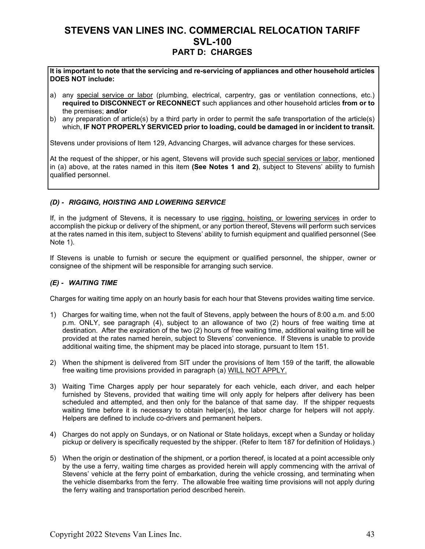**It is important to note that the servicing and re-servicing of appliances and other household articles DOES NOT include:**

- a) any special service or labor (plumbing, electrical, carpentry, gas or ventilation connections, etc.) **required to DISCONNECT or RECONNECT** such appliances and other household articles **from or to** the premises; **and/or**
- b) any preparation of article(s) by a third party in order to permit the safe transportation of the article(s) which, **IF NOT PROPERLY SERVICED prior to loading, could be damaged in or incident to transit.**

Stevens under provisions of Item 129, Advancing Charges, will advance charges for these services.

At the request of the shipper, or his agent, Stevens will provide such special services or labor, mentioned in (a) above, at the rates named in this item **(See Notes 1 and 2)**, subject to Stevens' ability to furnish qualified personnel.

### *(D) - RIGGING, HOISTING AND LOWERING SERVICE*

If, in the judgment of Stevens, it is necessary to use rigging, hoisting, or lowering services in order to accomplish the pickup or delivery of the shipment, or any portion thereof, Stevens will perform such services at the rates named in this item, subject to Stevens' ability to furnish equipment and qualified personnel (See Note 1).

If Stevens is unable to furnish or secure the equipment or qualified personnel, the shipper, owner or consignee of the shipment will be responsible for arranging such service.

### *(E) - WAITING TIME*

Charges for waiting time apply on an hourly basis for each hour that Stevens provides waiting time service.

- 1) Charges for waiting time, when not the fault of Stevens, apply between the hours of 8:00 a.m. and 5:00 p.m. ONLY, see paragraph (4), subject to an allowance of two (2) hours of free waiting time at destination. After the expiration of the two (2) hours of free waiting time, additional waiting time will be provided at the rates named herein, subject to Stevens' convenience. If Stevens is unable to provide additional waiting time, the shipment may be placed into storage, pursuant to Item 151.
- 2) When the shipment is delivered from SIT under the provisions of Item 159 of the tariff, the allowable free waiting time provisions provided in paragraph (a) WILL NOT APPLY.
- 3) Waiting Time Charges apply per hour separately for each vehicle, each driver, and each helper furnished by Stevens, provided that waiting time will only apply for helpers after delivery has been scheduled and attempted, and then only for the balance of that same day. If the shipper requests waiting time before it is necessary to obtain helper(s), the labor charge for helpers will not apply. Helpers are defined to include co-drivers and permanent helpers.
- 4) Charges do not apply on Sundays, or on National or State holidays, except when a Sunday or holiday pickup or delivery is specifically requested by the shipper. (Refer to Item 187 for definition of Holidays.)
- 5) When the origin or destination of the shipment, or a portion thereof, is located at a point accessible only by the use a ferry, waiting time charges as provided herein will apply commencing with the arrival of Stevens' vehicle at the ferry point of embarkation, during the vehicle crossing, and terminating when the vehicle disembarks from the ferry. The allowable free waiting time provisions will not apply during the ferry waiting and transportation period described herein.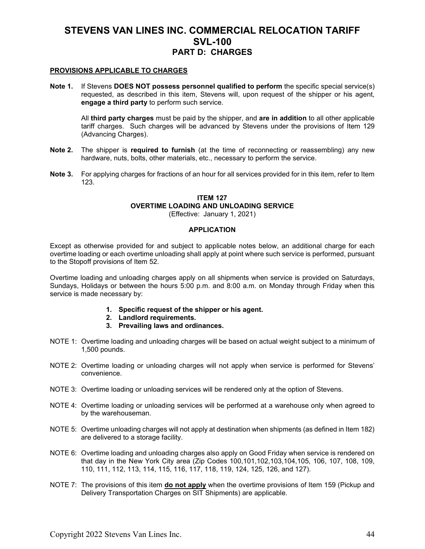#### **PROVISIONS APPLICABLE TO CHARGES**

**Note 1.** If Stevens **DOES NOT possess personnel qualified to perform** the specific special service(s) requested, as described in this item, Stevens will, upon request of the shipper or his agent, **engage a third party** to perform such service.

All **third party charges** must be paid by the shipper, and **are in addition** to all other applicable tariff charges. Such charges will be advanced by Stevens under the provisions of Item 129 (Advancing Charges).

- **Note 2.** The shipper is **required to furnish** (at the time of reconnecting or reassembling) any new hardware, nuts, bolts, other materials, etc., necessary to perform the service.
- **Note 3.** For applying charges for fractions of an hour for all services provided for in this item, refer to Item 123.

### **ITEM 127 OVERTIME LOADING AND UNLOADING SERVICE**

(Effective: January 1, 2021)

### **APPLICATION**

Except as otherwise provided for and subject to applicable notes below, an additional charge for each overtime loading or each overtime unloading shall apply at point where such service is performed, pursuant to the Stopoff provisions of Item 52.

Overtime loading and unloading charges apply on all shipments when service is provided on Saturdays, Sundays, Holidays or between the hours 5:00 p.m. and 8:00 a.m. on Monday through Friday when this service is made necessary by:

- **1. Specific request of the shipper or his agent.**
- **2. Landlord requirements.**
- **3. Prevailing laws and ordinances.**
- NOTE 1: Overtime loading and unloading charges will be based on actual weight subject to a minimum of 1,500 pounds.
- NOTE 2: Overtime loading or unloading charges will not apply when service is performed for Stevens' convenience.
- NOTE 3: Overtime loading or unloading services will be rendered only at the option of Stevens.
- NOTE 4: Overtime loading or unloading services will be performed at a warehouse only when agreed to by the warehouseman.
- NOTE 5: Overtime unloading charges will not apply at destination when shipments (as defined in Item 182) are delivered to a storage facility.
- NOTE 6: Overtime loading and unloading charges also apply on Good Friday when service is rendered on that day in the New York City area (Zip Codes 100,101,102,103,104,105, 106, 107, 108, 109, 110, 111, 112, 113, 114, 115, 116, 117, 118, 119, 124, 125, 126, and 127).
- NOTE 7: The provisions of this item **do not apply** when the overtime provisions of Item 159 (Pickup and Delivery Transportation Charges on SIT Shipments) are applicable.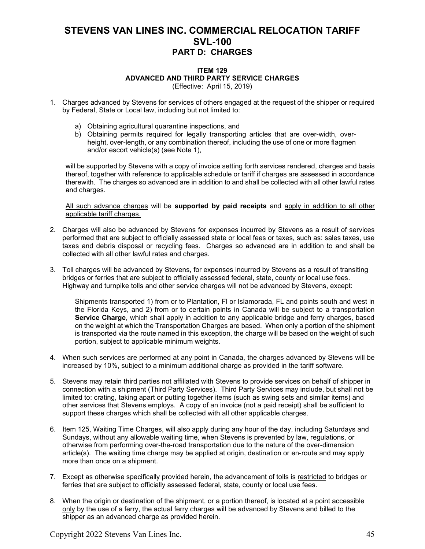#### **ITEM 129 ADVANCED AND THIRD PARTY SERVICE CHARGES** (Effective: April 15, 2019)

- 1. Charges advanced by Stevens for services of others engaged at the request of the shipper or required by Federal, State or Local law, including but not limited to:
	- a) Obtaining agricultural quarantine inspections, and
	- b) Obtaining permits required for legally transporting articles that are over-width, overheight, over-length, or any combination thereof, including the use of one or more flagmen and/or escort vehicle(s) (see Note 1),

will be supported by Stevens with a copy of invoice setting forth services rendered, charges and basis thereof, together with reference to applicable schedule or tariff if charges are assessed in accordance therewith. The charges so advanced are in addition to and shall be collected with all other lawful rates and charges.

All such advance charges will be **supported by paid receipts** and apply in addition to all other applicable tariff charges.

- 2. Charges will also be advanced by Stevens for expenses incurred by Stevens as a result of services performed that are subject to officially assessed state or local fees or taxes, such as: sales taxes, use taxes and debris disposal or recycling fees. Charges so advanced are in addition to and shall be collected with all other lawful rates and charges.
- 3. Toll charges will be advanced by Stevens, for expenses incurred by Stevens as a result of transiting bridges or ferries that are subject to officially assessed federal, state, county or local use fees. Highway and turnpike tolls and other service charges will not be advanced by Stevens, except:

Shipments transported 1) from or to Plantation, Fl or Islamorada, FL and points south and west in the Florida Keys, and 2) from or to certain points in Canada will be subject to a transportation **Service Charge**, which shall apply in addition to any applicable bridge and ferry charges, based on the weight at which the Transportation Charges are based. When only a portion of the shipment is transported via the route named in this exception, the charge will be based on the weight of such portion, subject to applicable minimum weights.

- 4. When such services are performed at any point in Canada, the charges advanced by Stevens will be increased by 10%, subject to a minimum additional charge as provided in the tariff software.
- 5. Stevens may retain third parties not affiliated with Stevens to provide services on behalf of shipper in connection with a shipment (Third Party Services). Third Party Services may include, but shall not be limited to: crating, taking apart or putting together items (such as swing sets and similar items) and other services that Stevens employs. A copy of an invoice (not a paid receipt) shall be sufficient to support these charges which shall be collected with all other applicable charges.
- 6. Item 125, Waiting Time Charges, will also apply during any hour of the day, including Saturdays and Sundays, without any allowable waiting time, when Stevens is prevented by law, regulations, or otherwise from performing over-the-road transportation due to the nature of the over-dimension article(s). The waiting time charge may be applied at origin, destination or en-route and may apply more than once on a shipment.
- 7. Except as otherwise specifically provided herein, the advancement of tolls is restricted to bridges or ferries that are subject to officially assessed federal, state, county or local use fees.
- 8. When the origin or destination of the shipment, or a portion thereof, is located at a point accessible only by the use of a ferry, the actual ferry charges will be advanced by Stevens and billed to the shipper as an advanced charge as provided herein.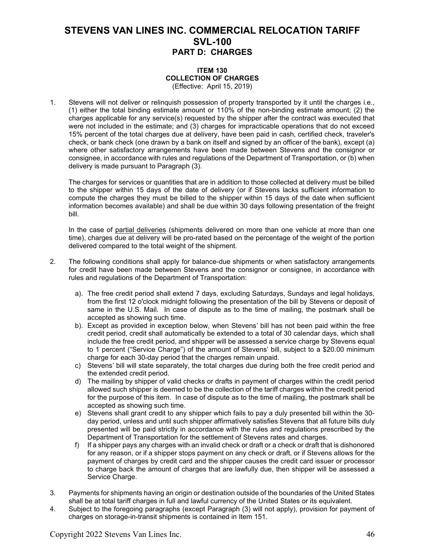#### **ITEM 130 COLLECTION OF CHARGES** (Effective: April 15, 2019)

1. Stevens will not deliver or relinquish possession of property transported by it until the charges i.e., (1) either the total binding estimate amount or 110% of the non-binding estimate amount; (2) the charges applicable for any service(s) requested by the shipper after the contract was executed that were not included in the estimate; and (3) charges for impracticable operations that do not exceed 15% percent of the total charges due at delivery, have been paid in cash, certified check, traveler's check, or bank check (one drawn by a bank on itself and signed by an officer of the bank), except (a) where other satisfactory arrangements have been made between Stevens and the consignor or consignee, in accordance with rules and regulations of the Department of Transportation, or (b) when delivery is made pursuant to Paragraph (3).

 The charges for services or quantities that are in addition to those collected at delivery must be billed to the shipper within 15 days of the date of delivery (or if Stevens lacks sufficient information to compute the charges they must be billed to the shipper within 15 days of the date when sufficient information becomes available) and shall be due within 30 days following presentation of the freight bill.

In the case of partial deliveries (shipments delivered on more than one vehicle at more than one time), charges due at delivery will be pro-rated based on the percentage of the weight of the portion delivered compared to the total weight of the shipment.

- 2. The following conditions shall apply for balance-due shipments or when satisfactory arrangements for credit have been made between Stevens and the consignor or consignee, in accordance with rules and regulations of the Department of Transportation:
	- a). The free credit period shall extend 7 days, excluding Saturdays, Sundays and legal holidays, from the first 12 o'clock midnight following the presentation of the bill by Stevens or deposit of same in the U.S. Mail. In case of dispute as to the time of mailing, the postmark shall be accepted as showing such time.
	- b). Except as provided in exception below, when Stevens' bill has not been paid within the free credit period, credit shall automatically be extended to a total of 30 calendar days, which shall include the free credit period, and shipper will be assessed a service charge by Stevens equal to 1 percent ("Service Charge") of the amount of Stevens' bill, subject to a \$20.00 minimum charge for each 30-day period that the charges remain unpaid.
	- c) Stevens' bill will state separately, the total charges due during both the free credit period and the extended credit period.
	- d) The mailing by shipper of valid checks or drafts in payment of charges within the credit period allowed such shipper is deemed to be the collection of the tariff charges within the credit period for the purpose of this item. In case of dispute as to the time of mailing, the postmark shall be accepted as showing such time.
	- e) Stevens shall grant credit to any shipper which fails to pay a duly presented bill within the 30 day period, unless and until such shipper affirmatively satisfies Stevens that all future bills duly presented will be paid strictly in accordance with the rules and regulations prescribed by the Department of Transportation for the settlement of Stevens rates and charges.
	- f) If a shipper pays any charges with an invalid check or draft or a check or draft that is dishonored for any reason, or if a shipper stops payment on any check or draft, or if Stevens allows for the payment of charges by credit card and the shipper causes the credit card issuer or processor to charge back the amount of charges that are lawfully due, then shipper will be assessed a Service Charge.
- 3. Payments for shipments having an origin or destination outside of the boundaries of the United States shall be at total tariff charges in full and lawful currency of the United States or its equivalent.
- 4. Subject to the foregoing paragraphs (except Paragraph (3) will not apply), provision for payment of charges on storage-in-transit shipments is contained in Item 151.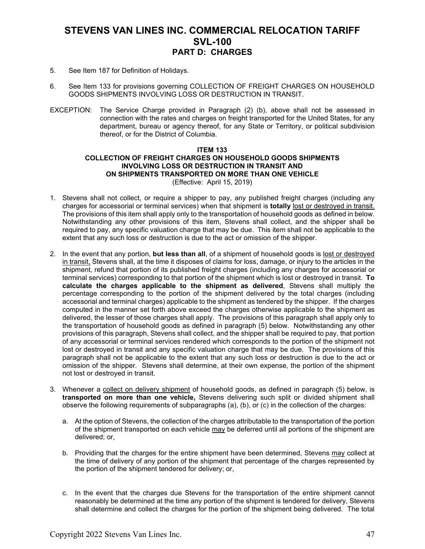- 5. See Item 187 for Definition of Holidays.
- 6. See Item 133 for provisions governing COLLECTION OF FREIGHT CHARGES ON HOUSEHOLD GOODS SHIPMENTS INVOLVING LOSS OR DESTRUCTION IN TRANSIT.
- EXCEPTION: The Service Charge provided in Paragraph (2) (b), above shall not be assessed in connection with the rates and charges on freight transported for the United States, for any department, bureau or agency thereof, for any State or Territory, or political subdivision thereof, or for the District of Columbia.

#### **ITEM 133 COLLECTION OF FREIGHT CHARGES ON HOUSEHOLD GOODS SHIPMENTS INVOLVING LOSS OR DESTRUCTION IN TRANSIT AND ON SHIPMENTS TRANSPORTED ON MORE THAN ONE VEHICLE** (Effective: April 15, 2019)

- 1. Stevens shall not collect, or require a shipper to pay, any published freight charges (including any charges for accessorial or terminal services) when that shipment is **totally** lost or destroyed in transit. The provisions of this item shall apply only to the transportation of household goods as defined in below. Notwithstanding any other provisions of this item, Stevens shall collect, and the shipper shall be required to pay, any specific valuation charge that may be due. This item shall not be applicable to the extent that any such loss or destruction is due to the act or omission of the shipper.
- 2. In the event that any portion, **but less than all**, of a shipment of household goods is lost or destroyed in transit, Stevens shall, at the time it disposes of claims for loss, damage, or injury to the articles in the shipment, refund that portion of its published freight charges (including any charges for accessorial or terminal services) corresponding to that portion of the shipment which is lost or destroyed in transit. **To calculate the charges applicable to the shipment as delivered**, Stevens shall multiply the percentage corresponding to the portion of the shipment delivered by the total charges (including accessorial and terminal charges) applicable to the shipment as tendered by the shipper. If the charges computed in the manner set forth above exceed the charges otherwise applicable to the shipment as delivered, the lesser of those charges shall apply. The provisions of this paragraph shall apply only to the transportation of household goods as defined in paragraph (5) below. Notwithstanding any other provisions of this paragraph, Stevens shall collect, and the shipper shall be required to pay, that portion of any accessorial or terminal services rendered which corresponds to the portion of the shipment not lost or destroyed in transit and any specific valuation charge that may be due. The provisions of this paragraph shall not be applicable to the extent that any such loss or destruction is due to the act or omission of the shipper. Stevens shall determine, at their own expense, the portion of the shipment not lost or destroyed in transit.
- 3. Whenever a collect on delivery shipment of household goods, as defined in paragraph (5) below, is **transported on more than one vehicle,** Stevens delivering such split or divided shipment shall observe the following requirements of subparagraphs (a), (b), or (c) in the collection of the charges:
	- a. At the option of Stevens, the collection of the charges attributable to the transportation of the portion of the shipment transported on each vehicle may be deferred until all portions of the shipment are delivered; or,
	- b. Providing that the charges for the entire shipment have been determined, Stevens may collect at the time of delivery of any portion of the shipment that percentage of the charges represented by the portion of the shipment tendered for delivery; or,
	- c. In the event that the charges due Stevens for the transportation of the entire shipment cannot reasonably be determined at the time any portion of the shipment is tendered for delivery, Stevens shall determine and collect the charges for the portion of the shipment being delivered. The total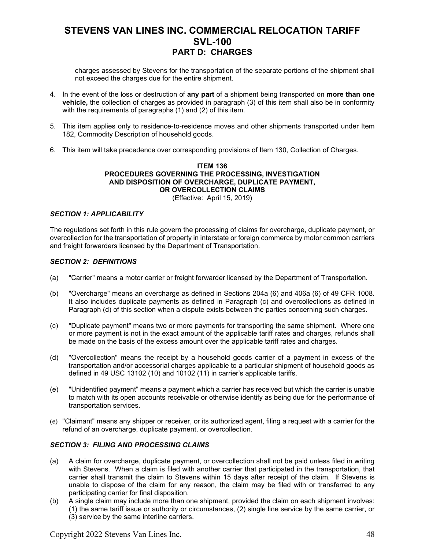charges assessed by Stevens for the transportation of the separate portions of the shipment shall not exceed the charges due for the entire shipment.

- 4. In the event of the loss or destruction of **any part** of a shipment being transported on **more than one vehicle,** the collection of charges as provided in paragraph (3) of this item shall also be in conformity with the requirements of paragraphs (1) and (2) of this item.
- 5. This item applies only to residence-to-residence moves and other shipments transported under Item 182, Commodity Description of household goods.
- 6. This item will take precedence over corresponding provisions of Item 130, Collection of Charges.

#### **ITEM 136 PROCEDURES GOVERNING THE PROCESSING, INVESTIGATION AND DISPOSITION OF OVERCHARGE, DUPLICATE PAYMENT, OR OVERCOLLECTION CLAIMS** (Effective: April 15, 2019)

### *SECTION 1: APPLICABILITY*

The regulations set forth in this rule govern the processing of claims for overcharge, duplicate payment, or overcollection for the transportation of property in interstate or foreign commerce by motor common carriers and freight forwarders licensed by the Department of Transportation.

### *SECTION 2: DEFINITIONS*

- (a) "Carrier" means a motor carrier or freight forwarder licensed by the Department of Transportation.
- (b) "Overcharge" means an overcharge as defined in Sections 204a (6) and 406a (6) of 49 CFR 1008. It also includes duplicate payments as defined in Paragraph (c) and overcollections as defined in Paragraph (d) of this section when a dispute exists between the parties concerning such charges.
- (c) "Duplicate payment" means two or more payments for transporting the same shipment. Where one or more payment is not in the exact amount of the applicable tariff rates and charges, refunds shall be made on the basis of the excess amount over the applicable tariff rates and charges.
- (d) "Overcollection" means the receipt by a household goods carrier of a payment in excess of the transportation and/or accessorial charges applicable to a particular shipment of household goods as defined in 49 USC 13102 (10) and 10102 (11) in carrier's applicable tariffs.
- (e) "Unidentified payment" means a payment which a carrier has received but which the carrier is unable to match with its open accounts receivable or otherwise identify as being due for the performance of transportation services.
- (e) "Claimant" means any shipper or receiver, or its authorized agent, filing a request with a carrier for the refund of an overcharge, duplicate payment, or overcollection.

### *SECTION 3: FILING AND PROCESSING CLAIMS*

- (a) A claim for overcharge, duplicate payment, or overcollection shall not be paid unless filed in writing with Stevens. When a claim is filed with another carrier that participated in the transportation, that carrier shall transmit the claim to Stevens within 15 days after receipt of the claim. If Stevens is unable to dispose of the claim for any reason, the claim may be filed with or transferred to any participating carrier for final disposition.
- (b) A single claim may include more than one shipment, provided the claim on each shipment involves: (1) the same tariff issue or authority or circumstances, (2) single line service by the same carrier, or (3) service by the same interline carriers.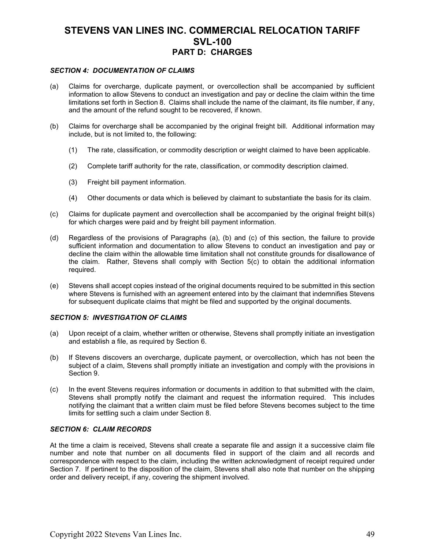### *SECTION 4: DOCUMENTATION OF CLAIMS*

- (a) Claims for overcharge, duplicate payment, or overcollection shall be accompanied by sufficient information to allow Stevens to conduct an investigation and pay or decline the claim within the time limitations set forth in Section 8. Claims shall include the name of the claimant, its file number, if any, and the amount of the refund sought to be recovered, if known.
- (b) Claims for overcharge shall be accompanied by the original freight bill. Additional information may include, but is not limited to, the following:
	- (1) The rate, classification, or commodity description or weight claimed to have been applicable.
	- (2) Complete tariff authority for the rate, classification, or commodity description claimed.
	- (3) Freight bill payment information.
	- (4) Other documents or data which is believed by claimant to substantiate the basis for its claim.
- (c) Claims for duplicate payment and overcollection shall be accompanied by the original freight bill(s) for which charges were paid and by freight bill payment information.
- (d) Regardless of the provisions of Paragraphs (a), (b) and (c) of this section, the failure to provide sufficient information and documentation to allow Stevens to conduct an investigation and pay or decline the claim within the allowable time limitation shall not constitute grounds for disallowance of the claim. Rather, Stevens shall comply with Section 5(c) to obtain the additional information required.
- (e) Stevens shall accept copies instead of the original documents required to be submitted in this section where Stevens is furnished with an agreement entered into by the claimant that indemnifies Stevens for subsequent duplicate claims that might be filed and supported by the original documents.

### *SECTION 5: INVESTIGATION OF CLAIMS*

- (a) Upon receipt of a claim, whether written or otherwise, Stevens shall promptly initiate an investigation and establish a file, as required by Section 6.
- (b) If Stevens discovers an overcharge, duplicate payment, or overcollection, which has not been the subject of a claim, Stevens shall promptly initiate an investigation and comply with the provisions in Section 9.
- (c) In the event Stevens requires information or documents in addition to that submitted with the claim, Stevens shall promptly notify the claimant and request the information required. This includes notifying the claimant that a written claim must be filed before Stevens becomes subject to the time limits for settling such a claim under Section 8.

### *SECTION 6: CLAIM RECORDS*

At the time a claim is received, Stevens shall create a separate file and assign it a successive claim file number and note that number on all documents filed in support of the claim and all records and correspondence with respect to the claim, including the written acknowledgment of receipt required under Section 7. If pertinent to the disposition of the claim, Stevens shall also note that number on the shipping order and delivery receipt, if any, covering the shipment involved.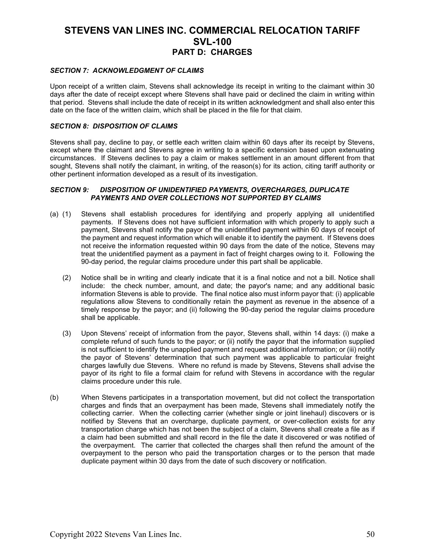### *SECTION 7: ACKNOWLEDGMENT OF CLAIMS*

Upon receipt of a written claim, Stevens shall acknowledge its receipt in writing to the claimant within 30 days after the date of receipt except where Stevens shall have paid or declined the claim in writing within that period. Stevens shall include the date of receipt in its written acknowledgment and shall also enter this date on the face of the written claim, which shall be placed in the file for that claim.

### *SECTION 8: DISPOSITION OF CLAIMS*

Stevens shall pay, decline to pay, or settle each written claim within 60 days after its receipt by Stevens, except where the claimant and Stevens agree in writing to a specific extension based upon extenuating circumstances. If Stevens declines to pay a claim or makes settlement in an amount different from that sought, Stevens shall notify the claimant, in writing, of the reason(s) for its action, citing tariff authority or other pertinent information developed as a result of its investigation.

### *SECTION 9: DISPOSITION OF UNIDENTIFIED PAYMENTS, OVERCHARGES, DUPLICATE PAYMENTS AND OVER COLLECTIONS NOT SUPPORTED BY CLAIMS*

- (a) (1) Stevens shall establish procedures for identifying and properly applying all unidentified payments. If Stevens does not have sufficient information with which properly to apply such a payment, Stevens shall notify the payor of the unidentified payment within 60 days of receipt of the payment and request information which will enable it to identify the payment. If Stevens does not receive the information requested within 90 days from the date of the notice, Stevens may treat the unidentified payment as a payment in fact of freight charges owing to it. Following the 90-day period, the regular claims procedure under this part shall be applicable.
	- (2) Notice shall be in writing and clearly indicate that it is a final notice and not a bill. Notice shall include: the check number, amount, and date; the payor's name; and any additional basic information Stevens is able to provide. The final notice also must inform payor that: (i) applicable regulations allow Stevens to conditionally retain the payment as revenue in the absence of a timely response by the payor; and (ii) following the 90-day period the regular claims procedure shall be applicable.
	- (3) Upon Stevens' receipt of information from the payor, Stevens shall, within 14 days: (i) make a complete refund of such funds to the payor; or (ii) notify the payor that the information supplied is not sufficient to identify the unapplied payment and request additional information; or (iii) notify the payor of Stevens' determination that such payment was applicable to particular freight charges lawfully due Stevens. Where no refund is made by Stevens, Stevens shall advise the payor of its right to file a formal claim for refund with Stevens in accordance with the regular claims procedure under this rule.
- (b) When Stevens participates in a transportation movement, but did not collect the transportation charges and finds that an overpayment has been made, Stevens shall immediately notify the collecting carrier. When the collecting carrier (whether single or joint linehaul) discovers or is notified by Stevens that an overcharge, duplicate payment, or over-collection exists for any transportation charge which has not been the subject of a claim, Stevens shall create a file as if a claim had been submitted and shall record in the file the date it discovered or was notified of the overpayment. The carrier that collected the charges shall then refund the amount of the overpayment to the person who paid the transportation charges or to the person that made duplicate payment within 30 days from the date of such discovery or notification.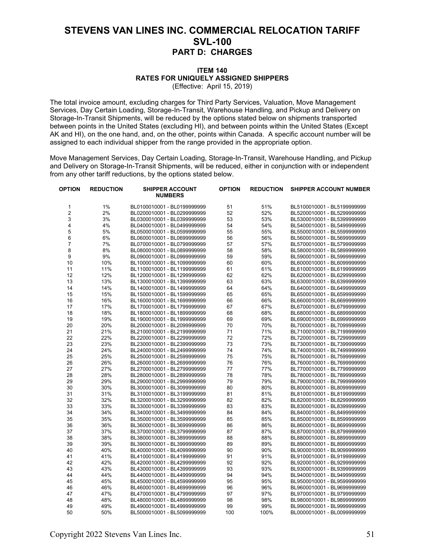#### **ITEM 140 RATES FOR UNIQUELY ASSIGNED SHIPPERS** (Effective: April 15, 2019)

The total invoice amount, excluding charges for Third Party Services, Valuation, Move Management Services, Day Certain Loading, Storage-In-Transit, Warehouse Handling, and Pickup and Delivery on Storage-In-Transit Shipments, will be reduced by the options stated below on shipments transported between points in the United States (excluding HI), and between points within the United States (Except AK and HI), on the one hand, and, on the other, points within Canada. A specific account number will be assigned to each individual shipper from the range provided in the appropriate option.

Move Management Services, Day Certain Loading, Storage-In-Transit, Warehouse Handling, and Pickup and Delivery on Storage-In-Transit Shipments, will be reduced, either in conjunction with or independent from any other tariff reductions, by the options stated below.

| OPTION         | <b>REDUCTION</b> | <b>SHIPPER ACCOUNT</b><br><b>NUMBERS</b> | <b>OPTION</b> | <b>REDUCTION</b> | <b>SHIPPER ACCOUNT NUMBER</b> |
|----------------|------------------|------------------------------------------|---------------|------------------|-------------------------------|
| 1              | 1%               | BL0100010001 - BL0199999999              | 51            | 51%              | BL5100010001 - BL5199999999   |
| $\overline{c}$ | 2%               | BL0200010001 - BL0299999999              | 52            | 52%              | BL5200010001 - BL5299999999   |
| 3              | 3%               | BL0300010001 - BL0399999999              | 53            | 53%              | BL5300010001 - BL5399999999   |
| 4              | 4%               | BL0400010001 - BL0499999999              | 54            | 54%              | BL5400010001 - BL5499999999   |
| 5              | 5%               | BL0500010001 - BL0599999999              | 55            | 55%              | BL5500010001 - BL5599999999   |
| 6              | 6%               | BL0600010001 - BL0699999999              | 56            | 56%              | BL5600010001 - BL5699999999   |
| $\overline{7}$ | 7%               | BL0700010001 - BL0799999999              | 57            | 57%              | BL5700010001 - BL5799999999   |
| 8              | 8%               | BL0800010001 - BL0899999999              | 58            | 58%              | BL5800010001 - BL5899999999   |
| 9              | 9%               | BL0900010001 - BL0999999999              | 59            | 59%              | BL5900010001 - BL5999999999   |
| 10             | 10%              | BL1000010001 - BL1099999999              | 60            | 60%              | BL6000010001 - BL6099999999   |
| 11             | 11%              | BL1100010001 - BL1199999999              | 61            | 61%              | BL6100010001 - BL6199999999   |
| 12             | 12%              | BL1200010001 - BL1299999999              | 62            | 62%              | BL6200010001 - BL6299999999   |
| 13             | 13%              | BL1300010001 - BL1399999999              | 63            | 63%              | BL6300010001 - BL6399999999   |
| 14             | 14%              | BL1400010001 - BL1499999999              | 64            | 64%              | BL6400010001 - BL6499999999   |
| 15             | 15%              | BL1500010001 - BL1599999999              | 65            | 65%              | BL6500010001 - BL6599999999   |
| 16             | 16%              | BL1600010001 - BL1699999999              | 66            | 66%              | BL6600010001 - BL6699999999   |
| 17             | 17%              | BL1700010001 - BL1799999999              | 67            | 67%              | BL6700010001 - BL6799999999   |
| 18             | 18%              | BL1800010001 - BL1899999999              | 68            | 68%              | BL6800010001 - BL6899999999   |
| 19             | 19%              | BL1900010001 - BL1999999999              | 69            | 69%              | BL6900010001 - BL6999999999   |
| 20             | 20%              | BL2000010001 - BL2099999999              | 70            | 70%              | BL7000010001 - BL7099999999   |
| 21             | 21%              | BL2100010001 - BL2199999999              | 71            | 71%              | BL7100010001 - BL7199999999   |
| 22             | 22%              | BL2200010001 - BL2299999999              | 72            | 72%              | BL7200010001 - BL7299999999   |
| 23             | 23%              | BL2300010001 - BL2399999999              | 73            | 73%              | BL7300010001 - BL7399999999   |
| 24             | 24%              | BL2400010001 - BL2499999999              | 74            | 74%              | BL7400010001 - BL7499999999   |
| 25             | 25%              | BL2500010001 - BL2599999999              | 75            | 75%              | BL7500010001 - BL7599999999   |
| 26             | 26%              | BL2600010001 - BL2699999999              | 76            | 76%              | BL7600010001 - BL7699999999   |
| 27             | 27%              | BL2700010001 - BL2799999999              | 77            | 77%              | BL7700010001 - BL7799999999   |
| 28             | 28%              | BL2800010001 - BL2899999999              | 78            | 78%              | BL7800010001 - BL7899999999   |
| 29             | 29%              | BL2900010001 - BL2999999999              | 79            | 79%              | BL7900010001 - BL7999999999   |
| 30             | 30%              | BL3000010001 - BL3099999999              | 80            | 80%              | BL8000010001 - BL8099999999   |
| 31             | 31%              | BL3100010001 - BL3199999999              | 81            | 81%              | BL8100010001 - BL8199999999   |
| 32             | 32%              | BL3200010001 - BL3299999999              | 82            | 82%              | BL8200010001 - BL8299999999   |
| 33             | 33%              | BL3300010001 - BL3399999999              | 83            | 83%              | BL8300010001 - BL8399999999   |
| 34             | 34%              | BL3400010001 - BL3499999999              | 84            | 84%              | BL8400010001 - BL8499999999   |
| 35             | 35%              | BL3500010001 - BL3599999999              | 85            | 85%              | BL8500010001 - BL8599999999   |
| 36             | 36%              | BL3600010001 - BL3699999999              | 86            | 86%              | BL8600010001 - BL8699999999   |
| 37             | 37%              | BL3700010001 - BL3799999999              | 87            | 87%              | BL8700010001 - BL8799999999   |
| 38             | 38%              | BL3800010001 - BL3899999999              | 88            | 88%              | BL8800010001 - BL8899999999   |
| 39             | 39%              | BL3900010001 - BL3999999999              | 89            | 89%              | BL8900010001 - BL8999999999   |
| 40             | 40%              | BL4000010001 - BL4099999999              | 90            | 90%              | BL9000010001 - BL9099999999   |
| 41             | 41%              | BL4100010001 - BL4199999999              | 91            | 91%              | BL9100010001 - BL9199999999   |
| 42             | 42%              | BL4200010001 - BL4299999999              | 92            | 92%              | BL9200010001 - BL9299999999   |
| 43             | 43%              | BL4300010001 - BL4399999999              | 93            | 93%              | BL9300010001 - BL9399999999   |
| 44             | 44%              | BL4400010001 - BL4499999999              | 94            | 94%              | BL9400010001 - BL9499999999   |
| 45             | 45%              | BL4500010001 - BL4599999999              | 95            | 95%              | BL9500010001 - BL9599999999   |
| 46             | 46%              | BL4600010001 - BL4699999999              | 96            | 96%              | BL9600010001 - BL9699999999   |
| 47             | 47%              | BL4700010001 - BL4799999999              | 97            | 97%              | BL9700010001 - BL9799999999   |
| 48             | 48%              | BL4800010001 - BL4899999999              | 98            | 98%              | BL9800010001 - BL9899999999   |
| 49             | 49%              | BL4900010001 - BL4999999999              | 99            | 99%              | BL9900010001 - BL9999999999   |
| 50             | 50%              | BL5000010001 - BL5099999999              | 100           | 100%             | BL0000010001 - BL0099999999   |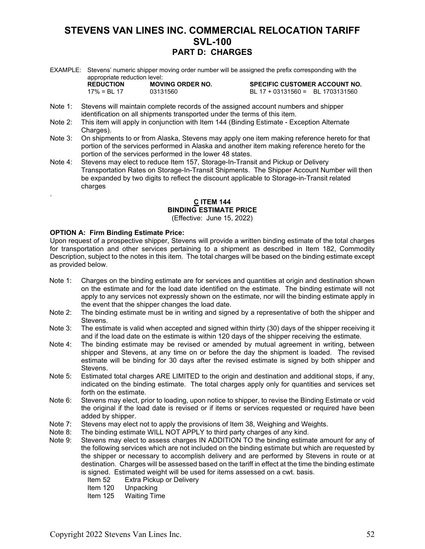EXAMPLE: Stevens' numeric shipper moving order number will be assigned the prefix corresponding with the appropriate reduction level:<br>REDUCTION MOVING ORDER NO.

**REDUCTION MOVING ORDER NO. SPECIFIC CUSTOMER ACCOUNT NO.**<br>17% = BL 17 03131560 0 8131560 BL 17 + 03131560 = BL 1703131560  $BL 17 + 03131560 = BL 1703131560$ 

- Note 1: Stevens will maintain complete records of the assigned account numbers and shipper identification on all shipments transported under the terms of this item.
- Note 2: This item will apply in conjunction with Item 144 (Binding Estimate Exception Alternate Charges).
- Note 3: On shipments to or from Alaska, Stevens may apply one item making reference hereto for that portion of the services performed in Alaska and another item making reference hereto for the portion of the services performed in the lower 48 states.
- Note 4: Stevens may elect to reduce Item 157, Storage-In-Transit and Pickup or Delivery Transportation Rates on Storage-In-Transit Shipments. The Shipper Account Number will then be expanded by two digits to reflect the discount applicable to Storage-in-Transit related charges

### **C ITEM 144 BINDING ESTIMATE PRICE**

(Effective: June 15, 2022)

### **OPTION A: Firm Binding Estimate Price:**

.

Upon request of a prospective shipper, Stevens will provide a written binding estimate of the total charges for transportation and other services pertaining to a shipment as described in Item 182, Commodity Description, subject to the notes in this item. The total charges will be based on the binding estimate except as provided below.

- Note 1: Charges on the binding estimate are for services and quantities at origin and destination shown on the estimate and for the load date identified on the estimate. The binding estimate will not apply to any services not expressly shown on the estimate, nor will the binding estimate apply in the event that the shipper changes the load date.
- Note 2: The binding estimate must be in writing and signed by a representative of both the shipper and Stevens.
- Note 3: The estimate is valid when accepted and signed within thirty (30) days of the shipper receiving it and if the load date on the estimate is within 120 days of the shipper receiving the estimate.
- Note 4: The binding estimate may be revised or amended by mutual agreement in writing, between shipper and Stevens, at any time on or before the day the shipment is loaded. The revised estimate will be binding for 30 days after the revised estimate is signed by both shipper and Stevens.
- Note 5: Estimated total charges ARE LIMITED to the origin and destination and additional stops, if any, indicated on the binding estimate. The total charges apply only for quantities and services set forth on the estimate.
- Note 6: Stevens may elect, prior to loading, upon notice to shipper, to revise the Binding Estimate or void the original if the load date is revised or if items or services requested or required have been added by shipper.
- Note 7: Stevens may elect not to apply the provisions of Item 38, Weighing and Weights.
- Note 8: The binding estimate WILL NOT APPLY to third party charges of any kind.
- Note 9: Stevens may elect to assess charges IN ADDITION TO the binding estimate amount for any of the following services which are not included on the binding estimate but which are requested by the shipper or necessary to accomplish delivery and are performed by Stevens in route or at destination. Charges will be assessed based on the tariff in effect at the time the binding estimate is signed. Estimated weight will be used for items assessed on a cwt. basis.
	- Item 52 Extra Pickup or Delivery<br>Item 120 Unpacking
	- Unpacking
	- Item 125 Waiting Time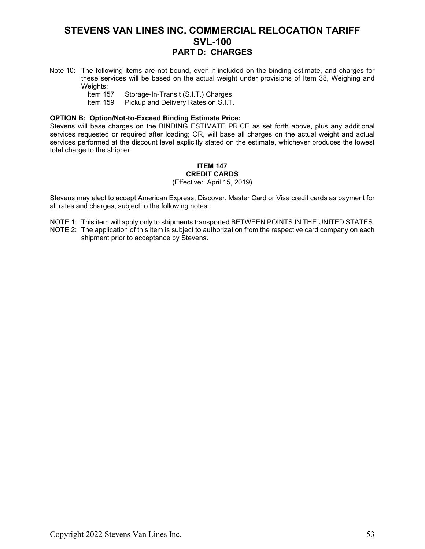- Note 10: The following items are not bound, even if included on the binding estimate, and charges for these services will be based on the actual weight under provisions of Item 38, Weighing and Weights:<br>Item 157
	- Item 157 Storage-In-Transit (S.I.T.) Charges<br>Item 159 Pickup and Delivery Rates on S.I.T.
	- Pickup and Delivery Rates on S.I.T.

### **OPTION B: Option/Not-to-Exceed Binding Estimate Price:**

Stevens will base charges on the BINDING ESTIMATE PRICE as set forth above, plus any additional services requested or required after loading; OR, will base all charges on the actual weight and actual services performed at the discount level explicitly stated on the estimate, whichever produces the lowest total charge to the shipper.

### **ITEM 147 CREDIT CARDS**

(Effective: April 15, 2019)

Stevens may elect to accept American Express, Discover, Master Card or Visa credit cards as payment for all rates and charges, subject to the following notes:

NOTE 1: This item will apply only to shipments transported BETWEEN POINTS IN THE UNITED STATES.

NOTE 2: The application of this item is subject to authorization from the respective card company on each shipment prior to acceptance by Stevens.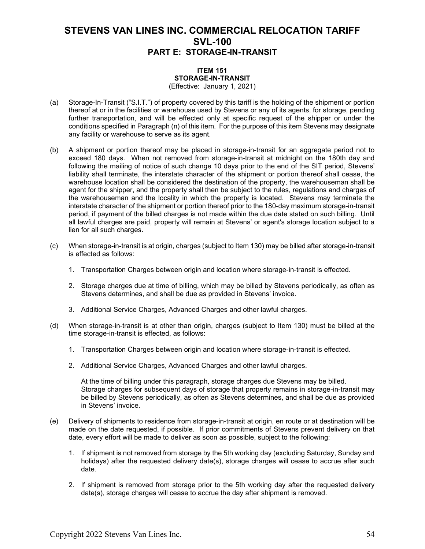#### **ITEM 151 STORAGE-IN-TRANSIT** (Effective: January 1, 2021)

(a) Storage-In-Transit ("S.I.T.") of property covered by this tariff is the holding of the shipment or portion thereof at or in the facilities or warehouse used by Stevens or any of its agents, for storage, pending further transportation, and will be effected only at specific request of the shipper or under the conditions specified in Paragraph (n) of this item. For the purpose of this item Stevens may designate

any facility or warehouse to serve as its agent.

- (b) A shipment or portion thereof may be placed in storage-in-transit for an aggregate period not to exceed 180 days. When not removed from storage-in-transit at midnight on the 180th day and following the mailing of notice of such change 10 days prior to the end of the SIT period, Stevens' liability shall terminate, the interstate character of the shipment or portion thereof shall cease, the warehouse location shall be considered the destination of the property, the warehouseman shall be agent for the shipper, and the property shall then be subject to the rules, regulations and charges of the warehouseman and the locality in which the property is located. Stevens may terminate the interstate character of the shipment or portion thereof prior to the 180-day maximum storage-in-transit period, if payment of the billed charges is not made within the due date stated on such billing. Until all lawful charges are paid, property will remain at Stevens' or agent's storage location subject to a lien for all such charges.
- (c) When storage-in-transit is at origin, charges (subject to Item 130) may be billed after storage-in-transit is effected as follows:
	- 1. Transportation Charges between origin and location where storage-in-transit is effected.
	- 2. Storage charges due at time of billing, which may be billed by Stevens periodically, as often as Stevens determines, and shall be due as provided in Stevens' invoice.
	- 3. Additional Service Charges, Advanced Charges and other lawful charges.
- (d) When storage-in-transit is at other than origin, charges (subject to Item 130) must be billed at the time storage-in-transit is effected, as follows:
	- 1. Transportation Charges between origin and location where storage-in-transit is effected.
	- 2. Additional Service Charges, Advanced Charges and other lawful charges.

At the time of billing under this paragraph, storage charges due Stevens may be billed. Storage charges for subsequent days of storage that property remains in storage-in-transit may be billed by Stevens periodically, as often as Stevens determines, and shall be due as provided in Stevens' invoice.

- (e) Delivery of shipments to residence from storage-in-transit at origin, en route or at destination will be made on the date requested, if possible. If prior commitments of Stevens prevent delivery on that date, every effort will be made to deliver as soon as possible, subject to the following:
	- 1. If shipment is not removed from storage by the 5th working day (excluding Saturday, Sunday and holidays) after the requested delivery date(s), storage charges will cease to accrue after such date.
	- 2. If shipment is removed from storage prior to the 5th working day after the requested delivery date(s), storage charges will cease to accrue the day after shipment is removed.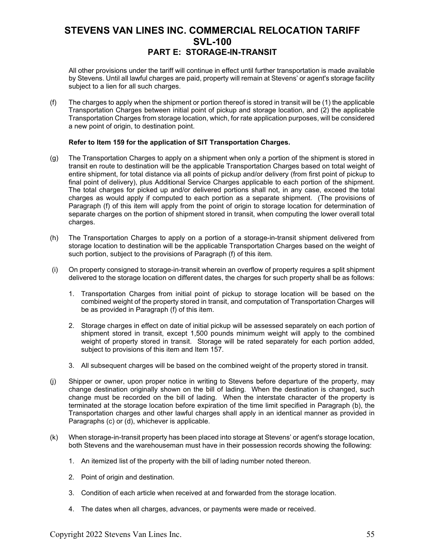All other provisions under the tariff will continue in effect until further transportation is made available by Stevens. Until all lawful charges are paid, property will remain at Stevens' or agent's storage facility subject to a lien for all such charges.

(f) The charges to apply when the shipment or portion thereof is stored in transit will be (1) the applicable Transportation Charges between initial point of pickup and storage location, and (2) the applicable Transportation Charges from storage location, which, for rate application purposes, will be considered a new point of origin, to destination point.

### **Refer to Item 159 for the application of SIT Transportation Charges.**

- (g) The Transportation Charges to apply on a shipment when only a portion of the shipment is stored in transit en route to destination will be the applicable Transportation Charges based on total weight of entire shipment, for total distance via all points of pickup and/or delivery (from first point of pickup to final point of delivery), plus Additional Service Charges applicable to each portion of the shipment. The total charges for picked up and/or delivered portions shall not, in any case, exceed the total charges as would apply if computed to each portion as a separate shipment. (The provisions of Paragraph (f) of this item will apply from the point of origin to storage location for determination of separate charges on the portion of shipment stored in transit, when computing the lower overall total charges.
- (h) The Transportation Charges to apply on a portion of a storage-in-transit shipment delivered from storage location to destination will be the applicable Transportation Charges based on the weight of such portion, subject to the provisions of Paragraph (f) of this item.
- (i) On property consigned to storage-in-transit wherein an overflow of property requires a split shipment delivered to the storage location on different dates, the charges for such property shall be as follows:
	- 1. Transportation Charges from initial point of pickup to storage location will be based on the combined weight of the property stored in transit, and computation of Transportation Charges will be as provided in Paragraph (f) of this item.
	- 2. Storage charges in effect on date of initial pickup will be assessed separately on each portion of shipment stored in transit, except 1,500 pounds minimum weight will apply to the combined weight of property stored in transit. Storage will be rated separately for each portion added, subject to provisions of this item and Item 157.
	- 3. All subsequent charges will be based on the combined weight of the property stored in transit.
- (j) Shipper or owner, upon proper notice in writing to Stevens before departure of the property, may change destination originally shown on the bill of lading. When the destination is changed, such change must be recorded on the bill of lading. When the interstate character of the property is terminated at the storage location before expiration of the time limit specified in Paragraph (b), the Transportation charges and other lawful charges shall apply in an identical manner as provided in Paragraphs (c) or (d), whichever is applicable.
- (k) When storage-in-transit property has been placed into storage at Stevens' or agent's storage location, both Stevens and the warehouseman must have in their possession records showing the following:
	- 1. An itemized list of the property with the bill of lading number noted thereon.
	- 2. Point of origin and destination.
	- 3. Condition of each article when received at and forwarded from the storage location.
	- 4. The dates when all charges, advances, or payments were made or received.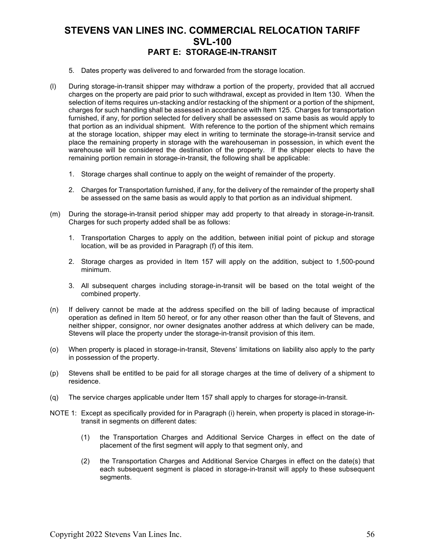- 5. Dates property was delivered to and forwarded from the storage location.
- (l) During storage-in-transit shipper may withdraw a portion of the property, provided that all accrued charges on the property are paid prior to such withdrawal, except as provided in Item 130. When the selection of items requires un-stacking and/or restacking of the shipment or a portion of the shipment, charges for such handling shall be assessed in accordance with Item 125. Charges for transportation furnished, if any, for portion selected for delivery shall be assessed on same basis as would apply to that portion as an individual shipment. With reference to the portion of the shipment which remains at the storage location, shipper may elect in writing to terminate the storage-in-transit service and place the remaining property in storage with the warehouseman in possession, in which event the warehouse will be considered the destination of the property. If the shipper elects to have the remaining portion remain in storage-in-transit, the following shall be applicable:
	- 1. Storage charges shall continue to apply on the weight of remainder of the property.
	- 2. Charges for Transportation furnished, if any, for the delivery of the remainder of the property shall be assessed on the same basis as would apply to that portion as an individual shipment.
- (m) During the storage-in-transit period shipper may add property to that already in storage-in-transit. Charges for such property added shall be as follows:
	- 1. Transportation Charges to apply on the addition, between initial point of pickup and storage location, will be as provided in Paragraph (f) of this item.
	- 2. Storage charges as provided in Item 157 will apply on the addition, subject to 1,500-pound minimum.
	- 3. All subsequent charges including storage-in-transit will be based on the total weight of the combined property.
- (n) If delivery cannot be made at the address specified on the bill of lading because of impractical operation as defined in Item 50 hereof, or for any other reason other than the fault of Stevens, and neither shipper, consignor, nor owner designates another address at which delivery can be made, Stevens will place the property under the storage-in-transit provision of this item.
- (o) When property is placed in storage-in-transit, Stevens' limitations on liability also apply to the party in possession of the property.
- (p) Stevens shall be entitled to be paid for all storage charges at the time of delivery of a shipment to residence.
- (q) The service charges applicable under Item 157 shall apply to charges for storage-in-transit.
- NOTE 1: Except as specifically provided for in Paragraph (i) herein, when property is placed in storage-intransit in segments on different dates:
	- (1) the Transportation Charges and Additional Service Charges in effect on the date of placement of the first segment will apply to that segment only, and
	- (2) the Transportation Charges and Additional Service Charges in effect on the date(s) that each subsequent segment is placed in storage-in-transit will apply to these subsequent segments.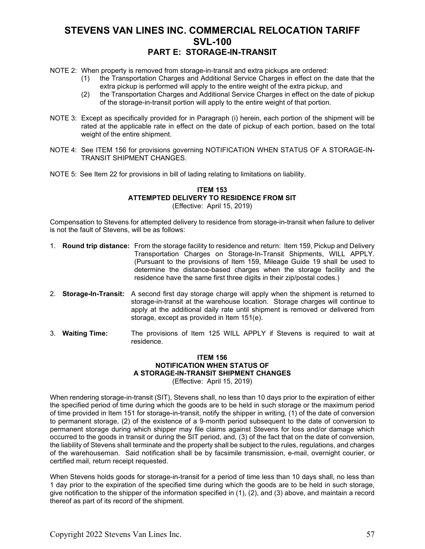- NOTE 2: When property is removed from storage-in-transit and extra pickups are ordered:
	- (1) the Transportation Charges and Additional Service Charges in effect on the date that the extra pickup is performed will apply to the entire weight of the extra pickup, and
	- (2) the Transportation Charges and Additional Service Charges in effect on the date of pickup of the storage-in-transit portion will apply to the entire weight of that portion.
- NOTE 3: Except as specifically provided for in Paragraph (i) herein, each portion of the shipment will be rated at the applicable rate in effect on the date of pickup of each portion, based on the total weight of the entire shipment.
- NOTE 4: See ITEM 156 for provisions governing NOTIFICATION WHEN STATUS OF A STORAGE-IN-TRANSIT SHIPMENT CHANGES.
- NOTE 5: See Item 22 for provisions in bill of lading relating to limitations on liability.

#### **ITEM 153 ATTEMPTED DELIVERY TO RESIDENCE FROM SIT** (Effective: April 15, 2019)

Compensation to Stevens for attempted delivery to residence from storage-in-transit when failure to deliver is not the fault of Stevens, will be as follows:

- 1. **Round trip distance:** From the storage facility to residence and return: Item 159, Pickup and Delivery Transportation Charges on Storage-In-Transit Shipments, WILL APPLY. (Pursuant to the provisions of Item 159, Mileage Guide 19 shall be used to determine the distance-based charges when the storage facility and the residence have the same first three digits in their zip/postal codes.)
- 2. **Storage-In-Transit:** A second first day storage charge will apply when the shipment is returned to storage-in-transit at the warehouse location. Storage charges will continue to apply at the additional daily rate until shipment is removed or delivered from storage, except as provided in Item 151(e).
- 3. **Waiting Time:** The provisions of Item 125 WILL APPLY if Stevens is required to wait at residence.

#### **ITEM 156 NOTIFICATION WHEN STATUS OF A STORAGE-IN-TRANSIT SHIPMENT CHANGES** (Effective: April 15, 2019)

When rendering storage-in-transit (SIT), Stevens shall, no less than 10 days prior to the expiration of either the specified period of time during which the goods are to be held in such storage or the maximum period of time provided in Item 151 for storage-in-transit, notify the shipper in writing, (1) of the date of conversion to permanent storage, (2) of the existence of a 9-month period subsequent to the date of conversion to permanent storage during which shipper may file claims against Stevens for loss and/or damage which occurred to the goods in transit or during the SIT period, and, (3) of the fact that on the date of conversion, the liability of Stevens shall terminate and the property shall be subject to the rules, regulations, and charges of the warehouseman. Said notification shall be by facsimile transmission, e-mail, overnight courier, or certified mail, return receipt requested.

When Stevens holds goods for storage-in-transit for a period of time less than 10 days shall, no less than 1 day prior to the expiration of the specified time during which the goods are to be held in such storage, give notification to the shipper of the information specified in (1), (2), and (3) above, and maintain a record thereof as part of its record of the shipment.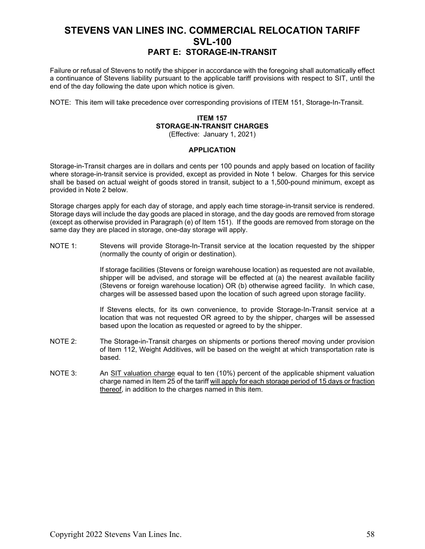Failure or refusal of Stevens to notify the shipper in accordance with the foregoing shall automatically effect a continuance of Stevens liability pursuant to the applicable tariff provisions with respect to SIT, until the end of the day following the date upon which notice is given.

NOTE: This item will take precedence over corresponding provisions of ITEM 151, Storage-In-Transit.

# **ITEM 157 STORAGE-IN-TRANSIT CHARGES**

(Effective: January 1, 2021)

### **APPLICATION**

Storage-in-Transit charges are in dollars and cents per 100 pounds and apply based on location of facility where storage-in-transit service is provided, except as provided in Note 1 below. Charges for this service shall be based on actual weight of goods stored in transit, subject to a 1,500-pound minimum, except as provided in Note 2 below.

Storage charges apply for each day of storage, and apply each time storage-in-transit service is rendered. Storage days will include the day goods are placed in storage, and the day goods are removed from storage (except as otherwise provided in Paragraph (e) of Item 151). If the goods are removed from storage on the same day they are placed in storage, one-day storage will apply.

NOTE 1: Stevens will provide Storage-In-Transit service at the location requested by the shipper (normally the county of origin or destination).

> If storage facilities (Stevens or foreign warehouse location) as requested are not available, shipper will be advised, and storage will be effected at (a) the nearest available facility (Stevens or foreign warehouse location) OR (b) otherwise agreed facility. In which case, charges will be assessed based upon the location of such agreed upon storage facility.

> If Stevens elects, for its own convenience, to provide Storage-In-Transit service at a location that was not requested OR agreed to by the shipper, charges will be assessed based upon the location as requested or agreed to by the shipper.

- NOTE 2: The Storage-in-Transit charges on shipments or portions thereof moving under provision of Item 112, Weight Additives, will be based on the weight at which transportation rate is based.
- NOTE 3: An SIT valuation charge equal to ten (10%) percent of the applicable shipment valuation charge named in Item 25 of the tariff will apply for each storage period of 15 days or fraction thereof, in addition to the charges named in this item.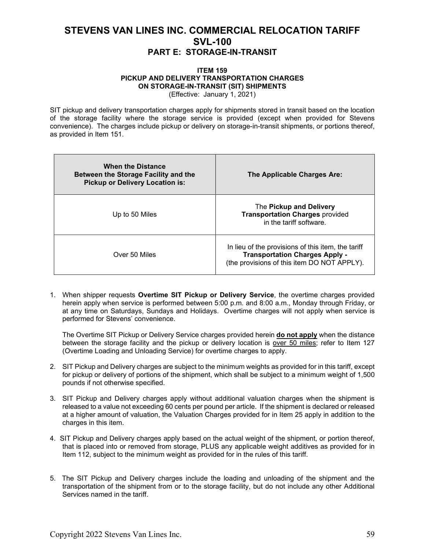#### **ITEM 159 PICKUP AND DELIVERY TRANSPORTATION CHARGES ON STORAGE-IN-TRANSIT (SIT) SHIPMENTS** (Effective: January 1, 2021)

SIT pickup and delivery transportation charges apply for shipments stored in transit based on the location of the storage facility where the storage service is provided (except when provided for Stevens convenience). The charges include pickup or delivery on storage-in-transit shipments, or portions thereof, as provided in Item 151.

| <b>When the Distance</b><br>Between the Storage Facility and the<br><b>Pickup or Delivery Location is:</b> | The Applicable Charges Are:                                                                                                                |
|------------------------------------------------------------------------------------------------------------|--------------------------------------------------------------------------------------------------------------------------------------------|
| Up to 50 Miles                                                                                             | The Pickup and Delivery<br><b>Transportation Charges provided</b><br>in the tariff software.                                               |
| Over 50 Miles                                                                                              | In lieu of the provisions of this item, the tariff<br><b>Transportation Charges Apply -</b><br>(the provisions of this item DO NOT APPLY). |

1. When shipper requests **Overtime SIT Pickup or Delivery Service**, the overtime charges provided herein apply when service is performed between 5:00 p.m. and 8:00 a.m., Monday through Friday, or at any time on Saturdays, Sundays and Holidays. Overtime charges will not apply when service is performed for Stevens' convenience.

The Overtime SIT Pickup or Delivery Service charges provided herein **do not apply** when the distance between the storage facility and the pickup or delivery location is over 50 miles; refer to Item 127 (Overtime Loading and Unloading Service) for overtime charges to apply.

- 2. SIT Pickup and Delivery charges are subject to the minimum weights as provided for in this tariff, except for pickup or delivery of portions of the shipment, which shall be subject to a minimum weight of 1,500 pounds if not otherwise specified.
- 3. SIT Pickup and Delivery charges apply without additional valuation charges when the shipment is released to a value not exceeding 60 cents per pound per article. If the shipment is declared or released at a higher amount of valuation, the Valuation Charges provided for in Item 25 apply in addition to the charges in this item.
- 4. SIT Pickup and Delivery charges apply based on the actual weight of the shipment, or portion thereof, that is placed into or removed from storage, PLUS any applicable weight additives as provided for in Item 112, subject to the minimum weight as provided for in the rules of this tariff.
- 5. The SIT Pickup and Delivery charges include the loading and unloading of the shipment and the transportation of the shipment from or to the storage facility, but do not include any other Additional Services named in the tariff.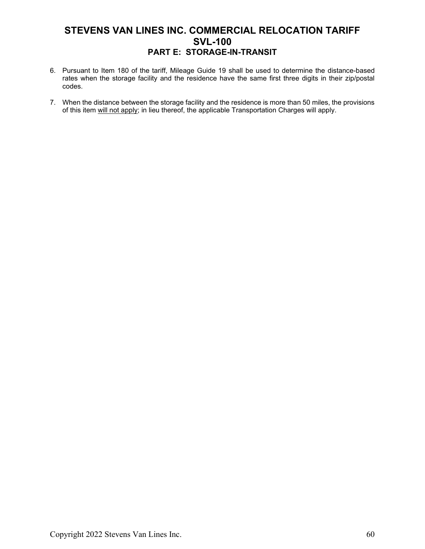- 6. Pursuant to Item 180 of the tariff, Mileage Guide 19 shall be used to determine the distance-based rates when the storage facility and the residence have the same first three digits in their zip/postal codes.
- 7. When the distance between the storage facility and the residence is more than 50 miles, the provisions of this item will not apply; in lieu thereof, the applicable Transportation Charges will apply.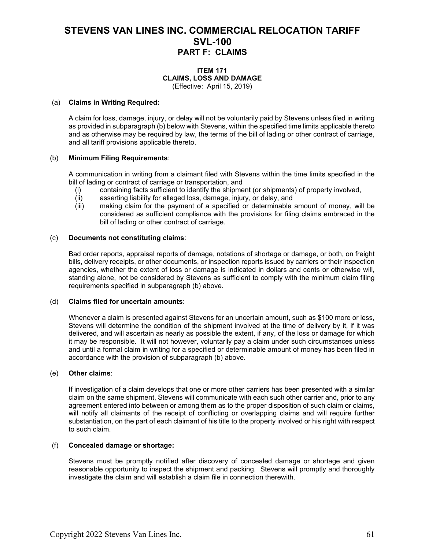#### **ITEM 171 CLAIMS, LOSS AND DAMAGE** (Effective: April 15, 2019)

#### (a) **Claims in Writing Required:**

A claim for loss, damage, injury, or delay will not be voluntarily paid by Stevens unless filed in writing as provided in subparagraph (b) below with Stevens, within the specified time limits applicable thereto and as otherwise may be required by law, the terms of the bill of lading or other contract of carriage, and all tariff provisions applicable thereto.

### (b) **Minimum Filing Requirements**:

A communication in writing from a claimant filed with Stevens within the time limits specified in the bill of lading or contract of carriage or transportation, and

- (i) containing facts sufficient to identify the shipment (or shipments) of property involved,<br>(ii) asserting liability for alleged loss, damage, injury, or delay, and
- asserting liability for alleged loss, damage, injury, or delay, and
- (iii) making claim for the payment of a specified or determinable amount of money, will be considered as sufficient compliance with the provisions for filing claims embraced in the bill of lading or other contract of carriage.

#### (c) **Documents not constituting claims**:

Bad order reports, appraisal reports of damage, notations of shortage or damage, or both, on freight bills, delivery receipts, or other documents, or inspection reports issued by carriers or their inspection agencies, whether the extent of loss or damage is indicated in dollars and cents or otherwise will, standing alone, not be considered by Stevens as sufficient to comply with the minimum claim filing requirements specified in subparagraph (b) above.

#### (d) **Claims filed for uncertain amounts**:

Whenever a claim is presented against Stevens for an uncertain amount, such as \$100 more or less, Stevens will determine the condition of the shipment involved at the time of delivery by it, if it was delivered, and will ascertain as nearly as possible the extent, if any, of the loss or damage for which it may be responsible. It will not however, voluntarily pay a claim under such circumstances unless and until a formal claim in writing for a specified or determinable amount of money has been filed in accordance with the provision of subparagraph (b) above.

#### (e) **Other claims**:

If investigation of a claim develops that one or more other carriers has been presented with a similar claim on the same shipment, Stevens will communicate with each such other carrier and, prior to any agreement entered into between or among them as to the proper disposition of such claim or claims, will notify all claimants of the receipt of conflicting or overlapping claims and will require further substantiation, on the part of each claimant of his title to the property involved or his right with respect to such claim.

### (f) **Concealed damage or shortage:**

Stevens must be promptly notified after discovery of concealed damage or shortage and given reasonable opportunity to inspect the shipment and packing. Stevens will promptly and thoroughly investigate the claim and will establish a claim file in connection therewith.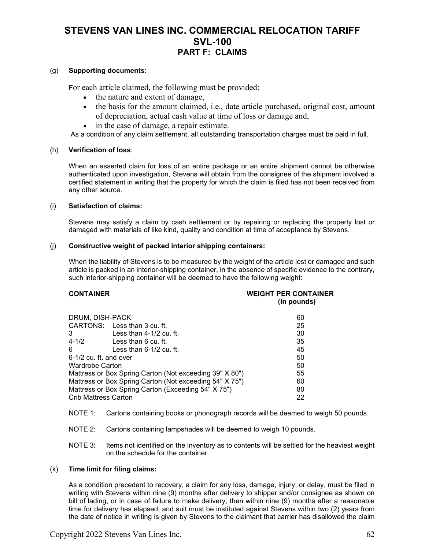### (g) **Supporting documents**:

For each article claimed, the following must be provided:

- the nature and extent of damage,
- the basis for the amount claimed, i.e., date article purchased, original cost, amount of depreciation, actual cash value at time of loss or damage and,
- in the case of damage, a repair estimate.

As a condition of any claim settlement, all outstanding transportation charges must be paid in full.

### (h) **Verification of loss**:

When an asserted claim for loss of an entire package or an entire shipment cannot be otherwise authenticated upon investigation, Stevens will obtain from the consignee of the shipment involved a certified statement in writing that the property for which the claim is filed has not been received from any other source.

### (i) **Satisfaction of claims:**

Stevens may satisfy a claim by cash settlement or by repairing or replacing the property lost or damaged with materials of like kind, quality and condition at time of acceptance by Stevens.

### (j) **Constructive weight of packed interior shipping containers:**

When the liability of Stevens is to be measured by the weight of the article lost or damaged and such article is packed in an interior-shipping container, in the absence of specific evidence to the contrary, such interior-shipping container will be deemed to have the following weight:

### **CONTAINER WEIGHT PER CONTAINER (In pounds)**

| DRUM, DISH-PACK                                         | 60                           |    |
|---------------------------------------------------------|------------------------------|----|
|                                                         | CARTONS: Less than 3 cu. ft. | 25 |
| 3                                                       | Less than 4-1/2 cu. ft.      | 30 |
| $4 - 1/2$                                               | Less than 6 cu. ft.          | 35 |
| 6                                                       | Less than $6-1/2$ cu. ft.    | 45 |
| 6-1/2 cu. ft. and over                                  |                              | 50 |
| <b>Wardrobe Carton</b>                                  |                              | 50 |
| Mattress or Box Spring Carton (Not exceeding 39" X 80") |                              | 55 |
| Mattress or Box Spring Carton (Not exceeding 54" X 75") |                              | 60 |
| Mattress or Box Spring Carton (Exceeding 54" X 75")     |                              | 80 |
| <b>Crib Mattress Carton</b>                             |                              | 22 |

- NOTE 1: Cartons containing books or phonograph records will be deemed to weigh 50 pounds.
- NOTE 2: Cartons containing lampshades will be deemed to weigh 10 pounds.
- NOTE 3: Items not identified on the inventory as to contents will be settled for the heaviest weight on the schedule for the container.

### (k) **Time limit for filing claims:**

As a condition precedent to recovery, a claim for any loss, damage, injury, or delay, must be filed in writing with Stevens within nine (9) months after delivery to shipper and/or consignee as shown on bill of lading, or in case of failure to make delivery, then within nine (9) months after a reasonable time for delivery has elapsed; and suit must be instituted against Stevens within two (2) years from the date of notice in writing is given by Stevens to the claimant that carrier has disallowed the claim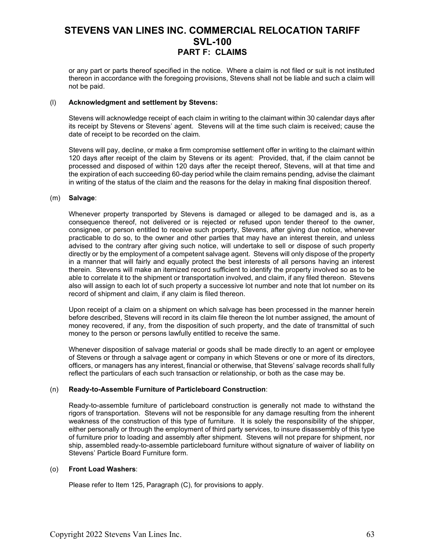or any part or parts thereof specified in the notice. Where a claim is not filed or suit is not instituted thereon in accordance with the foregoing provisions, Stevens shall not be liable and such a claim will not be paid.

### (l) **Acknowledgment and settlement by Stevens:**

Stevens will acknowledge receipt of each claim in writing to the claimant within 30 calendar days after its receipt by Stevens or Stevens' agent. Stevens will at the time such claim is received; cause the date of receipt to be recorded on the claim.

Stevens will pay, decline, or make a firm compromise settlement offer in writing to the claimant within 120 days after receipt of the claim by Stevens or its agent: Provided, that, if the claim cannot be processed and disposed of within 120 days after the receipt thereof, Stevens, will at that time and the expiration of each succeeding 60-day period while the claim remains pending, advise the claimant in writing of the status of the claim and the reasons for the delay in making final disposition thereof.

### (m) **Salvage**:

Whenever property transported by Stevens is damaged or alleged to be damaged and is, as a consequence thereof, not delivered or is rejected or refused upon tender thereof to the owner, consignee, or person entitled to receive such property, Stevens, after giving due notice, whenever practicable to do so, to the owner and other parties that may have an interest therein, and unless advised to the contrary after giving such notice, will undertake to sell or dispose of such property directly or by the employment of a competent salvage agent. Stevens will only dispose of the property in a manner that will fairly and equally protect the best interests of all persons having an interest therein. Stevens will make an itemized record sufficient to identify the property involved so as to be able to correlate it to the shipment or transportation involved, and claim, if any filed thereon. Stevens also will assign to each lot of such property a successive lot number and note that lot number on its record of shipment and claim, if any claim is filed thereon.

Upon receipt of a claim on a shipment on which salvage has been processed in the manner herein before described, Stevens will record in its claim file thereon the lot number assigned, the amount of money recovered, if any, from the disposition of such property, and the date of transmittal of such money to the person or persons lawfully entitled to receive the same.

Whenever disposition of salvage material or goods shall be made directly to an agent or employee of Stevens or through a salvage agent or company in which Stevens or one or more of its directors, officers, or managers has any interest, financial or otherwise, that Stevens' salvage records shall fully reflect the particulars of each such transaction or relationship, or both as the case may be.

### (n) **Ready-to-Assemble Furniture of Particleboard Construction**:

Ready-to-assemble furniture of particleboard construction is generally not made to withstand the rigors of transportation. Stevens will not be responsible for any damage resulting from the inherent weakness of the construction of this type of furniture. It is solely the responsibility of the shipper, either personally or through the employment of third party services, to insure disassembly of this type of furniture prior to loading and assembly after shipment. Stevens will not prepare for shipment, nor ship, assembled ready-to-assemble particleboard furniture without signature of waiver of liability on Stevens' Particle Board Furniture form.

### (o) **Front Load Washers**:

Please refer to Item 125, Paragraph (C), for provisions to apply.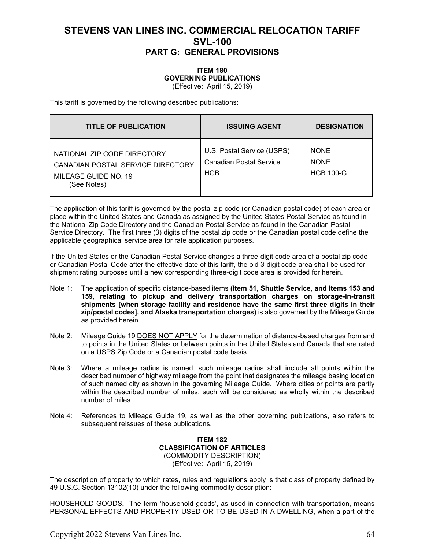#### **ITEM 180 GOVERNING PUBLICATIONS** (Effective: April 15, 2019)

This tariff is governed by the following described publications:

| <b>TITLE OF PUBLICATION</b>                                                                             | <b>ISSUING AGENT</b>                                         | <b>DESIGNATION</b>                             |
|---------------------------------------------------------------------------------------------------------|--------------------------------------------------------------|------------------------------------------------|
| NATIONAL ZIP CODE DIRECTORY<br>CANADIAN POSTAL SERVICE DIRECTORY<br>MILEAGE GUIDE NO. 19<br>(See Notes) | U.S. Postal Service (USPS)<br>Canadian Postal Service<br>HGB | <b>NONE</b><br><b>NONE</b><br><b>HGB 100-G</b> |

The application of this tariff is governed by the postal zip code (or Canadian postal code) of each area or place within the United States and Canada as assigned by the United States Postal Service as found in the National Zip Code Directory and the Canadian Postal Service as found in the Canadian Postal Service Directory. The first three (3) digits of the postal zip code or the Canadian postal code define the applicable geographical service area for rate application purposes.

If the United States or the Canadian Postal Service changes a three-digit code area of a postal zip code or Canadian Postal Code after the effective date of this tariff, the old 3-digit code area shall be used for shipment rating purposes until a new corresponding three-digit code area is provided for herein.

- Note 1: The application of specific distance-based items **(Item 51, Shuttle Service, and Items 153 and 159, relating to pickup and delivery transportation charges on storage-in-transit shipments [when storage facility and residence have the same first three digits in their zip/postal codes], and Alaska transportation charges)** is also governed by the Mileage Guide as provided herein.
- Note 2: Mileage Guide 19 DOES NOT APPLY for the determination of distance-based charges from and to points in the United States or between points in the United States and Canada that are rated on a USPS Zip Code or a Canadian postal code basis.
- Note 3: Where a mileage radius is named, such mileage radius shall include all points within the described number of highway mileage from the point that designates the mileage basing location of such named city as shown in the governing Mileage Guide. Where cities or points are partly within the described number of miles, such will be considered as wholly within the described number of miles.
- Note 4: References to Mileage Guide 19, as well as the other governing publications, also refers to subsequent reissues of these publications.

### **ITEM 182 CLASSIFICATION OF ARTICLES** (COMMODITY DESCRIPTION) (Effective: April 15, 2019)

The description of property to which rates, rules and regulations apply is that class of property defined by 49 U.S.C. Section 13102(10) under the following commodity description:

HOUSEHOLD GOODS**.** The term 'household goods', as used in connection with transportation, means PERSONAL EFFECTS AND PROPERTY USED OR TO BE USED IN A DWELLING**,** when a part of the

Copyright 2022 Stevens Van Lines Inc. 64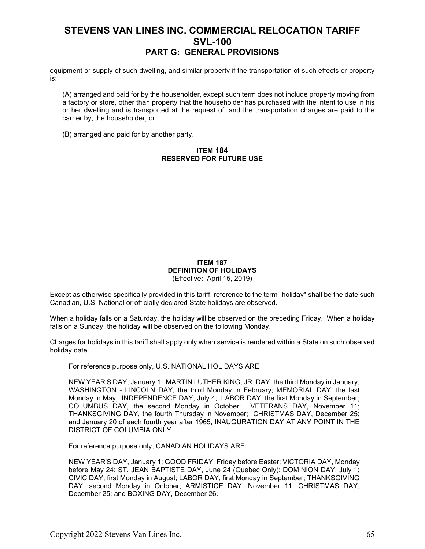equipment or supply of such dwelling, and similar property if the transportation of such effects or property is:

(A) arranged and paid for by the householder, except such term does not include property moving from a factory or store, other than property that the householder has purchased with the intent to use in his or her dwelling and is transported at the request of, and the transportation charges are paid to the carrier by, the householder, or

(B) arranged and paid for by another party.

### **ITEM 184 RESERVED FOR FUTURE USE**

#### **ITEM 187 DEFINITION OF HOLIDAYS** (Effective: April 15, 2019)

Except as otherwise specifically provided in this tariff, reference to the term "holiday" shall be the date such Canadian, U.S. National or officially declared State holidays are observed.

When a holiday falls on a Saturday, the holiday will be observed on the preceding Friday. When a holiday falls on a Sunday, the holiday will be observed on the following Monday.

Charges for holidays in this tariff shall apply only when service is rendered within a State on such observed holiday date.

For reference purpose only, U.S. NATIONAL HOLIDAYS ARE:

NEW YEAR'S DAY, January 1; MARTIN LUTHER KING, JR. DAY, the third Monday in January; WASHINGTON - LINCOLN DAY, the third Monday in February; MEMORIAL DAY, the last Monday in May; INDEPENDENCE DAY, July 4; LABOR DAY, the first Monday in September; COLUMBUS DAY, the second Monday in October; VETERANS DAY, November 11; THANKSGIVING DAY, the fourth Thursday in November; CHRISTMAS DAY, December 25; and January 20 of each fourth year after 1965, INAUGURATION DAY AT ANY POINT IN THE DISTRICT OF COLUMBIA ONLY.

For reference purpose only, CANADIAN HOLIDAYS ARE:

NEW YEAR'S DAY, January 1; GOOD FRIDAY, Friday before Easter; VICTORIA DAY, Monday before May 24; ST. JEAN BAPTISTE DAY, June 24 (Quebec Only); DOMINION DAY, July 1; CIVIC DAY, first Monday in August; LABOR DAY, first Monday in September; THANKSGIVING DAY, second Monday in October; ARMISTICE DAY, November 11; CHRISTMAS DAY, December 25; and BOXING DAY, December 26.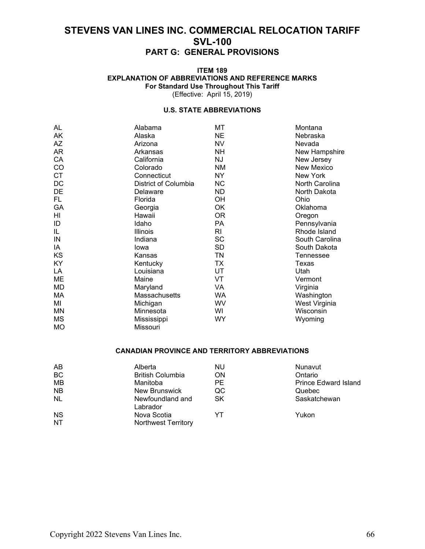#### **ITEM 189 EXPLANATION OF ABBREVIATIONS AND REFERENCE MARKS For Standard Use Throughout This Tariff** (Effective: April 15, 2019)

### **U.S. STATE ABBREVIATIONS**

| AL        | Alabama              | МT        | Montana        |
|-----------|----------------------|-----------|----------------|
| AK        | Alaska               | <b>NE</b> | Nebraska       |
| AZ        | Arizona              | <b>NV</b> | Nevada         |
| AR        | Arkansas             | NΗ        | New Hampshire  |
| CA        | California           | <b>NJ</b> | New Jersey     |
| CO        | Colorado             | <b>NM</b> | New Mexico     |
| <b>CT</b> | Connecticut          | NY.       | New York       |
| DC        | District of Columbia | NC.       | North Carolina |
| DE        | Delaware             | ND.       | North Dakota   |
| FL.       | Florida              | ОH        | Ohio           |
| GA        | Georgia              | OK        | Oklahoma       |
| HI        | Hawaii               | 0R        | Oregon         |
| ID        | Idaho                | PA        | Pennsylvania   |
| IL        | <b>Illinois</b>      | RI        | Rhode Island   |
| IN        | Indiana              | <b>SC</b> | South Carolina |
| ΙA        | lowa                 | <b>SD</b> | South Dakota   |
| KS        | Kansas               | <b>TN</b> | Tennessee      |
| <b>KY</b> | Kentucky             | TХ        | Texas          |
| LA        | Louisiana            | UT        | Utah           |
| ME        | Maine                | VT        | Vermont        |
| <b>MD</b> | Maryland             | VA        | Virginia       |
| МA        | Massachusetts        | WA        | Washington     |
| MI        | Michigan             | WV        | West Virginia  |
| MN        | Minnesota            | WI        | Wisconsin      |
| <b>MS</b> | Mississippi          | <b>WY</b> | Wyoming        |
| <b>MO</b> | Missouri             |           |                |

### **CANADIAN PROVINCE AND TERRITORY ABBREVIATIONS**

| AB        | Alberta                      | NU        | Nunavut                     |
|-----------|------------------------------|-----------|-----------------------------|
| BC        | <b>British Columbia</b>      | <b>ON</b> | Ontario                     |
| <b>MB</b> | Manitoba                     | <b>PE</b> | <b>Prince Edward Island</b> |
| <b>NB</b> | New Brunswick                | QC        | Quebec                      |
| <b>NL</b> | Newfoundland and<br>Labrador | <b>SK</b> | Saskatchewan                |
| <b>NS</b> | Nova Scotia                  | YT        | Yukon                       |
| <b>NT</b> | <b>Northwest Territory</b>   |           |                             |